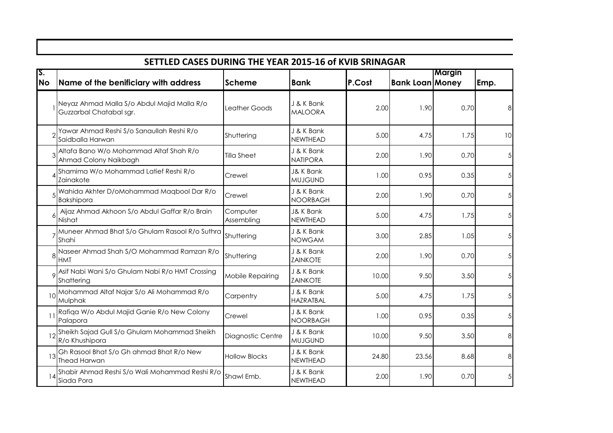|                  | SETTLED CASES DURING THE YEAR 2015-16 of KVIB SRINAGAR                 |                        |                                        |        |                        |        |                 |
|------------------|------------------------------------------------------------------------|------------------------|----------------------------------------|--------|------------------------|--------|-----------------|
| IS.<br><b>No</b> | Name of the benificiary with address                                   | <b>Scheme</b>          | <b>Bank</b>                            | P.Cost | <b>Bank Loan Money</b> | Margin | Emp.            |
|                  | Neyaz Ahmad Malla S/o Abdul Majid Malla R/o<br>Guzzarbal Chatabal sgr. | Leather Goods          | J & K Bank<br><b>MALOORA</b>           | 2.00   | 1.90                   | 0.70   | 8 <sup>1</sup>  |
|                  | Yawar Ahmad Reshi S/o Sanaullah Reshi R/o<br>Saidballa Harwan          | Shuttering             | J & K Bank<br><b>NEWTHEAD</b>          | 5.00   | 4.75                   | 1.75   | 10 <sup>1</sup> |
|                  | Altafa Bano W/o Mohammad Altaf Shah R/o<br>Ahmad Colony Naikbagh       | <b>Tilla Sheet</b>     | J & K Bank<br><b>NATIPORA</b>          | 2.00   | 1.90                   | 0.70   | 5 <sub>l</sub>  |
|                  | Shamima W/o Mohammad Latief Reshi R/o<br>Zainakote                     | Crewel                 | <b>J&amp; K Bank</b><br><b>MUJGUND</b> | 1.00   | 0.95                   | 0.35   | 5 <sup>1</sup>  |
|                  | Wahida Akhter D/oMohammad Maqbool Dar R/o<br><b>Bakshipora</b>         | Crewel                 | J & K Bank<br><b>NOORBAGH</b>          | 2.00   | 1.90                   | 0.70   | 5 <sub>l</sub>  |
|                  | Aijaz Ahmad Akhoon S/o Abdul Gaffar R/o Brain<br>Nishat                | Computer<br>Assembling | J& K Bank<br><b>NEWTHEAD</b>           | 5.00   | 4.75                   | 1.75   | 5 <sub>l</sub>  |
|                  | Muneer Ahmad Bhat S/o Ghulam Rasool R/o Suthra<br>Shahi                | Shuttering             | J & K Bank<br><b>NOWGAM</b>            | 3.00   | 2.85                   | 1.05   | 5 <sub>l</sub>  |
|                  | Naseer Ahmad Shah S/O Mohammad Ramzan R/o<br><b>HMT</b>                | Shuttering             | J & K Bank<br><b>ZAINKOTE</b>          | 2.00   | 1.90                   | 0.70   | 5 <sup>1</sup>  |
|                  | Asif Nabi Wani S/o Ghulam Nabi R/o HMT Crossing<br>Shattering          | Mobile Repairing       | J & K Bank<br><b>ZAINKOTE</b>          | 10.00  | 9.50                   | 3.50   | 5 <sub>l</sub>  |
| 10               | Mohammad Altaf Najar S/o Ali Mohammad R/o<br>Mulphak                   | Carpentry              | J & K Bank<br><b>HAZRATBAL</b>         | 5.00   | 4.75                   | 1.75   | 5 <sub>l</sub>  |
| 11               | Rafiqa W/o Abdul Majid Ganie R/o New Colony<br>Palapora                | Crewel                 | J & K Bank<br><b>NOORBAGH</b>          | 1.00   | 0.95                   | 0.35   | 5 <sup>1</sup>  |
|                  | Sheikh Sajad Gull S/o Ghulam Mohammad Sheikh<br>R/o Khushipora         | Diagnostic Centre      | J & K Bank<br><b>MUJGUND</b>           | 10.00  | 9.50                   | 3.50   | 8 <sup>1</sup>  |
| 13               | Gh Rasool Bhat S/o Gh ahmad Bhat R/o New<br><b>Thead Harwan</b>        | <b>Hollow Blocks</b>   | J & K Bank<br><b>NEWTHEAD</b>          | 24.80  | 23.56                  | 8.68   | 8 <sup>1</sup>  |
|                  | Shabir Ahmad Reshi S/o Wali Mohammad Reshi R/o<br>Siada Pora           | Shawl Emb.             | J & K Bank<br>NEWTHEAD                 | 2.00   | 1.90                   | 0.70   | 5 <sub>l</sub>  |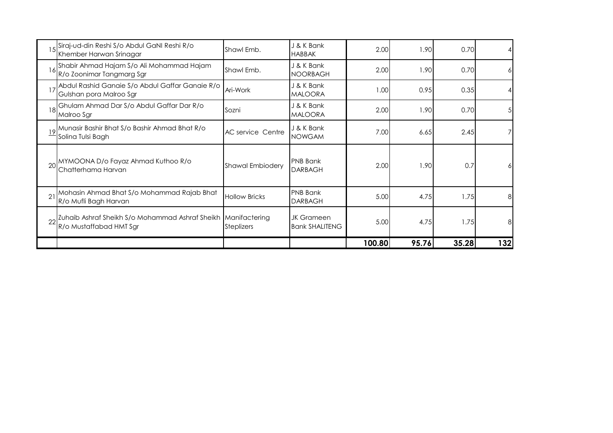|    | Siraj-ud-din Reshi S/o Abdul GaNI Reshi R/o<br>Khember Harwan Srinagar                   | Shawl Emb.              | J & K Bank<br><b>HABBAK</b>                | 2.00   | 1.90  | 0.70  |     |
|----|------------------------------------------------------------------------------------------|-------------------------|--------------------------------------------|--------|-------|-------|-----|
| 16 | Shabir Ahmad Hajam S/o Ali Mohammad Hajam<br>R/o Zoonimar Tangmarg Sgr                   | Shawl Emb.              | J & K Bank<br><b>NOORBAGH</b>              | 2.00   | 1.90  | 0.70  | 6   |
|    | Abdul Rashid Ganaie S/o Abdul Gaffar Ganaie R/o<br>Gulshan pora Malroo Sgr               | Ari-Work                | J & K Bank<br><b>MALOORA</b>               | 1.00   | 0.95  | 0.35  |     |
| 18 | Ghulam Ahmad Dar S/o Abdul Gaffar Dar R/o<br>Malroo Sgr                                  | Sozni                   | J & K Bank<br><b>MALOORA</b>               | 2.00   | 1.90  | 0.70  | 5   |
|    | Munasir Bashir Bhat S/o Bashir Ahmad Bhat R/o<br>Solina Tulsi Bagh                       | AC service Centre       | J & K Bank<br><b>NOWGAM</b>                | 7.00   | 6.65  | 2.45  |     |
|    | MYMOONA D/o Fayaz Ahmad Kuthoo R/o<br>Chatterhama Harvan                                 | <b>Shawal Embiodery</b> | <b>PNB Bank</b><br><b>DARBAGH</b>          | 2.00   | 1.90  | 0.7   | 6   |
|    | Mohasin Ahmad Bhat S/o Mohammad Rajab Bhat<br>R/o Mufli Bagh Harvan                      | <b>Hollow Bricks</b>    | <b>PNB Bank</b><br><b>DARBAGH</b>          | 5.00   | 4.75  | 1.75  | 8   |
|    | Zuhaib Ashraf Sheikh S/o Mohammad Ashraf Sheikh Manifactering<br>R/o Mustaffabad HMT Sgr | <b>Steplizers</b>       | <b>JK Grameen</b><br><b>Bank SHALITENG</b> | 5.00   | 4.75  | 1.75  | 8   |
|    |                                                                                          |                         |                                            | 100.80 | 95.76 | 35.28 | 132 |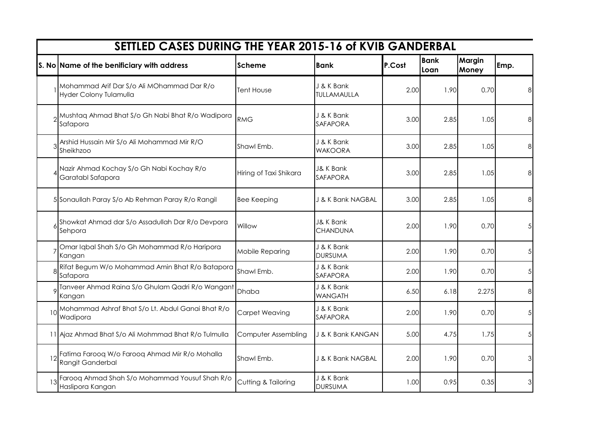|                 | SETTLED CASES DURING THE YEAR 2015-16 of KVIB GANDERBAL              |                        |                                         |        |                     |                        |                 |
|-----------------|----------------------------------------------------------------------|------------------------|-----------------------------------------|--------|---------------------|------------------------|-----------------|
|                 | S. No Name of the benificiary with address                           | <b>Scheme</b>          | <b>Bank</b>                             | P.Cost | <b>Bank</b><br>Loan | <b>Margin</b><br>Money | Emp.            |
|                 | Mohammad Arif Dar S/o Ali MOhammad Dar R/o<br>Hyder Colony Tulamulla | Tent House             | J & K Bank<br>TULLAMAULLA               | 2.00   | 1.90                | 0.70                   | 8               |
|                 | Mushtaq Ahmad Bhat S/o Gh Nabi Bhat R/o Wadipora<br>Safapora         | <b>RMG</b>             | J & K Bank<br>SAFAPORA                  | 3.00   | 2.85                | 1.05                   | 8               |
|                 | Arshid Hussain Mir S/o Ali Mohammad Mir R/O<br>Sheikhzoo             | Shawl Emb.             | J & K Bank<br><b>WAKOORA</b>            | 3.00   | 2.85                | 1.05                   | 8               |
|                 | Nazir Ahmad Kochay S/o Gh Nabi Kochay R/o<br>Garatabl Safapora       | Hiring of Taxi Shikara | <b>J&amp; K Bank</b><br><b>SAFAPORA</b> | 3.00   | 2.85                | 1.05                   | 8               |
|                 | 5 Sonaullah Paray S/o Ab Rehman Paray R/o Rangil                     | <b>Bee Keeping</b>     | J & K Bank NAGBAL                       | 3.00   | 2.85                | 1.05                   | 8               |
|                 | Showkat Ahmad dar S/o Assadullah Dar R/o Devpora<br>Sehpora          | Willow                 | <b>J&amp; K Bank</b><br><b>CHANDUNA</b> | 2.00   | 1.90                | 0.70                   | 5 <sup>1</sup>  |
|                 | Omar Iqbal Shah S/o Gh Mohammad R/o Haripora<br>Kangan               | Mobile Reparing        | J & K Bank<br><b>DURSUMA</b>            | 2.00   | 1.90                | 0.70                   | 5 <sup>1</sup>  |
|                 | Rifat Begum W/o Mohammad Amin Bhat R/o Batapora<br>Safapora          | Shawl Emb.             | J & K Bank<br><b>SAFAPORA</b>           | 2.00   | 1.90                | 0.70                   | 5 <sup>1</sup>  |
|                 | Tanveer Ahmad Raina S/o Ghulam Qadri R/o Wangant<br>Kangan           | Dhaba                  | J & K Bank<br><b>WANGATH</b>            | 6.50   | 6.18                | 2.275                  | 8               |
| 10 <sup>1</sup> | Mohammad Ashraf Bhat S/o Lt. Abdul Ganai Bhat R/o<br>Wadipora        | <b>Carpet Weaving</b>  | J & K Bank<br>SAFAPORA                  | 2.00   | 1.90                | 0.70                   | 5 <sup>1</sup>  |
|                 | 11 Ajaz Ahmad Bhat S/o Ali Mohmmad Bhat R/o Tulmulla                 | Computer Assembling    | J & K Bank KANGAN                       | 5.00   | 4.75                | 1.75                   | $5\overline{)}$ |
| 12              | Fatima Farooq W/o Farooq Ahmad Mir R/o Mohalla<br>Rangit Ganderbal   | Shawl Emb.             | J & K Bank NAGBAL                       | 2.00   | 1.90                | 0.70                   | 3               |
|                 | Farooq Ahmad Shah S/o Mohammad Yousuf Shah R/o<br>Haslipora Kangan   | Cutting & Tailoring    | J & K Bank<br><b>DURSUMA</b>            | 1.00   | 0.95                | 0.35                   | 3               |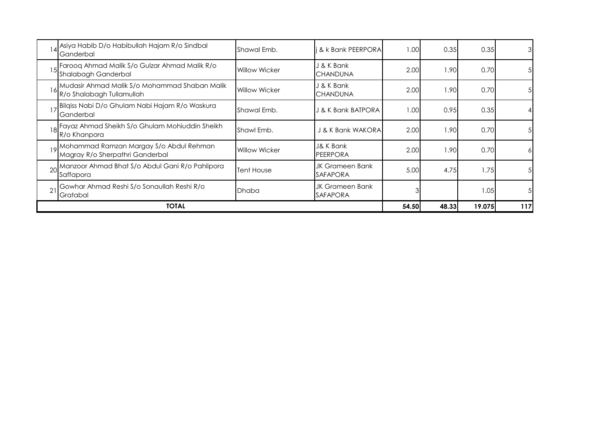|    | Asiya Habib D/o Habibullah Hajam R/o Sindbal<br>Ganderbal                     | Shawal Emb.          | & k Bank PEERPORA                  | 1.00  | 0.35  | 0.35   | $\mathbf{3}$ |
|----|-------------------------------------------------------------------------------|----------------------|------------------------------------|-------|-------|--------|--------------|
| 15 | Farooq Ahmad Malik S/o Gulzar Ahmad Malik R/o<br>Shalabagh Ganderbal          | <b>Willow Wicker</b> | J & K Bank<br><b>CHANDUNA</b>      | 2.00  | 1.90  | 0.70   | 51           |
| 16 | Mudasir Ahmad Malik S/o Mohammad Shaban Malik<br>R/o Shalabagh Tullamullah    | <b>Willow Wicker</b> | J & K Bank<br><b>CHANDUNA</b>      | 2.00  | .90   | 0.70   | 51           |
|    | Bilgiss Nabi D/o Ghulam Nabi Hajam R/o Waskura<br>Ganderbal                   | Shawal Emb.          | J & K Bank BATPORA                 | 1.00  | 0.95  | 0.35   |              |
|    | 18 Fayaz Ahmad Sheikh S/o Ghulam Mohiuddin Sheikh<br>R/o Khanpora             | Shawl Emb.           | J & K Bank WAKORA                  | 2.00  | 1.90  | 0.70   | $5 \vert$    |
|    | 19 Mohammad Ramzan Margay S/o Abdul Rehman<br>Magray R/o Sherpathri Ganderbal | <b>Willow Wicker</b> | J& K Bank<br><b>PEERPORA</b>       | 2.00  | 1.90  | 0.70   | 61           |
|    | 20 Manzoor Ahmad Bhat S/o Abdul Gani R/o Pahlipora<br>Saffapora               | Tent House           | JK Grameen Bank<br><b>SAFAPORA</b> | 5.00  | 4.75  | 1.75   | 51           |
| 21 | Gowhar Ahmad Reshi S/o Sonaullah Reshi R/o<br>Gratabal                        | <b>Dhaba</b>         | JK Grameen Bank<br><b>SAFAPORA</b> |       |       | 1.05   | 51           |
|    | <b>TOTAL</b>                                                                  |                      |                                    | 54.50 | 48.33 | 19.075 | 117          |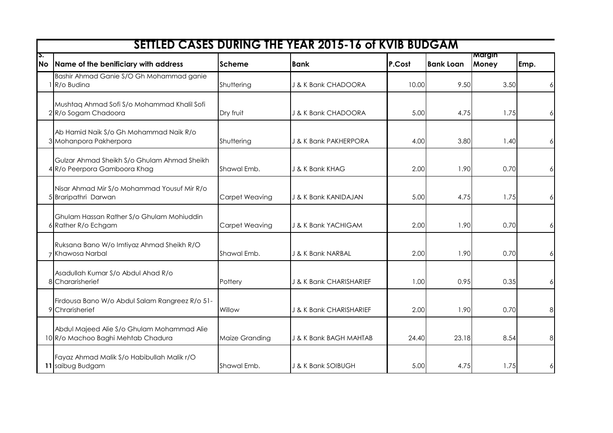|                 |                                                                                  |                | <b>SETTLED CASES DURING THE YEAR 2015-16 of KVIB BUDGAM</b> |        |                  |                        |      |
|-----------------|----------------------------------------------------------------------------------|----------------|-------------------------------------------------------------|--------|------------------|------------------------|------|
| Σ.<br><b>No</b> | Name of the benificiary with address                                             | Scheme         | <b>Bank</b>                                                 | P.Cost | <b>Bank Loan</b> | <b>Margin</b><br>Money | Emp. |
|                 | Bashir Ahmad Ganie S/O Gh Mohammad ganie<br>R/o Budina                           | Shuttering     | J & K Bank CHADOORA                                         | 10.00  | 9.50             | 3.50                   | 6    |
|                 | Mushtaq Ahmad Sofi S/o Mohammad Khalil Sofi<br>2R/o Sogam Chadoora               | Dry fruit      | J & K Bank CHADOORA                                         | 5.00   | 4.75             | 1.75                   | 6    |
|                 | Ab Hamid Naik S/o Gh Mohammad Naik R/o<br>3 Mohanpora Pakherpora                 | Shuttering     | <b>J &amp; K Bank PAKHERPORA</b>                            | 4.00   | 3.80             | 1.40                   | 6    |
|                 | Gulzar Ahmad Sheikh S/o Ghulam Ahmad Sheikh<br>4 R/o Peerpora Gamboora Khag      | Shawal Emb.    | J & K Bank KHAG                                             | 2.00   | 1.90             | 0.70                   | 6    |
|                 | Nisar Ahmad Mir S/o Mohammad Yousuf Mir R/o<br>5 Braripathri Darwan              | Carpet Weaving | J & K Bank KANIDAJAN                                        | 5.00   | 4.75             | 1.75                   | 6    |
|                 | Ghulam Hassan Rather S/o Ghulam Mohiuddin<br>6 Rather R/o Echgam                 | Carpet Weaving | J & K Bank YACHIGAM                                         | 2.00   | 1.90             | 0.70                   | 6    |
|                 | Ruksana Bano W/o Imtiyaz Ahmad Sheikh R/O<br>Khawosa Narbal                      | Shawal Emb.    | J & K Bank NARBAL                                           | 2.00   | 1.90             | 0.70                   | 6    |
| 8               | Asadullah Kumar S/o Abdul Ahad R/o<br>Chararisherief                             | Pottery        | J & K Bank CHARISHARIEF                                     | 1.00   | 0.95             | 0.35                   | 6    |
|                 | Firdousa Bano W/o Abdul Salam Rangreez R/o 51-<br>9 Chrarisherief                | Willow         | J & K Bank CHARISHARIEF                                     | 2.00   | 1.90             | 0.70                   | 8    |
|                 | Abdul Majeed Alie S/o Ghulam Mohammad Alie<br>10 R/o Machoo Baghi Mehtab Chadura | Maize Granding | J & K Bank BAGH MAHTAB                                      | 24.40  | 23.18            | 8.54                   | 8    |
|                 | Fayaz Ahmad Malik S/o Habibullah Malik r/O<br>11 saibug Budgam                   | Shawal Emb.    | J & K Bank SOIBUGH                                          | 5.00   | 4.75             | 1.75                   | 6    |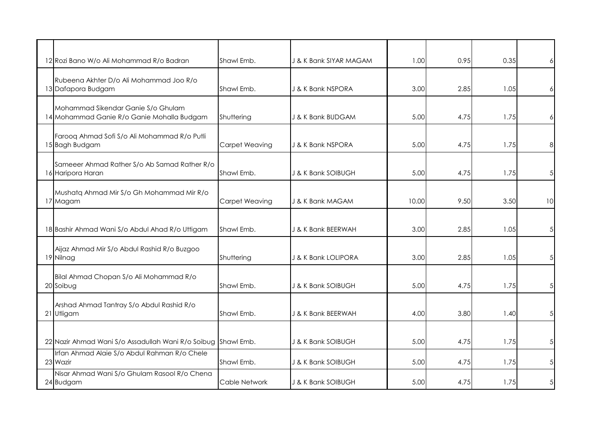| 12 Rozi Bano W/o Ali Mohammad R/o Badran                                         | Shawl Emb.            | J & K Bank SIYAR MAGAM | 1.00  | 0.95 | 0.35 |                |
|----------------------------------------------------------------------------------|-----------------------|------------------------|-------|------|------|----------------|
| Rubeena Akhter D/o Ali Mohammad Joo R/o<br>13 Dafapora Budgam                    | Shawl Emb.            | J & K Bank NSPORA      | 3.00  | 2.85 | 1.05 |                |
| Mohammad Sikendar Ganie S/o Ghulam<br>14 Mohammad Ganie R/o Ganie Mohalla Budgam | Shuttering            | J & K Bank BUDGAM      | 5.00  | 4.75 | 1.75 |                |
| Farooq Ahmad Sofi S/o Ali Mohammad R/o Putli<br>15 Bagh Budgam                   | Carpet Weaving        | J & K Bank NSPORA      | 5.00  | 4.75 | 1.75 | 8              |
| Sameeer Ahmad Rather S/o Ab Samad Rather R/o<br>16 Haripora Haran                | Shawl Emb.            | J & K Bank SOIBUGH     | 5.00  | 4.75 | 1.75 | 5              |
| Mushatq Ahmad Mir S/o Gh Mohammad Mir R/o<br>17 Magam                            | <b>Carpet Weaving</b> | J & K Bank MAGAM       | 10.00 | 9.50 | 3.50 | 10             |
| 18 Bashir Ahmad Wani S/o Abdul Ahad R/o Uttigam                                  | Shawl Emb.            | J & K Bank BEERWAH     | 3.00  | 2.85 | 1.05 | 5 <sub>l</sub> |
| Aijaz Ahmad Mir S/o Abdul Rashid R/o Buzgoo<br>19 Nilnag                         | Shuttering            | J & K Bank LOLIPORA    | 3.00  | 2.85 | 1.05 | 5              |
| Bilal Ahmad Chopan S/o Ali Mohammad R/o<br>20 Soibug                             | Shawl Emb.            | J & K Bank SOIBUGH     | 5.00  | 4.75 | 1.75 | 5              |
| Arshad Ahmad Tantray S/o Abdul Rashid R/o<br>21 Utligam                          | Shawl Emb.            | J & K Bank BEERWAH     | 4.00  | 3.80 | 1.40 |                |
| 22 Nazir Ahmad Wani S/o Assadullah Wani R/o Soibug Shawl Emb.                    |                       | J & K Bank SOIBUGH     | 5.00  | 4.75 | 1.75 | 5              |
| Irfan Ahmad Alaie S/o Abdul Rahman R/o Chele<br>23 Wazir                         | Shawl Emb.            | J & K Bank SOIBUGH     | 5.00  | 4.75 | 1.75 | 5 <sub>l</sub> |
| Nisar Ahmad Wani S/o Ghulam Rasool R/o Chena<br>24 Budgam                        | Cable Network         | J & K Bank SOIBUGH     | 5.00  | 4.75 | 1.75 | 5              |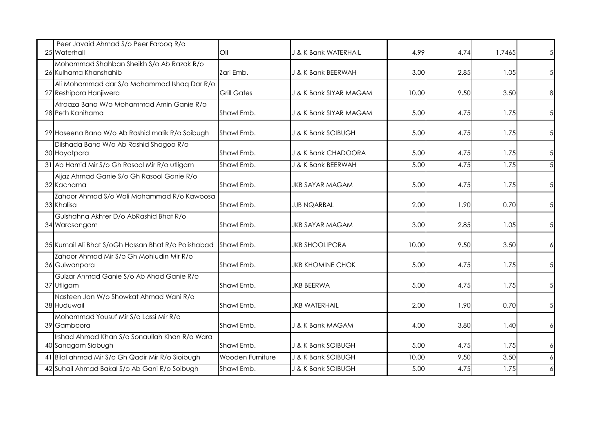| Peer Javaid Ahmad S/o Peer Farooq R/o<br>25 Waterhail                 | Oil                | J & K Bank WATERHAIL    | 4.99  | 4.74 | 1.7465 |   |
|-----------------------------------------------------------------------|--------------------|-------------------------|-------|------|--------|---|
| Mohammad Shahban Sheikh S/o Ab Razak R/o<br>26 Kulhama Khanshahib     | Zari Emb.          | J & K Bank BEERWAH      | 3.00  | 2.85 | 1.05   |   |
| Ali Mohammad dar S/o Mohammad Ishaq Dar R/o<br>27 Reshipora Hanjiwera | <b>Grill Gates</b> | J & K Bank SIYAR MAGAM  | 10.00 | 9.50 | 3.50   | 8 |
| Afroaza Bano W/o Mohammad Amin Ganie R/o<br>28 Peth Kanihama          | Shawl Emb.         | J & K Bank SIYAR MAGAM  | 5.00  | 4.75 | 1.75   |   |
| 29 Haseena Bano W/o Ab Rashid malik R/o Soibugh                       | Shawl Emb.         | J & K Bank SOIBUGH      | 5.00  | 4.75 | 1.75   |   |
| Dilshada Bano W/o Ab Rashid Shagoo R/o<br>30 Hayatpora                | Shawl Emb.         | J & K Bank CHADOORA     | 5.00  | 4.75 | 1.75   |   |
| 31 Ab Hamid Mir S/o Gh Rasool Mir R/o utligam                         | Shawl Emb.         | J & K Bank BEERWAH      | 5.00  | 4.75 | 1.75   |   |
| Aijaz Ahmad Ganie S/o Gh Rasool Ganie R/o<br>32 Kachama               | Shawl Emb.         | <b>JKB SAYAR MAGAM</b>  | 5.00  | 4.75 | 1.75   |   |
| Zahoor Ahmad S/o Wali Mohammad R/o Kawoosa<br>33 Khalisa              | Shawl Emb.         | <b>JJB NQARBAL</b>      | 2.00  | 1.90 | 0.70   |   |
| Gulshahna Akhter D/o AbRashid Bhat R/o<br>34 Warasangam               | Shawl Emb.         | <b>JKB SAYAR MAGAM</b>  | 3.00  | 2.85 | 1.05   |   |
| 35 Kumail Ali Bhat S/oGh Hassan Bhat R/o Polishabad                   | Shawl Emb.         | <b>JKB SHOOLIPORA</b>   | 10.00 | 9.50 | 3.50   |   |
| Zahoor Ahmad Mir S/o Gh Mohiudin Mir R/o<br>36 Gulwanpora             | Shawl Emb.         | <b>JKB KHOMINE CHOK</b> | 5.00  | 4.75 | 1.75   |   |
| Gulzar Ahmad Ganie S/o Ab Ahad Ganie R/o<br>37 Utligam                | Shawl Emb.         | <b>JKB BEERWA</b>       | 5.00  | 4.75 | 1.75   |   |
| Nasteen Jan W/o Showkat Ahmad Wani R/o<br>38 Huduwail                 | Shawl Emb.         | <b>JKB WATERHAIL</b>    | 2.00  | 1.90 | 0.70   |   |
| Mohammad Yousuf Mir S/o Lassi Mir R/o<br>39 Gamboora                  | Shawl Emb.         | J & K Bank MAGAM        | 4.00  | 3.80 | 1.40   |   |
| Irshad Ahmad Khan S/o Sonaullah Khan R/o Wara<br>40 Sanagam Siobugh   | Shawl Emb.         | J & K Bank SOIBUGH      | 5.00  | 4.75 | 1.75   |   |
| 41 Bilal ahmad Mir S/o Gh Qadir Mir R/o Sioibugh                      | Wooden Furniture   | J & K Bank SOIBUGH      | 10.00 | 9.50 | 3.50   |   |
| 42 Suhail Ahmad Bakal S/o Ab Gani R/o Soibugh                         | Shawl Emb.         | J & K Bank SOIBUGH      | 5.00  | 4.75 | 1.75   |   |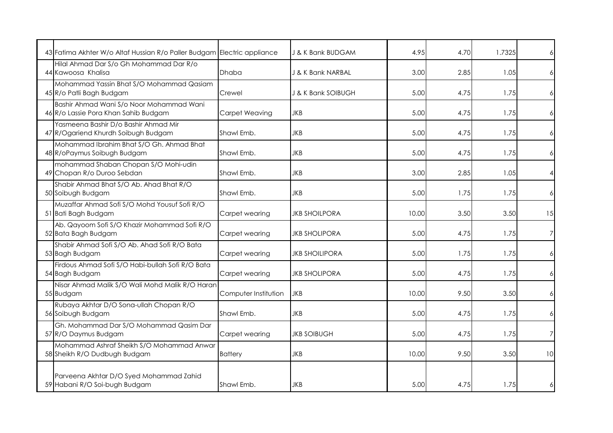| 43 Fatima Akhter W/o Altaf Hussian R/o Paller Budgam Electric appliance          |                      | J & K Bank BUDGAM     | 4.95  | 4.70 | 1.7325 | $\overline{6}$ |
|----------------------------------------------------------------------------------|----------------------|-----------------------|-------|------|--------|----------------|
| Hilal Ahmad Dar S/o Gh Mohammad Dar R/o<br>44 Kawoosa Khalisa                    | <b>Dhaba</b>         | J & K Bank NARBAL     | 3.00  | 2.85 | 1.05   | 61             |
| Mohammad Yassin Bhat S/O Mohammad Qasiam<br>45 R/o Patli Bagh Budgam             | Crewel               | J & K Bank SOIBUGH    | 5.00  | 4.75 | 1.75   | $6 \mid$       |
| Bashir Ahmad Wani S/o Noor Mohammad Wani<br>46 R/o Lassie Pora Khan Sahib Budgam | Carpet Weaving       | JKB                   | 5.00  | 4.75 | 1.75   | 6              |
| Yasmeena Bashir D/o Bashir Ahmad Mir<br>47 R/Ogariend Khurdh Soibugh Budgam      | Shawl Emb.           | <b>JKB</b>            | 5.00  | 4.75 | 1.75   | $\overline{6}$ |
| Mohammad Ibrahim Bhat S/O Gh. Ahmad Bhat<br>48 R/oPaymus Soibugh Budgam          | Shawl Emb.           | <b>JKB</b>            | 5.00  | 4.75 | 1.75   | $\epsilon$     |
| mohammad Shaban Chopan S/O Mohi-udin<br>49 Chopan R/o Duroo Sebdan               | Shawl Emb.           | <b>JKB</b>            | 3.00  | 2.85 | 1.05   | $\overline{4}$ |
| Shabir Ahmad Bhat S/O Ab. Ahad Bhat R/O<br>50 Soibugh Budgam                     | Shawl Emb.           | <b>JKB</b>            | 5.00  | 1.75 | 1.75   | $\epsilon$     |
| Muzaffar Ahmad Sofi S/O Mohd Yousuf Sofi R/O<br>51 Bati Bagh Budgam              | Carpet wearing       | JKB SHOILPORA         | 10.00 | 3.50 | 3.50   | 15             |
| Ab. Qayoom Sofi S/O Khazir Mohammad Sofi R/O<br>52 Bata Bagh Budgam              | Carpet wearing       | <b>JKB SHOLIPORA</b>  | 5.00  | 4.75 | 1.75   | $\overline{7}$ |
| Shabir Ahmad Sofi S/O Ab. Ahad Sofi R/O Bata<br>53 Bagh Budgam                   | Carpet wearing       | <b>JKB SHOILIPORA</b> | 5.00  | 1.75 | 1.75   | $\overline{6}$ |
| Firdous Ahmad Sofi S/O Habi-bullah Sofi R/O Bata<br>54 Bagh Budgam               | Carpet wearing       | <b>JKB SHOLIPORA</b>  | 5.00  | 4.75 | 1.75   | 6              |
| Nisar Ahmad Malik S/O Wali Mohd Malik R/O Haran<br>55 Budgam                     | Computer Institution | <b>JKB</b>            | 10.00 | 9.50 | 3.50   | $\overline{6}$ |
| Rubaya Akhtar D/O Sona-ullah Chopan R/O<br>56 Soibugh Budgam                     | Shawl Emb.           | <b>JKB</b>            | 5.00  | 4.75 | 1.75   | $\overline{6}$ |
| Gh. Mohammad Dar S/O Mohammad Qasim Dar<br>57 R/O Daymus Budgam                  | Carpet wearing       | <b>JKB SOIBUGH</b>    | 5.00  | 4.75 | 1.75   | 7              |
| Mohammad Ashraf Sheikh S/O Mohammad Anwar<br>58 Sheikh R/O Dudbugh Budgam        | <b>Battery</b>       | <b>JKB</b>            | 10.00 | 9.50 | 3.50   | 10             |
| Parveena Akhtar D/O Syed Mohammad Zahid<br>59 Habani R/O Soi-bugh Budgam         | Shawl Emb.           | <b>JKB</b>            | 5.00  | 4.75 | 1.75   | 6              |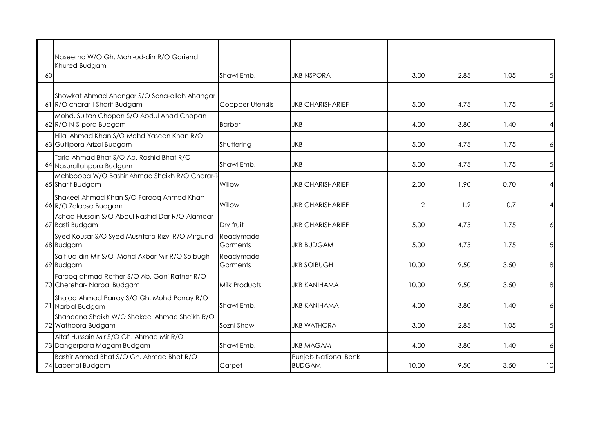| 60 | Naseema W/O Gh. Mohi-ud-din R/O Gariend<br>Khured Budgam                      | Shawl Emb.              | JKB NSPORA                            | 3.00  | 2.85 | 1.05 |                |
|----|-------------------------------------------------------------------------------|-------------------------|---------------------------------------|-------|------|------|----------------|
|    | Showkat Ahmad Ahangar S/O Sona-allah Ahangar<br>61 R/O charar-i-Sharif Budgam | <b>Coppper Utensils</b> | <b>JKB CHARISHARIEF</b>               | 5.00  | 4.75 | 1.75 |                |
|    | Mohd. Sultan Chopan S/O Abdul Ahad Chopan<br>62 R/O N-S-pora Budgam           | <b>Barber</b>           | JKB                                   | 4.00  | 3.80 | 1.40 | $\overline{4}$ |
|    | Hilal Ahmad Khan S/O Mohd Yaseen Khan R/O<br>63 Gutlipora Arizal Budgam       | Shuttering              | <b>JKB</b>                            | 5.00  | 4.75 | 1.75 | 6              |
|    | Tariq Ahmad Bhat S/O Ab. Rashid Bhat R/O<br>64 Nasurallahpora Budgam          | Shawl Emb.              | <b>JKB</b>                            | 5.00  | 4.75 | 1.75 | 5              |
|    | Mehbooba W/O Bashir Ahmad Sheikh R/O Charar-i-<br>65 Sharif Budgam            | Willow                  | <b>JKB CHARISHARIEF</b>               | 2.00  | 1.90 | 0.70 | $\overline{4}$ |
|    | Shakeel Ahmad Khan S/O Farooq Ahmad Khan<br>66 R/O Zaloosa Budgam             | Willow                  | <b>JKB CHARISHARIEF</b>               |       | 1.9  | 0.7  | $\overline{4}$ |
|    | Ashaq Hussain S/O Abdul Rashid Dar R/O Alamdar<br>67 Basti Budgam             | Dry fruit               | <b>JKB CHARISHARIEF</b>               | 5.00  | 4.75 | 1.75 | 6              |
|    | Syed Kousar S/O Syed Mushtafa Rizvi R/O Mirgund<br>68 Budgam                  | Readymade<br>Garments   | <b>JKB BUDGAM</b>                     | 5.00  | 4.75 | 1.75 | $\overline{5}$ |
|    | Saif-ud-din Mir S/O Mohd Akbar Mir R/O Soibugh<br>69 Budgam                   | Readymade<br>Garments   | <b>JKB SOIBUGH</b>                    | 10.00 | 9.50 | 3.50 | 8              |
|    | Farooq ahmad Rather S/O Ab. Gani Rather R/O<br>70 Cherehar- Narbal Budgam     | <b>Milk Products</b>    | <b>JKB KANIHAMA</b>                   | 10.00 | 9.50 | 3.50 | 8              |
|    | Shajad Ahmad Parray S/O Gh. Mohd Parray R/O<br>71 Narbal Budgam               | Shawl Emb.              | <b>JKB KANIHAMA</b>                   | 4.00  | 3.80 | 1.40 | 6              |
|    | Shaheena Sheikh W/O Shakeel Ahmad Sheikh R/O<br>72 Wathoora Budgam            | Sozni Shawl             | <b>JKB WATHORA</b>                    | 3.00  | 2.85 | 1.05 | 5              |
|    | Altaf Hussain Mir S/O Gh. Ahmad Mir R/O<br>73 Dangerpora Magam Budgam         | Shawl Emb.              | <b>JKB MAGAM</b>                      | 4.00  | 3.80 | 1.40 | 6              |
|    | Bashir Ahmad Bhat S/O Gh. Ahmad Bhat R/O<br>74 Labertal Budgam                | Carpet                  | Punjab National Bank<br><b>BUDGAM</b> | 10.00 | 9.50 | 3.50 | 10             |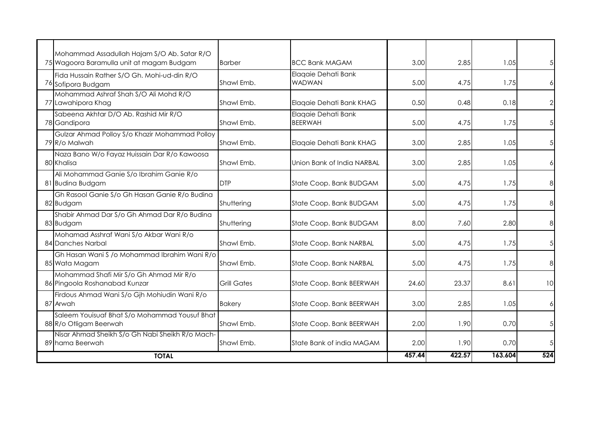| <b>TOTAL</b>                                                                             |                    |                                       | 457.44 | 422.57 | 163.604 | 524            |
|------------------------------------------------------------------------------------------|--------------------|---------------------------------------|--------|--------|---------|----------------|
| Nisar Ahmad Sheikh S/o Gh Nabi Sheikh R/o Mach-<br>89 hama Beerwah                       | Shawl Emb.         | State Bank of india MAGAM             | 2.00   | 1.90   | 0.70    | $\sqrt{5}$     |
| Saleem Youisuaf Bhat S/o Mohammad Yousuf Bhat<br>88 R/o Otligam Beerwah                  | Shawl Emb.         | State Coop. Bank BEERWAH              | 2.00   | 1.90   | 0.70    | $\sqrt{5}$     |
| Firdous Ahmad Wani S/o Gjh Mohiudin Wani R/o<br>87 Arwah                                 | <b>Bakery</b>      | State Coop. Bank BEERWAH              | 3.00   | 2.85   | 1.05    | 6              |
| Mohammad Shafi Mir S/o Gh Ahmad Mir R/o<br>86 Pingoola Roshanabad Kunzar                 | <b>Grill Gates</b> | State Coop. Bank BEERWAH              | 24.60  | 23.37  | 8.61    | 10             |
| Gh Hasan Wani S /o Mohammad Ibrahim Wani R/o<br>85 Wata Magam                            | Shawl Emb.         | State Coop. Bank NARBAL               | 5.00   | 4.75   | 1.75    | 8              |
| Mohamad Asshraf Wani S/o Akbar Wani R/o<br>84 Danches Narbal                             | Shawl Emb.         | State Coop. Bank NARBAL               | 5.00   | 4.75   | 1.75    | $\sqrt{5}$     |
| Shabir Ahmad Dar S/o Gh Ahmad Dar R/o Budina<br>83 Budgam                                | Shuttering         | State Coop. Bank BUDGAM               | 8.00   | 7.60   | 2.80    | 8              |
| Gh Rasool Ganie S/o Gh Hasan Ganie R/o Budina<br>82 Budgam                               | Shuttering         | State Coop. Bank BUDGAM               | 5.00   | 4.75   | 1.75    | 8              |
| Ali Mohammad Ganie S/o Ibrahim Ganie R/o<br>81 Budina Budgam                             | <b>DTP</b>         | State Coop. Bank BUDGAM               | 5.00   | 4.75   | 1.75    | 8              |
| Naza Bano W/o Fayaz Huissain Dar R/o Kawoosa<br>80 Khalisa                               | Shawl Emb.         | Union Bank of India NARBAL            | 3.00   | 2.85   | 1.05    | 6              |
| Gulzar Ahmad Polloy S/o Khazir Mohammad Polloy<br>79 R/o Malwah                          | Shawl Emb.         | Elaqaie Dehati Bank KHAG              | 3.00   | 2.85   | 1.05    | $\sqrt{5}$     |
| Sabeena Akhtar D/O Ab. Rashid Mir R/O<br>78 Gandipora                                    | Shawl Emb.         | Elagaie Dehati Bank<br><b>BEERWAH</b> | 5.00   | 4.75   | 1.75    | 5              |
| Mohammad Ashraf Shah S/O Ali Mohd R/O<br>77 Lawahipora Khag                              | Shawl Emb.         | Elagaie Dehati Bank KHAG              | 0.50   | 0.48   | 0.18    | $\overline{2}$ |
| Fida Hussain Rather S/O Gh. Mohi-ud-din R/O<br>76 Sofipora Budgam                        | Shawl Emb.         | Elaqaie Dehati Bank<br><b>WADWAN</b>  | 5.00   | 4.75   | 1.75    | 6              |
| Mohammad Assadullah Hajam S/O Ab. Satar R/O<br>75 Wagoora Baramulla unit at magam Budgam | <b>Barber</b>      | <b>BCC Bank MAGAM</b>                 | 3.00   | 2.85   | 1.05    |                |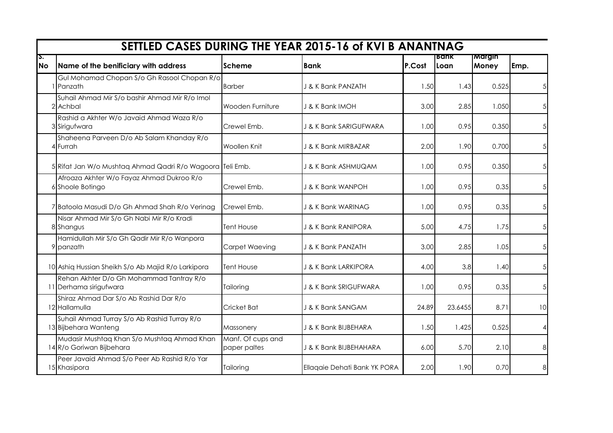|                 |                                                                         |                                   | SETTLED CASES DURING THE YEAR 2015-16 of KVI B ANANTNAG |        |               |                 |                 |
|-----------------|-------------------------------------------------------------------------|-----------------------------------|---------------------------------------------------------|--------|---------------|-----------------|-----------------|
| S.<br><b>No</b> | Name of the benificiary with address                                    | <b>Scheme</b>                     | <b>Bank</b>                                             | P.Cost | Bank<br>lLoan | Margin<br>Money | Emp.            |
|                 | Gul Mohamad Chopan S/o Gh Rasool Chopan R/o<br>Panzath                  | <b>Barber</b>                     | J & K Bank PANZATH                                      | 1.50   | 1.43          | 0.525           | 5 <sup>1</sup>  |
|                 | Suhail Ahmad Mir S/o bashir Ahmad Mir R/o Imol<br>2 Achbal              | Wooden Furniture                  | J & K Bank IMOH                                         | 3.00   | 2.85          | 1.050           | 5 <sup>1</sup>  |
|                 | Rashid a Akhter W/o Javaid Ahmad Waza R/o<br>3 Sirigufwara              | Crewel Emb.                       | J & K Bank SARIGUFWARA                                  | 1.00   | 0.95          | 0.350           | 5 <sup>1</sup>  |
|                 | Shaheena Parveen D/o Ab Salam Khanday R/o<br>4 Furrah                   | Woollen Knit                      | J & K Bank MIRBAZAR                                     | 2.00   | 1.90          | 0.700           | 5 <sup>1</sup>  |
|                 | 5 Rifat Jan W/o Mushtag Ahmad Qadri R/o Wagoora Teli Emb.               |                                   | J & K Bank ASHMUQAM                                     | 1.00   | 0.95          | 0.350           | 5 <sup>1</sup>  |
|                 | Afroaza Akhter W/o Fayaz Ahmad Dukroo R/o<br>6 Shoole Botingo           | Crewel Emb.                       | J & K Bank WANPOH                                       | 1.00   | 0.95          | 0.35            | 5 <sup>1</sup>  |
|                 | 7 Batoola Masudi D/o Gh Ahmad Shah R/o Verinag                          | Crewel Emb.                       | J & K Bank WARINAG                                      | 1.00   | 0.95          | 0.35            | 5 <sup>1</sup>  |
|                 | Nisar Ahmad Mir S/o Gh Nabi Mir R/o Kradi<br>8 Shangus                  | <b>Tent House</b>                 | J & K Bank RANIPORA                                     | 5.00   | 4.75          | 1.75            | 5 <sup>1</sup>  |
|                 | Hamidullah Mir S/o Gh Qadir Mir R/o Wanpora<br>9 panzath                | Carpet Waeving                    | J & K Bank PANZATH                                      | 3.00   | 2.85          | 1.05            | 5 <sup>1</sup>  |
|                 | 10 Ashiq Hussian Sheikh S/o Ab Majid R/o Larkipora                      | <b>Tent House</b>                 | J & K Bank LARKIPORA                                    | 4.00   | 3.8           | 1.40            | 5 <sup>1</sup>  |
|                 | Rehan Akhter D/o Gh Mohammad Tantray R/o<br>11 Derhama sirigufwara      | Tailoring                         | J & K Bank SRIGUFWARA                                   | 1.00   | 0.95          | 0.35            | 5 <sup>1</sup>  |
|                 | Shiraz Ahmad Dar S/o Ab Rashid Dar R/o<br>12 Hallamulla                 | Cricket Bat                       | J & K Bank SANGAM                                       | 24.89  | 23.6455       | 8.71            | 10 <sup>1</sup> |
|                 | Suhail Ahmad Turray S/o Ab Rashid Turray R/o<br>13 Bijbehara Wanteng    | Massonery                         | J & K Bank BIJBEHARA                                    | 1.50   | 1.425         | 0.525           | $\vert$         |
|                 | Mudasir Mushtaq Khan S/o Mushtaq Ahmad Khan<br>14 R/o Goriwan Bijbehara | Manf. Of cups and<br>paper paltes | J & K Bank BIJBEHAHARA                                  | 6.00   | 5.70          | 2.10            | 8 <sup>1</sup>  |
|                 | Peer Javaid Ahmad S/o Peer Ab Rashid R/o Yar<br>15 Khasipora            | Tailoring                         | Ellaqaie Dehati Bank YK PORA                            | 2.00   | 1.90          | 0.70            | 8 <sup>1</sup>  |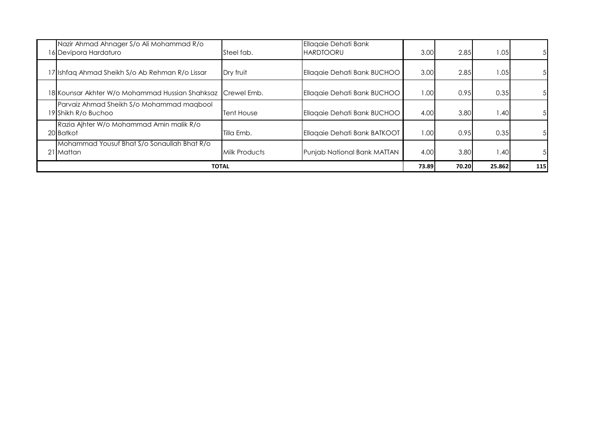| Nazir Ahmad Ahnager S/o Ali Mohammad R/o<br>16 Devipora Hardaturo | Steel fab.        | Ellaqaie Dehati Bank<br><b>HARDTOORU</b> | 3.00   | 2.85  | 1.05   | -51            |
|-------------------------------------------------------------------|-------------------|------------------------------------------|--------|-------|--------|----------------|
| 17 Ishfaq Ahmad Sheikh S/o Ab Rehman R/o Lissar                   | Dry fruit         | Ellaqaie Dehati Bank BUCHOO              | 3.00   | 2.85  | 1.05   | 51             |
| 18 Kounsar Akhter W/o Mohammad Hussian Shahksaz Crewel Emb.       |                   | Ellaqaie Dehati Bank BUCHOO              | 1.00   | 0.95  | 0.35   | -51            |
| Parvaiz Ahmad Sheikh S/o Mohammad magbool<br>19 Shikh R/o Buchoo  | <b>Tent House</b> | Ellagaie Dehati Bank BUCHOO              | 4.00   | 3.80  | 1.40   | -51            |
| Razia Ajhter W/o Mohammad Amin malik R/o<br>20 Batkot             | Tilla Emb.        | Ellaqaie Dehati Bank BATKOOT             | 1.00   | 0.95  | 0.35   | 5 <sub>l</sub> |
| Mohammad Yousuf Bhat S/o Sonaullah Bhat R/o<br>21 Mattan          | Milk Products     | Punjab National Bank MATTAN              | 4.00   | 3.80  | 1.40   | 51             |
|                                                                   | TOTAL             |                                          | 73.891 | 70.20 | 25.862 | 115            |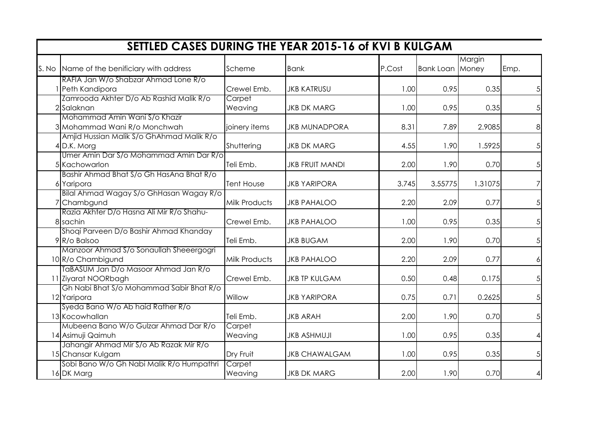| SETTLED CASES DURING THE YEAR 2015-16 of KVI B KULGAM                                             |                      |                        |        |                        |         |                |  |  |  |  |
|---------------------------------------------------------------------------------------------------|----------------------|------------------------|--------|------------------------|---------|----------------|--|--|--|--|
| S. No Name of the benificiary with address                                                        | Scheme               | Bank                   | P.Cost | <b>Bank Loan Money</b> | Margin  | Emp.           |  |  |  |  |
| RAFIA Jan W/o Shabzar Ahmad Lone R/o<br>1 Peth Kandipora                                          | Crewel Emb.          | <b>JKB KATRUSU</b>     | 1.00   | 0.95                   | 0.35    | 5 <sup>1</sup> |  |  |  |  |
| Zamrooda Akhter D/o Ab Rashid Malik R/o<br>2 Salaknan                                             | Carpet<br>Weaving    | <b>JKB DK MARG</b>     | 1.00   | 0.95                   | 0.35    | 5 <sup>1</sup> |  |  |  |  |
| Mohammad Amin Wani S/o Khazir<br>3 Mohammad Wani R/o Monchwah                                     | joinery items        | <b>JKB MUNADPORA</b>   | 8.31   | 7.89                   | 2.9085  | 8 <sup>1</sup> |  |  |  |  |
| Amjid Hussian Malik S/o GhAhmad Malik R/o<br>4 D.K. Morg                                          | Shuttering           | <b>JKB DK MARG</b>     | 4.55   | 1.90                   | 1.5925  | 5 <sup>1</sup> |  |  |  |  |
| Umer Amin Dar S/o Mohammad Amin Dar R/o<br>5 Kachowarlon                                          | Teli Emb.            | <b>JKB FRUIT MANDI</b> | 2.00   | 1.90                   | 0.70    | 5 <sup>1</sup> |  |  |  |  |
| Bashir Ahmad Bhat S/o Gh HasAna Bhat R/o<br>6 Yaripora                                            | <b>Tent House</b>    | <b>JKB YARIPORA</b>    | 3.745  | 3.55775                | 1.31075 | $\overline{7}$ |  |  |  |  |
| Bilal Ahmad Wagay S/o GhHasan Wagay R/o<br>7 Chambgund                                            | <b>Milk Products</b> | <b>JKB PAHALOO</b>     | 2.20   | 2.09                   | 0.77    | 5 <sup>1</sup> |  |  |  |  |
| Razia Akhter D/o Hasna Ali Mir R/o Shahu-<br>8 sachin                                             | Crewel Emb.          | <b>JKB PAHALOO</b>     | 1.00   | 0.95                   | 0.35    | 5 <sup>1</sup> |  |  |  |  |
| Shoqi Parveen D/o Bashir Ahmad Khanday<br>9 R/o Balsoo<br>Manzoor Ahmad S/o Sonaullah Sheeergogri | Teli Emb.            | <b>JKB BUGAM</b>       | 2.00   | 1.90                   | 0.70    | 5 <sup>1</sup> |  |  |  |  |
| 10 R/o Chambigund<br>TaBASUM Jan D/o Masoor Ahmad Jan R/o                                         | <b>Milk Products</b> | <b>JKB PAHALOO</b>     | 2.20   | 2.09                   | 0.77    | $6 \mid$       |  |  |  |  |
| 11 Ziyarat NOORbagh<br>Gh Nabi Bhat S/o Mohammad Sabir Bhat R/o                                   | Crewel Emb.          | <b>JKB TP KULGAM</b>   | 0.50   | 0.48                   | 0.175   | 5 <sup>1</sup> |  |  |  |  |
| 12 Yaripora<br>Syeda Bano W/o Ab haid Rather R/o                                                  | Willow               | <b>JKB YARIPORA</b>    | 0.75   | 0.71                   | 0.2625  | 5 <sup>1</sup> |  |  |  |  |
| 13 Kocowhallan                                                                                    | Teli Emb.            | <b>JKB ARAH</b>        | 2.00   | 1.90                   | 0.70    | 5 <sub>l</sub> |  |  |  |  |
| Mubeena Bano W/o Gulzar Ahmad Dar R/o<br>14 Asimuji Qaimuh                                        | Carpet<br>Weaving    | <b>JKB ASHMUJI</b>     | 1.00   | 0.95                   | 0.35    | $\vert$        |  |  |  |  |
| Jahangir Ahmad Mir S/o Ab Razak Mir R/o<br>15 Chansar Kulgam                                      | Dry Fruit            | <b>JKB CHAWALGAM</b>   | 1.00   | 0.95                   | 0.35    | 5 <sup>1</sup> |  |  |  |  |
| Sobi Bano W/o Gh Nabi Malik R/o Humpathri<br>16 DK Marg                                           | Carpet<br>Weaving    | <b>JKB DK MARG</b>     | 2.00   | 1.90                   | 0.70    | $\vert$        |  |  |  |  |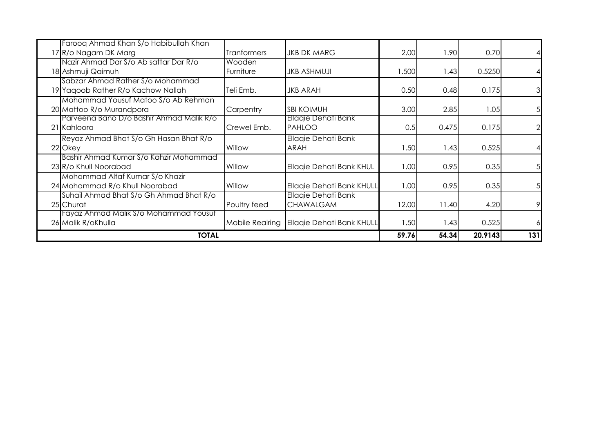| Farooq Ahmad Khan S/o Habibullah Khan    |                    |                                 |       |       |         |                |
|------------------------------------------|--------------------|---------------------------------|-------|-------|---------|----------------|
| 17 R/o Nagam DK Marg                     | <b>Tranformers</b> | <b>JKB DK MARG</b>              | 2.00  | 1.90  | 0.70    |                |
| Nazir Ahmad Dar S/o Ab sattar Dar R/o    | Wooden             |                                 |       |       |         |                |
| 18 Ashmuji Qaimuh                        | Furniture          | <b>JKB ASHMUJI</b>              | .500  | 1.43  | 0.5250  |                |
| Sabzar Ahmad Rather S/o Mohammad         |                    |                                 |       |       |         |                |
| 19 Yaqoob Rather R/o Kachow Nallah       | Teli Emb.          | <b>JKB ARAH</b>                 | 0.50  | 0.48  | 0.175   | $\mathfrak{S}$ |
| Mohammad Yousuf Matoo S/o Ab Rehman      |                    |                                 |       |       |         |                |
| 20 Mattoo R/o Murandpora                 | Carpentry          | <b>SBI KOIMUH</b>               | 3.00  | 2.85  | 1.05    | 5              |
| Parveena Bano D/o Bashir Ahmad Malik R/o |                    | Ellagie Dehati Bank             |       |       |         |                |
| 21 Kahloora                              | Crewel Emb.        | PAHLOO                          | 0.5   | 0.475 | 0.175   | $\overline{2}$ |
| Reyaz Ahmad Bhat S/o Gh Hasan Bhat R/o   |                    | Ellagie Dehati Bank             |       |       |         |                |
| 22 Okey                                  | Willow             | <b>ARAH</b>                     | 1.50  | 1.43  | 0.525   |                |
| Bashir Ahmad Kumar S/o Kahzir Mohammad   |                    |                                 |       |       |         |                |
| 23 R/o Khull Noorabad                    | Willow             | <b>Ellagie Dehati Bank KHUL</b> | 1.00  | 0.95  | 0.35    | 5              |
| Mohammad Altaf Kumar S/o Khazir          |                    |                                 |       |       |         |                |
| 24 Mohammad R/o Khull Noorabad           | Willow             | Ellagie Dehati Bank KHULL       | 1.00  | 0.95  | 0.35    | 5              |
| Suhail Ahmad Bhat S/o Gh Ahmad Bhat R/o  |                    | Ellagie Dehati Bank             |       |       |         |                |
| 25 Churat                                | Poultry feed       | <b>CHAWALGAM</b>                | 12.00 | 11.40 | 4.20    | 9              |
| Fayaz Ahmad Malik S/o Mohammad Yousut    |                    |                                 |       |       |         |                |
| 26 Malik R/oKhulla                       | Mobile Reairing    | Ellaqie Dehati Bank KHULL       | 1.50  | 1.43  | 0.525   | 6              |
| <b>TOTAL</b>                             |                    |                                 | 59.76 | 54.34 | 20.9143 | 131            |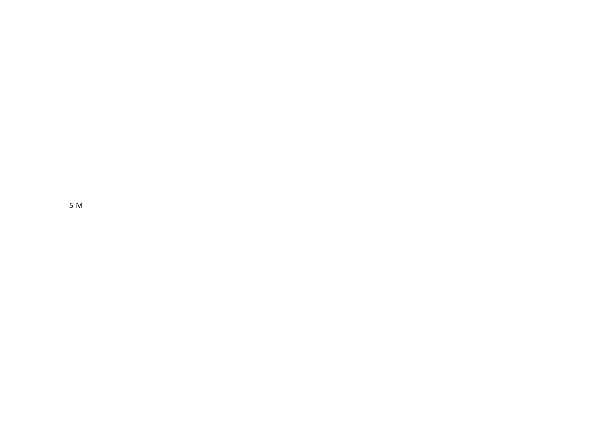5 M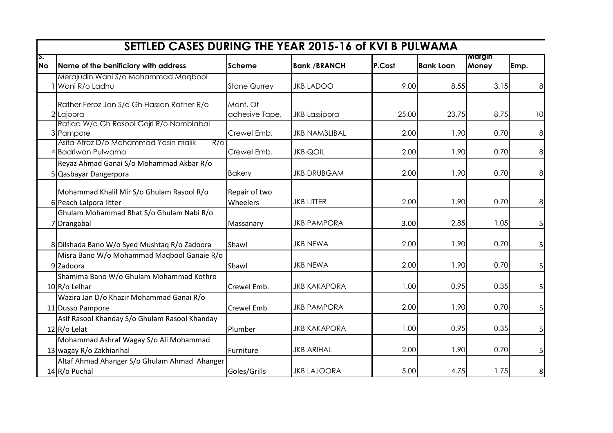|                 | SETTLED CASES DURING THE YEAR 2015-16 of KVI B PULWAMA              |                            |                      |        |                  |                 |                |
|-----------------|---------------------------------------------------------------------|----------------------------|----------------------|--------|------------------|-----------------|----------------|
| S.<br><b>No</b> | Name of the benificiary with address                                | Scheme                     | <b>Bank /BRANCH</b>  | P.Cost | <b>Bank Loan</b> | Margin<br>Money | Emp.           |
|                 | Merajudin Wani S/o Mohammad Maqbool<br>Wani R/o Ladhu               | <b>Stone Qurrey</b>        | <b>JKB LADOO</b>     | 9.00   | 8.55             | 3.15            | 8 <sup>0</sup> |
|                 | Rather Feroz Jan S/o Gh Hassan Rather R/o<br>2 Lajoora              | Manf. Of<br>adhesive Tape. | <b>JKB Lassipora</b> | 25.00  | 23.75            | 8.75            | 10             |
|                 | Rafiqa W/o Gh Rasool Gojri R/o Namblabal<br>3 Pampore               | Crewel Emb.                | <b>JKB NAMBLIBAL</b> | 2.00   | 1.90             | 0.70            | 8              |
|                 | Asifa Afroz D/o Mohammad Yasin malik<br>R/O<br>4 Badriwan Pulwama   | Crewel Emb.                | <b>JKB QOIL</b>      | 2.00   | 1.90             | 0.70            | 8 <sup>0</sup> |
|                 | Reyaz Ahmad Ganai S/o Mohammad Akbar R/o<br>5 Qasbayar Dangerpora   | <b>Bakery</b>              | <b>JKB DRUBGAM</b>   | 2.00   | 1.90             | 0.70            | 8              |
|                 | Mohammad Khalil Mir S/o Ghulam Rasool R/o<br>6 Peach Lalpora litter | Repair of two<br>Wheelers  | <b>JKB LITTER</b>    | 2.00   | 1.90             | 0.70            | 8              |
|                 | Ghulam Mohammad Bhat S/o Ghulam Nabi R/o<br>7 Drangabal             | Massanary                  | <b>JKB PAMPORA</b>   | 3.00   | 2.85             | 1.05            | 5 <sup>1</sup> |
|                 | 8 Dilshada Bano W/o Syed Mushtaq R/o Zadoora                        | Shawl                      | <b>JKB NEWA</b>      | 2.00   | 1.90             | 0.70            | 5 <sup>1</sup> |
|                 | Misra Bano W/o Mohammad Maqbool Ganaie R/o<br>9 Zadoora             | Shawl                      | <b>JKB NEWA</b>      | 2.00   | 1.90             | 0.70            | 5 <sup>1</sup> |
|                 | Shamima Bano W/o Ghulam Mohammad Kothro<br>10 R/o Lelhar            | Crewel Emb.                | <b>JKB KAKAPORA</b>  | 1.00   | 0.95             | 0.35            | 5 <sup>1</sup> |
|                 | Wazira Jan D/o Khazir Mohammad Ganai R/o<br>11 Dusso Pampore        | Crewel Emb.                | <b>JKB PAMPORA</b>   | 2.00   | 1.90             | 0.70            | 5 <sup>1</sup> |
|                 | Asif Rasool Khanday S/o Ghulam Rasool Khanday<br>$12$ R/o Lelat     | Plumber                    | <b>JKB KAKAPORA</b>  | 1.00   | 0.95             | 0.35            | 5 <sup>1</sup> |
|                 | Mohammad Ashraf Wagay S/o Ali Mohammad<br>13 wagay R/o Zakhiarihal  | Furniture                  | <b>JKB ARIHAL</b>    | 2.00   | 1.90             | 0.70            | 5 <sup>1</sup> |
|                 | Altaf Ahmad Ahanger S/o Ghulam Ahmad Ahanger<br>14 R/o Puchal       | Goles/Grills               | <b>JKB LAJOORA</b>   | 5.00   | 4.75             | 1.75            | 8              |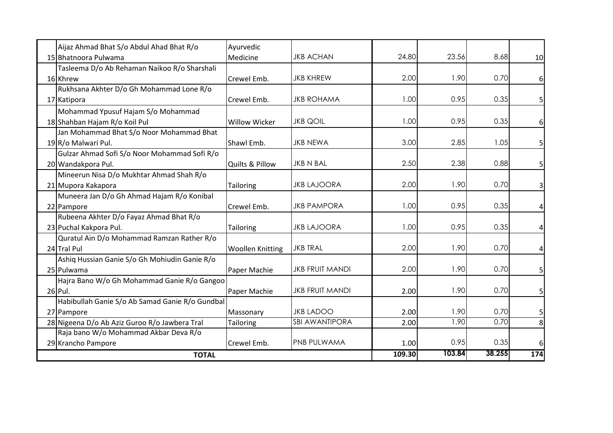| Aijaz Ahmad Bhat S/o Abdul Ahad Bhat R/o        | Ayurvedic                  |                        |        |       |      |                         |
|-------------------------------------------------|----------------------------|------------------------|--------|-------|------|-------------------------|
| 15 Bhatnoora Pulwama                            | <b>Medicine</b>            | <b>JKB ACHAN</b>       | 24.80  | 23.56 | 8.68 | 10 <sup>1</sup>         |
| Tasleema D/o Ab Rehaman Naikoo R/o Sharshali    |                            |                        |        |       |      |                         |
| 16 Khrew                                        | <b>l</b> Crewel Emb.       | <b>JKB KHREW</b>       | 2.00   | 1.90  | 0.70 | $6 \mid$                |
| Rukhsana Akhter D/o Gh Mohammad Lone R/o        |                            |                        |        |       |      |                         |
| 17 Katipora                                     | <b>l</b> Crewel Emb.       | <b>JKB ROHAMA</b>      | 1.00   | 0.95  | 0.35 | 5                       |
| Mohammad Ypusuf Hajam S/o Mohammad              |                            |                        |        |       |      |                         |
| 18 Shahban Hajam R/o Koil Pul                   | <b>Willow Wicker</b>       | <b>JKB QOIL</b>        | 1.00   | 0.95  | 0.35 | $6 \mid$                |
| Jan Mohammad Bhat S/o Noor Mohammad Bhat        |                            |                        |        |       |      |                         |
| 19R/o Malwari Pul.                              | <b>I</b> Shawl Emb.        | <b>JKB NEWA</b>        | 3.00   | 2.85  | 1.05 | 5                       |
| Gulzar Ahmad Sofi S/o Noor Mohammad Sofi R/o    |                            |                        |        |       |      |                         |
| 20 Wandakpora Pul.                              | <b>Quilts &amp; Pillow</b> | <b>JKB N BAL</b>       | 2.50   | 2.38  | 0.88 | 5                       |
| Mineerun Nisa D/o Mukhtar Ahmad Shah R/o        |                            |                        |        |       |      |                         |
| 21 Mupora Kakapora                              | Tailoring                  | <b>JKB LAJOORA</b>     | 2.00   | 1.90  | 0.70 | $\overline{\mathbf{3}}$ |
| Muneera Jan D/o Gh Ahmad Hajam R/o Konibal      |                            |                        |        |       |      |                         |
| 22 Pampore                                      | Crewel Emb.                | <b>JKB PAMPORA</b>     | 1.00   | 0.95  | 0.35 |                         |
| Rubeena Akhter D/o Fayaz Ahmad Bhat R/o         |                            |                        |        |       |      |                         |
| 23 Puchal Kakpora Pul.                          | Tailoring                  | <b>JKB LAJOORA</b>     | 1.00   | 0.95  | 0.35 |                         |
| Quratul Ain D/o Mohammad Ramzan Rather R/o      |                            |                        |        |       |      |                         |
| 24 Tral Pul                                     | <b>Woollen Knitting</b>    | <b>JKB TRAL</b>        | 2.00   | 1.90  | 0.70 | 4                       |
| Ashiq Hussian Ganie S/o Gh Mohiudin Ganie R/o   |                            |                        |        |       |      |                         |
| 25 Pulwama                                      | Paper Machie               | <b>JKB FRUIT MANDI</b> | 2.00   | 1.90  | 0.70 | 5                       |
| Hajra Bano W/o Gh Mohammad Ganie R/o Gangoo     |                            |                        |        |       |      |                         |
| 26 Pul.                                         | Paper Machie               | <b>JKB FRUIT MANDI</b> | 2.00   | 1.90  | 0.70 | 5 <sup>1</sup>          |
| Habibullah Ganie S/o Ab Samad Ganie R/o Gundbal |                            |                        |        |       |      |                         |
| 27 Pampore                                      | Massonary                  | <b>JKB LADOO</b>       | 2.00   | 1.90  | 0.70 | 5                       |
| 28 Nigeena D/o Ab Aziz Guroo R/o Jawbera Tral   | Tailoring                  | <b>SBI AWANTIPORA</b>  | 2.00   | 1.90  | 0.70 | 8                       |
| Raja bano W/o Mohammad Akbar Deva R/o           |                            |                        |        |       |      |                         |
| 29 Krancho Pampore                              | Crewel Emb.                | <b>PNB PULWAMA</b>     | 1.00   | 0.95  | 0.35 | 6 <sup>1</sup>          |
| <b>TOTAL</b>                                    | 109.30                     | 103.84                 | 38.255 | 174   |      |                         |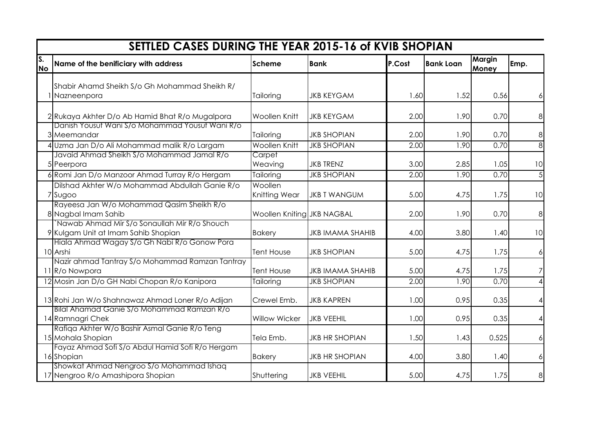|                 | SETTLED CASES DURING THE YEAR 2015-16 of KVIB SHOPIAN                               |                            |                         |        |                  |                 |                |  |  |  |  |
|-----------------|-------------------------------------------------------------------------------------|----------------------------|-------------------------|--------|------------------|-----------------|----------------|--|--|--|--|
| S.<br><b>No</b> | Name of the benificiary with address                                                | <b>Scheme</b>              | <b>Bank</b>             | P.Cost | <b>Bank Loan</b> | Margin<br>Money | Emp.           |  |  |  |  |
|                 | Shabir Ahamd Sheikh S/o Gh Mohammad Sheikh R/                                       |                            |                         |        |                  |                 |                |  |  |  |  |
|                 | 1 Nazneenpora                                                                       | Tailoring                  | <b>JKB KEYGAM</b>       | 1.60   | 1.52             | 0.56            | 6              |  |  |  |  |
|                 | 2 Rukaya Akhter D/o Ab Hamid Bhat R/o Mugalpora                                     | <b>Woollen Knitt</b>       | <b>JKB KEYGAM</b>       | 2.00   | 1.90             | 0.70            | 8              |  |  |  |  |
|                 | Danish Yousuf Wani S/o Mohammad Yousuf Wani R/o<br>3 Meemandar                      | Tailoring                  | <b>JKB SHOPIAN</b>      | 2.00   | 1.90             | 0.70            | 8              |  |  |  |  |
|                 | 4 Uzma Jan D/o Ali Mohammad malik R/o Largam                                        | <b>Woollen Knitt</b>       | <b>JKB SHOPIAN</b>      | 2.00   | 1.90             | 0.70            | $\overline{8}$ |  |  |  |  |
|                 | Javaid Ahmad Sheikh S/o Mohammad Jamal R/o<br>5 Peerpora                            | Carpet<br>Weaving          | <b>JKB TRENZ</b>        | 3.00   | 2.85             | 1.05            | 10             |  |  |  |  |
|                 | 6 Romi Jan D/o Manzoor Ahmad Turray R/o Hergam                                      | Tailoring                  | <b>JKB SHOPIAN</b>      | 2.00   | 1.90             | 0.70            | $\overline{5}$ |  |  |  |  |
|                 | Dilshad Akhter W/o Mohammad Abdullah Ganie R/o<br>7 Sugoo                           | Woollen<br>Knitting Wear   | <b>JKB T WANGUM</b>     | 5.00   | 4.75             | 1.75            | 10             |  |  |  |  |
|                 | Rayeesa Jan W/o Mohammad Qasim Sheikh R/o<br>8 Nagbal Imam Sahib                    | Woollen Kniting JKB NAGBAL |                         | 2.00   | 1.90             | 0.70            | 8              |  |  |  |  |
|                 | Nawab Ahmad Mir S/o Sonaullah Mir R/o Shouch<br>9 Kulgam Unit at Imam Sahib Shopian | <b>Bakery</b>              | <b>JKB IMAMA SHAHIB</b> | 4.00   | 3.80             | 1.40            | 10             |  |  |  |  |
|                 | Hiala Ahmad Wagay S/o Gh Nabi R/o Gonow Pora<br>10 Arshi                            | <b>Tent House</b>          | <b>JKB SHOPIAN</b>      | 5.00   | 4.75             | 1.75            | $\frac{1}{2}$  |  |  |  |  |
|                 | Nazir ahmad Tantray S/o Mohammad Ramzan Tantray<br>11 R/o Nowpora                   | <b>Tent House</b>          | <b>JKB IMAMA SHAHIB</b> | 5.00   | 4.75             | 1.75            | 7              |  |  |  |  |
|                 | 12 Mosin Jan D/o GH Nabi Chopan R/o Kanipora                                        | Tailoring                  | <b>JKB SHOPIAN</b>      | 2.00   | 1.90             | 0.70            | 4              |  |  |  |  |
|                 | 13 Rohi Jan W/o Shahnawaz Ahmad Loner R/o Adijan                                    | Crewel Emb.                | <b>JKB KAPREN</b>       | 1.00   | 0.95             | 0.35            | 4              |  |  |  |  |
|                 | Bilal Ahamad Ganie S/o Mohammad Ramzan R/o<br>14 Ramnagri Chek                      | <b>Willow Wicker</b>       | <b>JKB VEEHIL</b>       | 1.00   | 0.95             | 0.35            | $\overline{4}$ |  |  |  |  |
|                 | Rafiqa Akhter W/o Bashir Asmal Ganie R/o Teng<br>15 Mohala Shopian                  | Tela Emb.                  | <b>JKB HR SHOPIAN</b>   | 1.50   | 1.43             | 0.525           | 6              |  |  |  |  |
|                 | Fayaz Ahmad Sofi S/o Abdul Hamid Sofi R/o Hergam<br>16 Shopian                      | <b>Bakery</b>              | <b>JKB HR SHOPIAN</b>   | 4.00   | 3.80             | 1.40            | 6              |  |  |  |  |
|                 | Showkat Ahmad Nengroo S/o Mohammad Ishaq<br>17 Nengroo R/o Amashipora Shopian       | Shuttering                 | <b>JKB VEEHIL</b>       | 5.00   | 4.75             | 1.75            | 8              |  |  |  |  |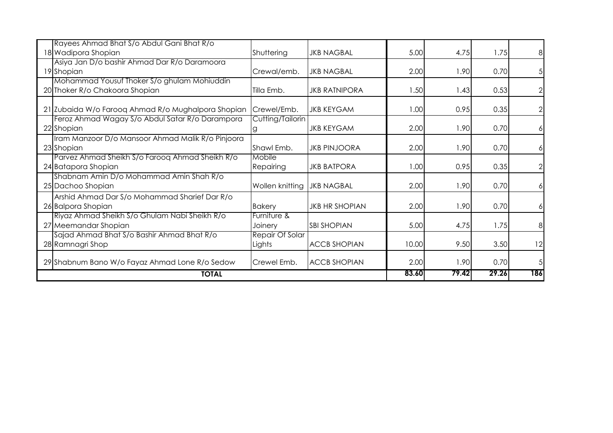| <b>TOTAL</b>                                                                                                        |                                           |                       | 83.60 | 79.42 | 29.26 | 186            |
|---------------------------------------------------------------------------------------------------------------------|-------------------------------------------|-----------------------|-------|-------|-------|----------------|
| 29 Shabnum Bano W/o Fayaz Ahmad Lone R/o Sedow                                                                      | Crewel Emb.                               | <b>ACCB SHOPIAN</b>   | 2.00  | 1.90  | 0.70  | 5              |
| 28 Ramnagri Shop                                                                                                    | Lights                                    | <b>ACCB SHOPIAN</b>   | 10.00 | 9.50  | 3.50  | 12             |
| Riyaz Ahmad Sheikh S/o Ghulam Nabi Sheikh R/o<br>27 Meemandar Shopian<br>Sajad Ahmad Bhat S/o Bashir Ahmad Bhat R/o | Furniture &<br>Joinery<br>Repair Of Solar | <b>SBI SHOPIAN</b>    | 5.00  | 4.75  | 1.75  | 8              |
| Arshid Ahmad Dar S/o Mohammad Sharief Dar R/o<br>26 Balpora Shopian                                                 | <b>Bakery</b>                             | <b>JKB HR SHOPIAN</b> | 2.00  | 1.90  | 0.70  | 6              |
| Shabnam Amin D/o Mohammad Amin Shah R/o<br>25 Dachoo Shopian                                                        | Wollen knitting                           | <b>JKB NAGBAL</b>     | 2.00  | 1.90  | 0.70  | 6              |
| Parvez Ahmad Sheikh S/o Farooq Ahmad Sheikh R/o<br>24 Batapora Shopian                                              | Mobile<br><b>Repairing</b>                | <b>JKB BATPORA</b>    | 1.00  | 0.95  | 0.35  | $\overline{2}$ |
| Iram Manzoor D/o Mansoor Ahmad Malik R/o Pinjoora<br>23 Shopian                                                     | Shawl Emb.                                | <b>JKB PINJOORA</b>   | 2.00  | 1.90  | 0.70  | 6              |
| Feroz Ahmad Wagay S/o Abdul Satar R/o Darampora<br>22 Shopian                                                       | Cutting/Tailorin<br>g                     | <b>JKB KEYGAM</b>     | 2.00  | 1.90  | 0.70  | 6              |
| 21 Zubaida W/o Farooq Ahmad R/o Mughalpora Shopian                                                                  | Crewel/Emb.                               | <b>JKB KEYGAM</b>     | 1.00  | 0.95  | 0.35  |                |
| Mohammad Yousuf Thoker S/o ghulam Mohiuddin<br>20 Thoker R/o Chakoora Shopian                                       | Tilla Emb.                                | <b>JKB RATNIPORA</b>  | 1.50  | 1.43  | 0.53  | $\sqrt{2}$     |
| Asiya Jan D/o bashir Ahmad Dar R/o Daramoora<br>19 Shopian                                                          | Crewal/emb.                               | <b>JKB NAGBAL</b>     | 2.00  | 1.90  | 0.70  | 5              |
| Rayees Ahmad Bhat S/o Abdul Gani Bhat R/o<br>18 Wadipora Shopian                                                    | Shuttering                                | <b>JKB NAGBAL</b>     | 5.00  | 4.75  | 1.75  | 8              |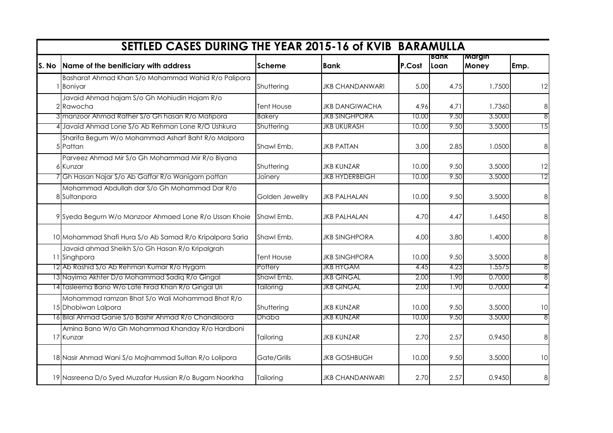| SETTLED CASES DURING THE YEAR 2015-16 of KVIB BARAMULLA                |                   |                        |        |              |                 |                 |
|------------------------------------------------------------------------|-------------------|------------------------|--------|--------------|-----------------|-----------------|
| S. No Name of the benificiary with address                             | <b>Scheme</b>     | Bank                   | P.Cost | Bank<br>Loan | Margin<br>Money | Emp.            |
| Basharat Ahmad Khan S/o Mohammad Wahid R/o Palipora<br><b>Boniyar</b>  | Shuttering        | <b>JKB CHANDANWARI</b> | 5.00   | 4.75         | 1.7500          | 12              |
| Javaid Ahmad hajam S/o Gh Mohiudin Hajam R/o<br>2 Rawocha              | <b>Tent House</b> | <b>JKB DANGIWACHA</b>  | 4.96   | 4.71         | 1.7360          | 8               |
| 3 manzoor Ahmad Rather S/o Gh hasan R/o Matipora                       | <b>Bakery</b>     | <b>JKB SINGHPORA</b>   | 10.00  | 9.50         | 3.5000          | $\overline{8}$  |
| 4 Javaid Ahmad Lone S/o Ab Rehman Lone R/O Ushkura                     | Shuttering        | <b>JKB UKURASH</b>     | 10.00  | 9.50         | 3.5000          | 15              |
| Sharifa Begum W/o Mohammad Asharf Baht R/o Malpora<br>5 Pattan         | Shawl Emb,        | <b>JKB PATTAN</b>      | 3.00   | 2.85         | 1.0500          | 8               |
| Parveez Ahmad Mir S/o Gh Mohammad Mir R/o Biyana<br>6 Kunzar           | Shuttering        | <b>JKB KUNZAR</b>      | 10.00  | 9.50         | 3.5000          | 12              |
| Gh Hasan Najar S/o Ab Gaffar R/o Wanigam pattan                        | Joinery           | <b>JKB HYDERBEIGH</b>  | 10.00  | 9.50         | 3.5000          | $\overline{12}$ |
| Mohammad Abdullah dar S/o Gh Mohammad Dar R/o<br>8 Sultanpora          | Golden Jewellry   | <b>JKB PALHALAN</b>    | 10.00  | 9.50         | 3.5000          | $\bf{8}$        |
| 9 Syeda Begum W/o Manzoor Ahmaed Lone R/o Ussan Khoie                  | Shawl Emb,        | <b>JKB PALHALAN</b>    | 4.70   | 4.47         | 1.6450          | 8               |
| 10 Mohammad Shafi Hura S/o Ab Samad R/o Kripalpora Saria               | Shawl Emb,        | <b>JKB SINGHPORA</b>   | 4.00   | 3.80         | 1.4000          | 8               |
| Javaid ahmad Sheikh S/o Gh Hasan R/o Kripalgrah<br>11 Singhpora        | Tent House        | <b>JKB SINGHPORA</b>   | 10.00  | 9.50         | 3.5000          | 8               |
| 12 Ab Rashid S/o Ab Rehman Kumar R/o Hygam                             | Pottery           | <b>JKB HYGAM</b>       | 4.45   | 4.23         | 1.5575          | 8               |
| 13 Nayima Akhter D/o Mohammad Sadig R/o Gingal                         | Shawl Emb,        | <b>JKB GINGAL</b>      | 2.00   | 1.90         | 0.7000          | 8               |
| 14 Tasleema Bano W/o Late Firad Khan R/o Gingal Uri                    | Tailoring         | <b>JKB GINGAL</b>      | 2.00   | 1.90         | 0.7000          | 4               |
| Mohammad ramzan Bhat S/o Wali Mohammad Bhat R/o<br>15 Dhobiwan Lalpora | Shuttering        | <b>JKB KUNZAR</b>      | 10.00  | 9.50         | 3.5000          | 10              |
| 16 Bilal Ahmad Ganie S/o Bashir Ahmad R/o Chandiloora                  | Dhaba             | <b>JKB KUNZAR</b>      | 10.00  | 9.50         | 3.5000          | 8               |
| Amina Bano W/o Gh Mohammad Khanday R/o Hardboni<br>17 Kunzar           | Tailoring         | <b>JKB KUNZAR</b>      | 2.70   | 2.57         | 0.9450          | 8               |
| 18 Nasir Ahmad Wani S/o Mojhammad Sultan R/o Lolipora                  | Gate/Grills       | <b>JKB GOSHBUGH</b>    | 10.00  | 9.50         | 3.5000          | 10              |
| 19 Nasreena D/o Syed Muzafar Hussian R/o Bugam Noorkha                 | Tailoring         | <b>JKB CHANDANWARI</b> | 2.70   | 2.57         | 0.9450          | $\,8\,$         |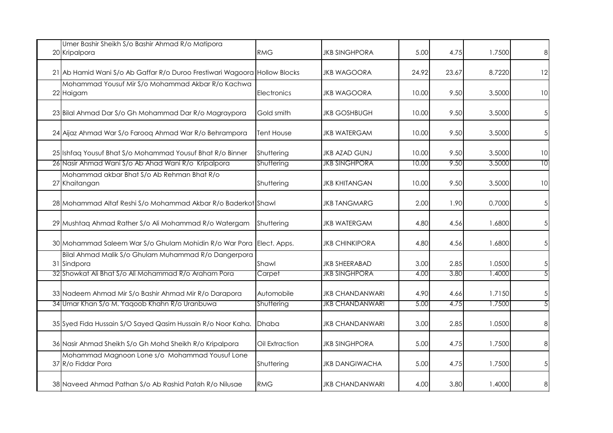| Umer Bashir Sheikh S/o Bashir Ahmad R/o Matipora<br>20 Kripalpora         | <b>RMG</b>        | JKB SINGHPORA          | 5.00  | 4.75  | 1.7500 | 8  |
|---------------------------------------------------------------------------|-------------------|------------------------|-------|-------|--------|----|
| 21 Ab Hamid Wani S/o Ab Gaffar R/o Duroo Frestiwari Wagoora Hollow Blocks |                   | JKB WAGOORA            | 24.92 | 23.67 | 8.7220 | 12 |
| Mohammad Yousuf Mir S/o Mohammad Akbar R/o Kachwa<br>22 Haigam            | Electronics       | JKB WAGOORA            | 10.00 | 9.50  | 3.5000 | 10 |
| 23 Bilal Ahmad Dar S/o Gh Mohammad Dar R/o Magraypora                     | Gold smith        | <b>JKB GOSHBUGH</b>    | 10.00 | 9.50  | 3.5000 |    |
| 24 Aijaz Ahmad War S/o Farooq Ahmad War R/o Behrampora                    | <b>Tent House</b> | <b>JKB WATERGAM</b>    | 10.00 | 9.50  | 3.5000 |    |
| 25 Ishfaq Yousuf Bhat S/o Mohammad Yousuf Bhat R/o Binner                 | Shuttering        | <b>JKB AZAD GUNJ</b>   | 10.00 | 9.50  | 3.5000 | 10 |
| 26 Nasir Ahmad Wani S/o Ab Ahad Wani R/o Kripalpora                       | Shuttering        | <b>JKB SINGHPORA</b>   | 10.00 | 9.50  | 3.5000 | 10 |
| Mohammad akbar Bhat S/o Ab Rehman Bhat R/o<br>27 Khaitangan               | Shuttering        | JKB KHITANGAN          | 10.00 | 9.50  | 3.5000 | 10 |
| 28 Mohammad Altaf Reshi S/o Mohammad Akbar R/o Baderkot Shawl             |                   | <b>JKB TANGMARG</b>    | 2.00  | 1.90  | 0.7000 |    |
| 29 Mushtaq Ahmad Rather S/o Ali Mohammad R/o Watergam                     | Shuttering        | <b>JKB WATERGAM</b>    | 4.80  | 4.56  | 1.6800 |    |
| 30 Mohammad Saleem War S/o Ghulam Mohidin R/o War Pora Elect. Apps.       |                   | <b>JKB CHINKIPORA</b>  | 4.80  | 4.56  | 1.6800 |    |
| Bilal Ahmad Malik S/o Ghulam Muhammad R/o Dangerpora<br>31 Sindpora       | Shawl             | <b>JKB SHEERABAD</b>   | 3.00  | 2.85  | 1.0500 |    |
| 32 Showkat Ali Bhat S/o Ali Mohammad R/o Araham Pora                      | Carpet            | <b>JKB SINGHPORA</b>   | 4.00  | 3.80  | 1.4000 |    |
| 33 Nadeem Ahmad Mir S/o Bashir Ahmad Mir R/o Darapora                     | Automobile        | <b>JKB CHANDANWARI</b> | 4.90  | 4.66  | 1.7150 |    |
| 34 Umar Khan S/o M. Yaqoob Khahn R/o Uranbuwa                             | Shuttering        | <b>JKB CHANDANWARI</b> | 5.00  | 4.75  | 1.7500 |    |
| 35 Syed Fida Hussain S/O Sayed Qasim Hussain R/o Noor Kaha.               | <b>Dhaba</b>      | JKB CHANDANWARI        | 3.00  | 2.85  | 1.0500 | 8  |
| 36 Nasir Ahmad Sheikh S/o Gh Mohd Sheikh R/o Kripalpora                   | Oil Extraction    | <b>JKB SINGHPORA</b>   | 5.00  | 4.75  | 1.7500 |    |
| Mohammad Magnoon Lone s/o Mohammad Yousuf Lone<br>37 R/o Fiddar Pora      | Shuttering        | <b>JKB DANGIWACHA</b>  | 5.00  | 4.75  | 1.7500 |    |
| 38 Naveed Ahmad Pathan S/o Ab Rashid Patah R/o Nilusae                    | <b>RMG</b>        | JKB CHANDANWARI        | 4.00  | 3.80  | 1.4000 | 8  |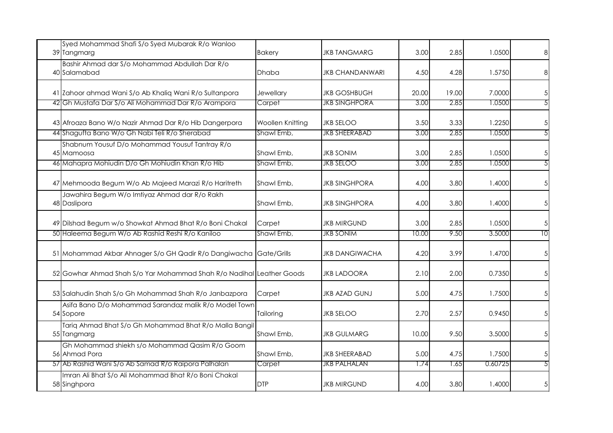| Syed Mohammad Shafi S/o Syed Mubarak R/o Wanloo<br>39 Tangmarg        | <b>Bakery</b>    | JKB TANGMARG         | 3.00  | 2.85  | 1.0500  | 8               |
|-----------------------------------------------------------------------|------------------|----------------------|-------|-------|---------|-----------------|
| Bashir Ahmad dar S/o Mohammad Abdullah Dar R/o<br>40 Salamabad        | <b>Dhaba</b>     | JKB CHANDANWARI      | 4.50  | 4.28  | 1.5750  | 8               |
| 41 Zahoor ahmad Wani S/o Ab Khaliq Wani R/o Sultanpora                | Jewellary        | <b>JKB GOSHBUGH</b>  | 20.00 | 19.00 | 7.0000  | $\sqrt{5}$      |
| 42 Gh Mustafa Dar S/o Ali Mohammad Dar R/o Arampora                   | Carpet           | <b>JKB SINGHPORA</b> | 3.00  | 2.85  | 1.0500  | 5               |
| 43 Afroaza Bano W/o Nazir Ahmad Dar R/o Hib Dangerpora                | Woollen Knitting | <b>JKB SELOO</b>     | 3.50  | 3.33  | 1.2250  | $\sqrt{5}$      |
| 44 Shagufta Bano W/o Gh Nabi Teli R/o Sherabad                        | Shawl Emb,       | <b>JKB SHEERABAD</b> | 3.00  | 2.85  | 1.0500  | 5               |
| Shabnum Yousuf D/o Mohammad Yousuf Tantray R/o<br>45 Mamoosa          | Shawl Emb.       | <b>JKB SONIM</b>     | 3.00  | 2.85  | 1.0500  | 5               |
| 46 Mahapra Mohiudin D/o Gh Mohiudin Khan R/o Hib                      | Shawl Emb,       | <b>JKB SELOO</b>     | 3.00  | 2.85  | 1.0500  | 5               |
| 47 Mehmooda Begum W/o Ab Majeed Marazi R/o Haritreth                  | Shawl Emb,       | <b>JKB SINGHPORA</b> | 4.00  | 3.80  | 1.4000  | 5               |
| Jawahira Begum W/o Imtiyaz Ahmad dar R/o Rakh<br>48 Daslipora         | Shawl Emb,       | <b>JKB SINGHPORA</b> | 4.00  | 3.80  | 1.4000  | $5\overline{)}$ |
| 49 Dilshad Begum w/o Showkat Ahmad Bhat R/o Boni Chakal               | Carpet           | JKB MIRGUND          | 3.00  | 2.85  | 1.0500  | 5               |
| 50 Haleema Begum W/o Ab Rashid Reshi R/o Kaniloo                      | Shawl Emb,       | <b>JKB SONIM</b>     | 10.00 | 9.50  | 3.5000  | 10              |
| 51 Mohammad Akbar Ahnager S/o GH Qadir R/o Dangiwacha Gate/Grills     |                  | JKB DANGIWACHA       | 4.20  | 3.99  | 1.4700  | $\sqrt{5}$      |
| 52 Gowhar Ahmad Shah S/o Yar Mohammad Shah R/o Nadihal Leather Goods  |                  | <b>JKB LADOORA</b>   | 2.10  | 2.00  | 0.7350  | $5\overline{)}$ |
| 53 Salahudin Shah S/o Gh Mohammad Shah R/o Janbazpora                 | Carpet           | JKB AZAD GUNJ        | 5.00  | 4.75  | 1.7500  | $5\overline{)}$ |
| Asifa Bano D/o Mohammad Sarandaz malik R/o Model Town<br>54 Sopore    | Tailoring        | <b>JKB SELOO</b>     | 2.70  | 2.57  | 0.9450  | 5               |
| Tariq Ahmad Bhat S/o Gh Mohammad Bhat R/o Malla Bangil<br>55 Tangmarg | Shawl Emb,       | <b>JKB GULMARG</b>   | 10.00 | 9.50  | 3.5000  | 5               |
| Gh Mohammad shiekh s/o Mohammad Qasim R/o Goom<br>56 Ahmad Pora       | Shawl Emb,       | <b>JKB SHEERABAD</b> | 5.00  | 4.75  | 1.7500  | 5               |
| 57 Ab Rashid Wani S/o Ab Samad R/o Raipora Palhalan                   | Carpet           | <b>JKB PALHALAN</b>  | 1.74  | 1.65  | 0.60725 | 5               |
| Imran Ali Bhat S/o Ali Mohammad Bhat R/o Boni Chakal<br>58 Singhpora  | <b>DTP</b>       | <b>JKB MIRGUND</b>   | 4.00  | 3.80  | 1.4000  |                 |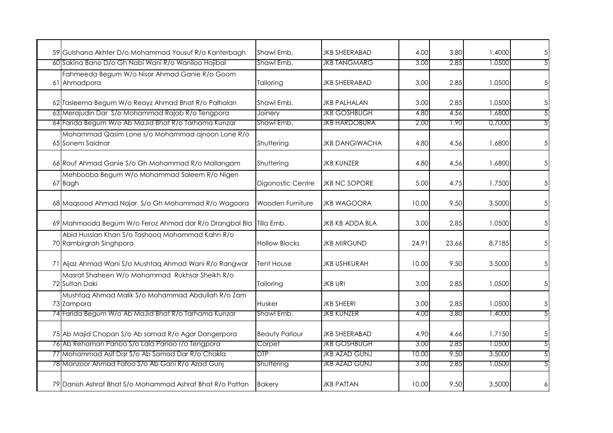| 59 Gulshana Akhter D/o Mohammad Yousuf R/o Kanterbagh                      | Shawl Emb.            | <b>JKB SHEERABAD</b>  | 4.00  | 3.80  | 1.4000 | $\sqrt{5}$      |
|----------------------------------------------------------------------------|-----------------------|-----------------------|-------|-------|--------|-----------------|
| 60 Sakina Bano D/o Gh Nabi Wani R/o Waniloo Hajibal                        | Shawl Emb,            | <b>JKB TANGMARG</b>   | 3.00  | 2.85  | 1.0500 | 5               |
| Fahmeeda Begum W/o Nisar Ahmad Ganie R/o Goom<br>61 Ahmadpora              | Tailoring             | <b>JKB SHEERABAD</b>  | 3.00  | 2.85  | 1.0500 | $\overline{5}$  |
| 62 Tasleema Begum W/o Reayz Ahmad Bhat R/o Palhalan                        | Shawl Emb,            | <b>JKB PALHALAN</b>   | 3.00  | 2.85  | 1.0500 | $\sqrt{5}$      |
| 63 Merajudin Dar S/o Mohammad Rajab R/o Tengpora                           | Joinery               | <b>JKB GOSHBUGH</b>   | 4.80  | 4.56  | 1.6800 | 5               |
| 64 Farida Begum W/o Ab MaJid Bhat R/o Tarhama Kunzar                       | Shawl Emb,            | <b>JKB HARDOBURA</b>  | 2.00  | 1.90  | 0.7000 | $\overline{5}$  |
| Mohammad Qasim Lone s/o Mohammad ajnoon Lone R/o<br>65 Sonem Saidnar       | Shuttering            | <b>JKB DANGIWACHA</b> | 4.80  | 4.56  | 1.6800 | $\overline{5}$  |
| 66 Rouf Ahmad Ganie S/o Gh Mohammad R/o Mallangam                          | Shuttering            | <b>JKB KUNZER</b>     | 4.80  | 4.56  | 1.6800 | $5\overline{)}$ |
| Mehbooba Begum W/o Mohammad Saleem R/o Nigen<br>67 Bagh                    | Digonostic Centre     | <b>JKB NC SOPORE</b>  | 5.00  | 4.75  | 1.7500 | $\sqrt{5}$      |
| 68 Magsood Ahmad Najar S/o Gh Mohammad R/o Wagoora                         | Wooden Furniture      | <b>JKB WAGOORA</b>    | 10.00 | 9.50  | 3.5000 | $5\overline{)}$ |
| 69 Mahmooda Begum W/o Feroz Ahmad dar R/o Drangbal Bla Tilla Emb.          |                       | JKB KB ADDA BLA       | 3.00  | 2.85  | 1.0500 | $\overline{5}$  |
| Abid Hussian Khan S/o Tashoog Mohammad Kahn R/o<br>70 Rambirgrah Singhpora | <b>Hollow Blocks</b>  | <b>JKB MIRGUND</b>    | 24.91 | 23.66 | 8.7185 | $\overline{5}$  |
| 71 Aijaz Ahmad Wani S/o Mushtaq Ahmad Wani R/o Rangwar                     | <b>Tent House</b>     | JKB USHKURAH          | 10.00 | 9.50  | 3.5000 | $\overline{5}$  |
| Masrat Shaheen W/o Mohammad Rukhsar Sheikh R/o<br>72 Sultan Daki           | Tailoring             | JKB URI               | 3.00  | 2.85  | 1.0500 | $5\overline{)}$ |
| Mushtaq Ahmad Malik S/o Mohammad Abdullah R/o Zam<br>73 Zampora            | Husker                | <b>JKB SHEERI</b>     | 3.00  | 2.85  | 1.0500 | 5               |
| 74 Farida Begum W/o Ab MaJid Bhat R/o Tarhama Kunzar                       | Shawl Emb,            | <b>JKB KUNZER</b>     | 4.00  | 3.80  | 1.4000 | 5               |
| 75 Ab Majid Chopan S/o Ab samad R/o Agar Dangerpora                        | <b>Beauty Parlour</b> | <b>JKB SHEERABAD</b>  | 4.90  | 4.66  | 1.7150 | 5               |
| 76 Ab Rehaman Panoo S/o Lala Panoo r/o Tengpora                            | Carpet                | <b>JKB GOSHBUGH</b>   | 3.00  | 2.85  | 1.0500 | 5               |
| 77 Mohammad Asif Dar S/o Ab Samad Dar R/o Chakla                           | DTP                   | <b>JKB AZAD GUNJ</b>  | 10.00 | 9.50  | 3.5000 | 5               |
| 78 Manzoor Ahmad Fafoo S/o Ab Gani R/o Azad Gunj                           | Shuttering            | <b>JKB AZAD GUNJ</b>  | 3.00  | 2.85  | 1.0500 | 5               |
| 79 Danish Ashraf Bhat S/o Mohammad Ashraf Bhat R/o Pattan                  | <b>Bakery</b>         | <b>JKB PATTAN</b>     | 10.00 | 9.50  | 3.5000 | 6               |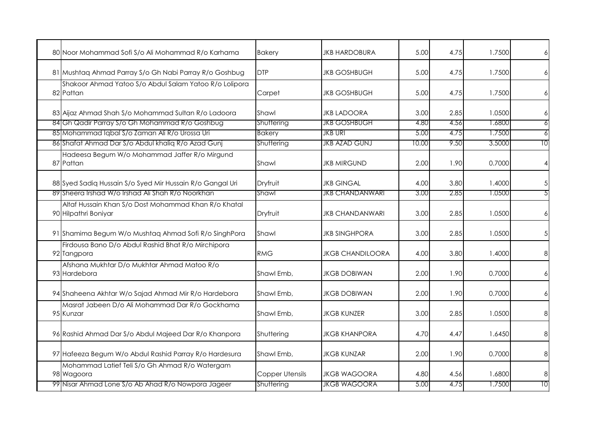| 80 Noor Mohammad Sofi S/o Ali Mohammad R/o Karhama                           | <b>Bakery</b>   | <b>JKB HARDOBURA</b>    | 5.00  | 4.75 | 1.7500 |      |
|------------------------------------------------------------------------------|-----------------|-------------------------|-------|------|--------|------|
| 81 Mushtaq Ahmad Parray S/o Gh Nabi Parray R/o Goshbug                       | <b>DTP</b>      | JKB GOSHBUGH            | 5.00  | 4.75 | 1.7500 |      |
| Shakoor Ahmad Yatoo S/o Abdul Salam Yatoo R/o Lolipora<br>82 Pattan          | Carpet          | <b>JKB GOSHBUGH</b>     | 5.00  | 4.75 | 1.7500 |      |
| 83 Aijaz Ahmad Shah S/o Mohammad Sultan R/o Ladoora                          | Shawl           | <b>JKB LADOORA</b>      | 3.00  | 2.85 | 1.0500 |      |
| 84 Gh Qadir Parray S/o Gh Mohammad R/o Goshbug                               | Shuttering      | <b>JKB GOSHBUGH</b>     | 4.80  | 4.56 | 1.6800 |      |
| 85 Mohammad Iqbal S/o Zaman Ali R/o Urossa Uri                               | <b>Bakery</b>   | JKB URI                 | 5.00  | 4.75 | 1.7500 |      |
| 86 Shafat Ahmad Dar S/o Abdul khaliq R/o Azad Gunj                           | Shuttering      | <b>JKB AZAD GUNJ</b>    | 10.00 | 9.50 | 3.5000 | l () |
| Hadeesa Begum W/o Mohammad Jaffer R/o Mirgund<br>87 Pattan                   | Shawl           | <b>JKB MIRGUND</b>      | 2.00  | 1.90 | 0.7000 |      |
| 88 Syed Sadiq Hussain S/o Syed Mir Hussain R/o Gangal Uri                    | Dryfruit        | <b>JKB GINGAL</b>       | 4.00  | 3.80 | 1.4000 |      |
| 89 Sheera Irshad W/o Irshad Ali Shah R/o Noorkhan                            | Shawl           | <b>JKB CHANDANWARI</b>  | 3.00  | 2.85 | 1.0500 |      |
| Altaf Hussain Khan S/o Dost Mohammad Khan R/o Khatal<br>90 Hilpathri Boniyar | Dryfruit        | <b>JKB CHANDANWARI</b>  | 3.00  | 2.85 | 1.0500 |      |
| 91 Shamima Begum W/o Mushtaq Ahmad Sofi R/o SinghPora                        | Shawl           | <b>JKB SINGHPORA</b>    | 3.00  | 2.85 | 1.0500 |      |
| Firdousa Bano D/o Abdul Rashid Bhat R/o Mirchipora<br>92 Tangpora            | <b>RMG</b>      | <b>JKGB CHANDILOORA</b> | 4.00  | 3.80 | 1.4000 | 8    |
| Afshana Mukhtar D/o Mukhtar Ahmad Matoo R/o<br>93 Hardebora                  | Shawl Emb.      | <b>JKGB DOBIWAN</b>     | 2.00  | 1.90 | 0.7000 |      |
| 94 Shaheena Akhtar W/o Sajad Ahmad Mir R/o Hardebora                         | Shawl Emb,      | JKGB DOBIWAN            | 2.00  | 1.90 | 0.7000 |      |
| Masrat Jabeen D/o Ali Mohammad Dar R/o Gockhama<br>95 Kunzar                 | Shawl Emb,      | <b>JKGB KUNZER</b>      | 3.00  | 2.85 | 1.0500 | 8    |
| 96 Rashid Ahmad Dar S/o Abdul Majeed Dar R/o Khanpora                        | Shuttering      | <b>JKGB KHANPORA</b>    | 4.70  | 4.47 | 1.6450 | 8    |
| 97 Hafeeza Begum W/o Abdul Rashid Parray R/o Hardesura                       | Shawl Emb,      | <b>JKGB KUNZAR</b>      | 2.00  | 1.90 | 0.7000 | 8    |
| Mohammad Latief Teli S/o Gh Ahmad R/o Watergam<br>98 Wagoora                 | Copper Utensils | <b>JKGB WAGOORA</b>     | 4.80  | 4.56 | 1.6800 | 8    |
| 99 Nisar Ahmad Lone S/o Ab Ahad R/o Nowpora Jageer                           | Shuttering      | <b>JKGB WAGOORA</b>     | 5.00  | 4.75 | 1.7500 | IΟ   |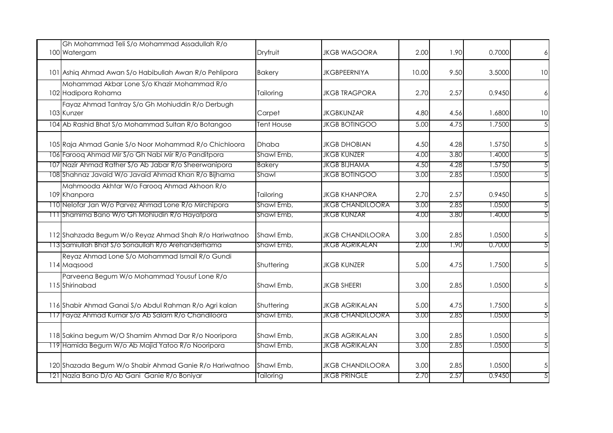| Gh Mohammad Teli S/o Mohammad Assadullah R/o<br>100 Watergam       | Dryfruit      | <b>JKGB WAGOORA</b>     | 2.00  | 1.90 | 0.7000 | $6 \mid$        |
|--------------------------------------------------------------------|---------------|-------------------------|-------|------|--------|-----------------|
| 101 Ashiq Ahmad Awan S/o Habibullah Awan R/o Pehlipora             | <b>Bakery</b> | <b>JKGBPEERNIYA</b>     | 10.00 | 9.50 | 3.5000 | 10              |
| Mohammad Akbar Lone S/o Khazir Mohammad R/o<br>102 Hadipora Rohama | Tailoring     | <b>JKGB TRAGPORA</b>    | 2.70  | 2.57 | 0.9450 | $\overline{6}$  |
| Fayaz Ahmad Tantray S/o Gh Mohiuddin R/o Derbugh<br>103 Kunzer     | Carpet        | <b>JKGBKUNZAR</b>       | 4.80  | 4.56 | 1.6800 | 10              |
| 104 Ab Rashid Bhat S/o Mohammad Sultan R/o Botangoo                | Tent House    | <b>JKGB BOTINGOO</b>    | 5.00  | 4.75 | 1.7500 | $\overline{5}$  |
| 105 Raja Ahmad Ganie S/o Noor Mohammad R/o Chichloora              | Dhaba         | <b>JKGB DHOBIAN</b>     | 4.50  | 4.28 | 1.5750 | $\sqrt{5}$      |
| 106 Farooq Ahmad Mir S/o Gh Nabi Mir R/o Panditpora                | Shawl Emb,    | <b>JKGB KUNZER</b>      | 4.00  | 3.80 | 1.4000 | $\overline{5}$  |
| 107 Nazir Ahmad Rather S/o Ab Jabar R/o Sheerwanipora              | <b>Bakery</b> | <b>JKGB BIJHAMA</b>     | 4.50  | 4.28 | 1.5750 | $\overline{5}$  |
| 108 Shahnaz Javaid W/o Javaid Ahmad Khan R/o Bijhama               | Shawl         | <b>JKGB BOTINGOO</b>    | 3.00  | 2.85 | 1.0500 | 5               |
| Mahmooda Akhtar W/o Faroog Ahmad Akhoon R/o<br>109 Khanpora        | Tailoring     | <b>JKGB KHANPORA</b>    | 2.70  | 2.57 | 0.9450 | $\sqrt{5}$      |
| 110 Nelofar Jan W/o Parvez Ahmad Lone R/o Mirchipora               | Shawl Emb,    | <b>JKGB CHANDILOORA</b> | 3.00  | 2.85 | 1.0500 | 5               |
| 111 Shamima Bano W/o Gh Mohiudin R/o Hayatpora                     | Shawl Emb,    | <b>JKGB KUNZAR</b>      | 4.00  | 3.80 | 1.4000 | 5               |
| 112 Shahzada Begum W/o Reyaz Ahmad Shah R/o Hariwatnoo             | Shawl Emb,    | <b>JKGB CHANDILOORA</b> | 3.00  | 2.85 | 1.0500 | $\sqrt{5}$      |
| 113 Samiullah Bhat S/o Sonaullah R/o Arehanderhama                 | Shawl Emb,    | <b>JKGB AGRIKALAN</b>   | 2.00  | 1.90 | 0.7000 | 5               |
| Reyaz Ahmad Lone S/o Mohammad Ismail R/o Gundi<br>114 Magsood      | Shuttering    | <b>JKGB KUNZER</b>      | 5.00  | 4.75 | 1.7500 | 5               |
| Parveena Begum W/o Mohammad Yousuf Lone R/o<br>115 Shirinabad      | Shawl Emb,    | <b>JKGB SHEERI</b>      | 3.00  | 2.85 | 1.0500 | $5\overline{)}$ |
| 116 Shabir Ahmad Ganai S/o Abdul Rahman R/o Agri kalan             | Shuttering    | <b>JKGB AGRIKALAN</b>   | 5.00  | 4.75 | 1.7500 | $\sqrt{5}$      |
| 117 Fayaz Ahmad Kumar S/o Ab Salam R/o Chandiloora                 | Shawl Emb,    | <b>JKGB CHANDILOORA</b> | 3.00  | 2.85 | 1.0500 | 5               |
| 118 Sakina begum W/O Shamim Ahmad Dar R/o Nooripora                | Shawl Emb,    | <b>JKGB AGRIKALAN</b>   | 3.00  | 2.85 | 1.0500 | $\sqrt{5}$      |
| 119 Hamida Begum W/o Ab Majid Yatoo R/o Nooripora                  | Shawl Emb,    | <b>JKGB AGRIKALAN</b>   | 3.00  | 2.85 | 1.0500 | 5               |
| 120 Shazada Begum W/o Shabir Ahmad Ganie R/o Hariwatnoo            | Shawl Emb,    | <b>JKGB CHANDILOORA</b> | 3.00  | 2.85 | 1.0500 | $\sqrt{5}$      |
| 121 Nazia Bano D/o Ab Gani Ganie R/o Boniyar                       | Tailoring     | <b>JKGB PRINGLE</b>     | 2.70  | 2.57 | 0.9450 | 5               |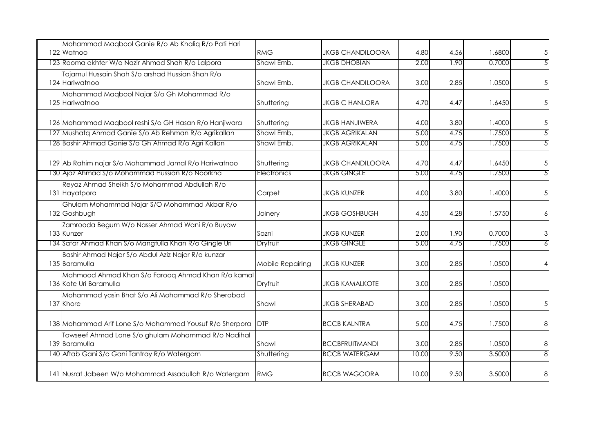| Mohammad Maqbool Ganie R/o Ab Khaliq R/o Pati Hari<br>122 Watnoo             | <b>RMG</b>       | <b>JKGB CHANDILOORA</b> | 4.80  | 4.56 | 1.6800 | 5  |
|------------------------------------------------------------------------------|------------------|-------------------------|-------|------|--------|----|
| 123 Rooma akhter W/o Nazir Ahmad Shah R/o Lalpora                            | Shawl Emb,       | <b>JKGB DHOBIAN</b>     | 2.00  | 1.90 | 0.7000 |    |
| Tajamul Hussain Shah S/o arshad Hussian Shah R/o<br>124 Hariwatnoo           | Shawl Emb,       | <b>JKGB CHANDILOORA</b> | 3.00  | 2.85 | 1.0500 |    |
| Mohammad Maqbool Najar S/o Gh Mohammad R/o<br>125 Hariwatnoo                 | Shuttering       | <b>JKGB C HANLORA</b>   | 4.70  | 4.47 | 1.6450 |    |
| 126 Mohammad Magbool reshi S/o GH Hasan R/o Hanjiwara                        | Shuttering       | <b>JKGB HANJIWERA</b>   | 4.00  | 3.80 | 1.4000 |    |
| 127 Mushatq Ahmad Ganie S/o Ab Rehman R/o Agrikallan                         | Shawl Emb,       | <b>JKGB AGRIKALAN</b>   | 5.00  | 4.75 | 1.7500 |    |
| 128 Bashir Ahmad Ganie S/o Gh Ahmad R/o Agri Kallan                          | Shawl Emb,       | <b>JKGB AGRIKALAN</b>   | 5.00  | 4.75 | 1.7500 |    |
| 129 Ab Rahim najar S/o Mohammad Jamal R/o Hariwatnoo                         | Shuttering       | <b>JKGB CHANDILOORA</b> | 4.70  | 4.47 | 1.6450 | 5  |
| 130 Ajaz Ahmad S/o Mohammad Hussian R/o Noorkha                              | Electronics      | <b>JKGB GINGLE</b>      | 5.00  | 4.75 | 1.7500 |    |
| Reyaz Ahmad Sheikh S/o Mohammad Abdullah R/o<br>131 Hayatpora                | Carpet           | <b>JKGB KUNZER</b>      | 4.00  | 3.80 | 1.4000 | .5 |
| Ghulam Mohammad Najar S/O Mohammad Akbar R/o<br>132 Goshbugh                 | Joinery          | <b>JKGB GOSHBUGH</b>    | 4.50  | 4.28 | 1.5750 |    |
| Zamrooda Begum W/o Nasser Ahmad Wani R/o Buyaw<br>133 Kunzer                 | Sozni            | <b>JKGB KUNZER</b>      | 2.00  | 1.90 | 0.7000 |    |
| 134 Safar Ahmad Khan S/o Mangtulla Khan R/o Gingle Uri                       | Dryfruit         | <b>JKGB GINGLE</b>      | 5.00  | 4.75 | 1.7500 |    |
| Bashir Ahmad Najar S/o Abdul Aziz Najar R/o kunzar<br>135 Baramulla          | Mobile Repairing | <b>JKGB KUNZER</b>      | 3.00  | 2.85 | 1.0500 |    |
| Mahmood Ahmad Khan S/o Farooq Ahmad Khan R/o kamal<br>136 Kote Uri Baramulla | Dryfruit         | <b>JKGB KAMALKOTE</b>   | 3.00  | 2.85 | 1.0500 |    |
| Mohammad yasin Bhat S/o Ali Mohammad R/o Sherabad<br>137 Khore               | Shawl            | <b>JKGB SHERABAD</b>    | 3.00  | 2.85 | 1.0500 |    |
| 138 Mohammad Arif Lone S/o Mohammad Yousuf R/o Sherpora                      | <b>DTP</b>       | <b>BCCB KALNTRA</b>     | 5.00  | 4.75 | 1.7500 | 8  |
| Tawseef Ahmad Lone S/o ghulam Mohammad R/o Nadihal<br>139 Baramulla          | Shawl            | <b>BCCBFRUITMANDI</b>   | 3.00  | 2.85 | 1.0500 | 8  |
| 140 Aftab Gani S/o Gani Tantray R/o Watergam                                 | Shuttering       | <b>BCCB WATERGAM</b>    | 10.00 | 9.50 | 3.5000 |    |
| 141 Nusrat Jabeen W/o Mohammad Assadullah R/o Watergam                       | RMG              | <b>BCCB WAGOORA</b>     | 10.00 | 9.50 | 3.5000 | 8  |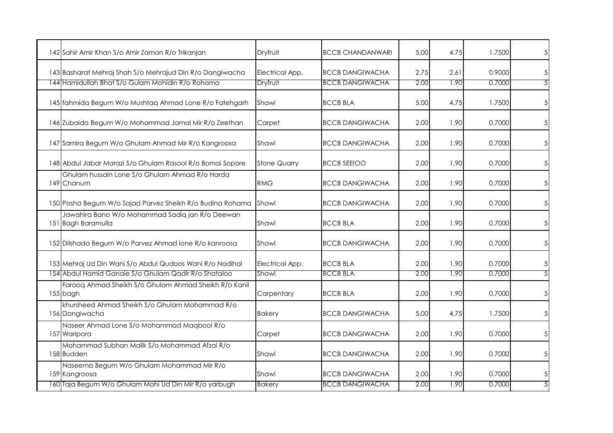| 142 Sahir Amir Khan S/o Amir Zaman R/o Trikanjan                                                                          | Dryfruit                    | <b>BCCB CHANDANWARI</b>                          | 5.00         | 4.75         | 1.7500           | $\overline{5}$  |
|---------------------------------------------------------------------------------------------------------------------------|-----------------------------|--------------------------------------------------|--------------|--------------|------------------|-----------------|
| 143 Basharat Mehraj Shah S/o Mehrajud Din R/o Dangiwacha<br>144 Hamidullah Bhat S/o Gulam Mohidin R/o Rohama              | Electrical App.<br>Dryfruit | <b>BCCB DANGIWACHA</b><br><b>BCCB DANGIWACHA</b> | 2.75<br>2.00 | 2.61<br>1.90 | 0.9000<br>0.7000 | 5               |
| 145 fahmida Begum W/o Mushtaq Ahmad Lone R/o Fatehgarh                                                                    | Shawl                       | <b>BCCB BLA</b>                                  | 5.00         | 4.75         | 1.7500           | $5\overline{)}$ |
| 146 Zubaida Begum W/o Mohammad Jamal Mir R/o Zeethan                                                                      | Carpet                      | <b>BCCB DANGIWACHA</b>                           | 2.00         | 1.90         | 0.7000           | $\overline{5}$  |
| 147 Samira Begum W/o Ghulam Ahmad Mir R/o Kangroosa                                                                       | Shawl                       | <b>BCCB DANGIWACHA</b>                           | 2.00         | 1.90         | 0.7000           | $\overline{5}$  |
| 148 Abdul Jabar Marazi S/o Ghulam Rasool R/o Bomai Sopore                                                                 | <b>Stone Quarry</b>         | <b>BCCB SEEIOO</b>                               | 2.00         | 1.90         | 0.7000           | $\sqrt{5}$      |
| Ghulam hussain Lone S/o Ghulam Ahmad R/o Harda<br>149 Chanum                                                              | <b>RMG</b>                  | <b>BCCB DANGIWACHA</b>                           | 2.00         | 1.90         | 0.7000           | $\sqrt{5}$      |
| 150 Posha Begum W/o Sajad Parvez Sheikh R/o Budina Rohama Shawl                                                           |                             | <b>BCCB DANGIWACHA</b>                           | 2.00         | 1.90         | 0.7000           | $5\overline{)}$ |
| Jawahira Bano W/o Mohammad Sadiq jan R/o Deewan<br>151 Bagh Baramulla                                                     | Shawl                       | <b>BCCB BLA</b>                                  | 2.00         | 1.90         | 0.7000           | $\sqrt{5}$      |
| 152 Dilshada Begum W/o Parvez Ahmad Ione R/o kanroosa                                                                     | Shawl                       | <b>BCCB DANGIWACHA</b>                           | 2.00         | 1.90         | 0.7000           | $\sqrt{5}$      |
| 153 Mehraj Ud Din Wani S/o Abdul Qudoos Wani R/o Nadihal                                                                  | Electrical App.             | <b>BCCB BLA</b>                                  | 2.00         | 1.90         | 0.7000           | $\sqrt{5}$      |
| 154 Abdul Hamid Ganaie S/o Ghulam Qadir R/o Shataloo<br>Farooq Ahmad Sheikh S/o Ghulam Ahmad Sheikh R/o Kanil<br>155 bagh | Shawl<br>Carpentary         | <b>BCCB BLA</b><br><b>BCCB BLA</b>               | 2.00<br>2.00 | 1.90<br>1.90 | 0.7000<br>0.7000 | 5<br>$\sqrt{5}$ |
| khursheed Ahmad Sheikh S/o Ghulam Mohammad R/o<br>156 Dangiwacha                                                          | Bakery                      | <b>BCCB DANGIWACHA</b>                           | 5.00         | 4.75         | 1.7500           | $\overline{5}$  |
| Naseer Ahmad Lone S/o Mohammad Maqbool R/o<br>157 Waripora                                                                | Carpet                      | <b>BCCB DANGIWACHA</b>                           | 2.00         | 1.90         | 0.7000           | $\sqrt{5}$      |
| Mohammad Subhan Malik S/o Mohammad Afzal R/o<br>158 Budden                                                                | Shawl                       | <b>BCCB DANGIWACHA</b>                           | 2.00         | 1.90         | 0.7000           | $\overline{5}$  |
| Naseema Begum W/o Ghulam Mohammad Mir R/o<br>159 Kangroosa                                                                | Shawl                       | <b>BCCB DANGIWACHA</b>                           | 2.00         | 1.90         | 0.7000           | 5               |
| 160 Taja Begum W/o Ghulam Mohi Ud Din Mir R/o yarbugh                                                                     | <b>Bakery</b>               | <b>BCCB DANGIWACHA</b>                           | 2.00         | 1.90         | 0.7000           | 5               |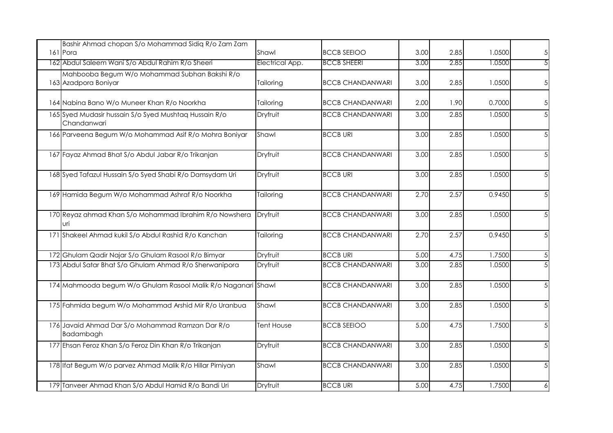| Bashir Ahmad chopan S/o Mohammad Sidiq R/o Zam Zam<br>161 Pora        | Shawl           | <b>BCCB SEEIOO</b>      | 3.00 | 2.85 | 1.0500 | $\sqrt{5}$      |
|-----------------------------------------------------------------------|-----------------|-------------------------|------|------|--------|-----------------|
| 162 Abdul Saleem Wani S/o Abdul Rahim R/o Sheeri                      | Electrical App. | <b>BCCB SHEERI</b>      | 3.00 | 2.85 | 1.0500 | $\overline{5}$  |
| Mahbooba Begum W/o Mohammad Subhan Bakshi R/o<br>163 Azadpora Boniyar | Tailoring       | <b>BCCB CHANDANWARI</b> | 3.00 | 2.85 | 1.0500 | $\overline{5}$  |
| 164 Nabina Bano W/o Muneer Khan R/o Noorkha                           | Tailoring       | <b>BCCB CHANDANWARI</b> | 2.00 | 1.90 | 0.7000 | $\overline{5}$  |
| 165 Syed Mudasir hussain S/o Syed Mushtaq Hussain R/o<br>Chandanwari  | Dryfruit        | <b>BCCB CHANDANWARI</b> | 3.00 | 2.85 | 1.0500 | $5\overline{)}$ |
| 166 Parveena Begum W/o Mohammad Asif R/o Mohra Boniyar                | Shawl           | <b>BCCB URI</b>         | 3.00 | 2.85 | 1.0500 | $5\overline{)}$ |
| 167 Fayaz Ahmad Bhat S/o Abdul Jabar R/o Trikanjan                    | Dryfruit        | <b>BCCB CHANDANWARI</b> | 3.00 | 2.85 | 1.0500 | $5\overline{)}$ |
| 168 Syed Tafazul Hussain S/o Syed Shabi R/o Damsydam Uri              | Dryfruit        | <b>BCCB URI</b>         | 3.00 | 2.85 | 1.0500 | $5\overline{)}$ |
| 169 Hamida Begum W/o Mohammad Ashraf R/o Noorkha                      | Tailoring       | <b>BCCB CHANDANWARI</b> | 2.70 | 2.57 | 0.9450 | $5\overline{)}$ |
| 170 Reyaz ahmad Khan S/o Mohammad Ibrahim R/o Nowshera<br>uri         | Dryfruit        | <b>BCCB CHANDANWARI</b> | 3.00 | 2.85 | 1.0500 | $5\overline{)}$ |
| 171 Shakeel Ahmad kukil S/o Abdul Rashid R/o Kanchan                  | Tailoring       | <b>BCCB CHANDANWARI</b> | 2.70 | 2.57 | 0.9450 | $5\overline{)}$ |
| 172 Ghulam Qadir Najar S/o Ghulam Rasool R/o Bimyar                   | Dryfruit        | <b>BCCB URI</b>         | 5.00 | 4.75 | 1.7500 | $\sqrt{5}$      |
| 173 Abdul Satar Bhat S/o Ghulam Ahmad R/o Sherwanipora                | Dryfruit        | <b>BCCB CHANDANWARI</b> | 3.00 | 2.85 | 1.0500 | 5               |
| 174 Mahmooda begum W/o Ghulam Rasool Malik R/o Naganari Shawl         |                 | <b>BCCB CHANDANWARI</b> | 3.00 | 2.85 | 1.0500 | 5               |
| 175 Fahmida begum W/o Mohammad Arshid Mir R/o Uranbua                 | Shawl           | <b>BCCB CHANDANWARI</b> | 3.00 | 2.85 | 1.0500 | $5\overline{)}$ |
| 176 Javaid Ahmad Dar S/o Mohammad Ramzan Dar R/o<br>Badambagh         | Tent House      | <b>BCCB SEEIOO</b>      | 5.00 | 4.75 | 1.7500 | $5\overline{)}$ |
| 177 Ehsan Feroz Khan S/o Feroz Din Khan R/o Trikanjan                 | Dryfruit        | <b>BCCB CHANDANWARI</b> | 3.00 | 2.85 | 1.0500 | $5\overline{)}$ |
| 178 Ifat Begum W/o parvez Ahmad Malik R/o Hillar Pirniyan             | Shawl           | <b>BCCB CHANDANWARI</b> | 3.00 | 2.85 | 1.0500 | $5\overline{)}$ |
| 179 Tanveer Ahmad Khan S/o Abdul Hamid R/o Bandi Uri                  | Dryfruit        | <b>BCCB URI</b>         | 5.00 | 4.75 | 1.7500 | 6               |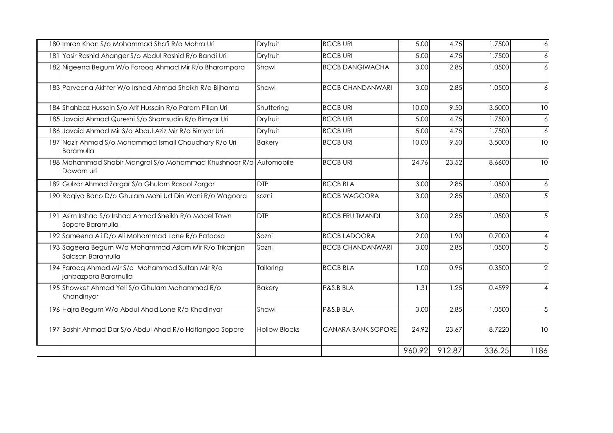| 180 Imran Khan S/o Mohammad Shafi R/o Mohra Uri                                 | Dryfruit             | <b>BCCB URI</b>         | 5.00   | 4.75   | 1.7500 | $\ddot{\delta}$  |
|---------------------------------------------------------------------------------|----------------------|-------------------------|--------|--------|--------|------------------|
| 181 Yasir Rashid Ahanger S/o Abdul Rashid R/o Bandi Uri                         | Dryfruit             | <b>BCCB URI</b>         | 5.00   | 4.75   | 1.7500 | 6                |
| 182 Nigeena Begum W/o Farooq Ahmad Mir R/o Bharampora                           | Shawl                | <b>BCCB DANGIWACHA</b>  | 3.00   | 2.85   | 1.0500 | 6                |
| 183 Parveena Akhter W/o Irshad Ahmad Sheikh R/o Bijhama                         | Shawl                | <b>BCCB CHANDANWARI</b> | 3.00   | 2.85   | 1.0500 | 6                |
| 184 Shahbaz Hussain S/o Arif Hussain R/o Param Pillan Uri                       | Shuttering           | <b>BCCB URI</b>         | 10.00  | 9.50   | 3.5000 | 10               |
| 185 Javaid Ahmad Qureshi S/o Shamsudin R/o Bimyar Uri                           | Dryfruit             | <b>BCCB URI</b>         | 5.00   | 4.75   | 1.7500 | 6                |
| 186 Javaid Ahmad Mir S/o Abdul Aziz Mir R/o Bimyar Uri                          | Dryfruit             | <b>BCCB URI</b>         | 5.00   | 4.75   | 1.7500 | $\overline{6}$   |
| 187 Nazir Ahmad S/o Mohammad Ismail Choudhary R/o Uri<br>Baramulla              | <b>Bakery</b>        | <b>BCCB URI</b>         | 10.00  | 9.50   | 3.5000 | 10               |
| 188 Mohammad Shabir Mangral S/o Mohammad Khushnoor R/o Automobile<br>Dawarn uri |                      | <b>BCCB URI</b>         | 24.76  | 23.52  | 8.6600 | 10               |
| 189 Gulzar Ahmad Zargar S/o Ghulam Rasool Zargar                                | <b>DTP</b>           | <b>BCCB BLA</b>         | 3.00   | 2.85   | 1.0500 | $\boldsymbol{6}$ |
| 190 Raqiya Bano D/o Ghulam Mohi Ud Din Wani R/o Wagoora                         | sozni                | <b>BCCB WAGOORA</b>     | 3.00   | 2.85   | 1.0500 | 5                |
| 191 Asim Irshad S/o Irshad Ahmad Sheikh R/o Model Town<br>Sopore Baramulla      | <b>DTP</b>           | <b>BCCB FRUITMANDI</b>  | 3.00   | 2.85   | 1.0500 | $5\overline{)}$  |
| 192 Sameena Ali D/o Ali Mohammad Lone R/o Patoosa                               | Sozni                | <b>BCCB LADOORA</b>     | 2.00   | 1.90   | 0.7000 | $\overline{4}$   |
| 193 Sageera Begum W/o Mohammad Aslam Mir R/o Trikanjan<br>Salasan Baramulla     | Sozni                | <b>BCCB CHANDANWARI</b> | 3.00   | 2.85   | 1.0500 | $5\overline{)}$  |
| 194 Farooq Ahmad Mir S/o Mohammad Sultan Mir R/o<br>janbazpora Baramulla        | Tailoring            | <b>BCCB BLA</b>         | 1.00   | 0.95   | 0.3500 | $\overline{2}$   |
| 195 Showket Ahmad Yeli S/o Ghulam Mohammad R/o<br>Khandinyar                    | <b>Bakery</b>        | P&S.B BLA               | 1.31   | 1.25   | 0.4599 | $\overline{4}$   |
| 196 Hajra Begum W/o Abdul Ahad Lone R/o Khadinyar                               | Shawl                | P&S.B BLA               | 3.00   | 2.85   | 1.0500 | $5\overline{)}$  |
| 197 Bashir Ahmad Dar S/o Abdul Ahad R/o Hatlangoo Sopore                        | <b>Hollow Blocks</b> | CANARA BANK SOPORE      | 24.92  | 23.67  | 8.7220 | 10               |
|                                                                                 |                      |                         | 960.92 | 912.87 | 336.25 | 1186             |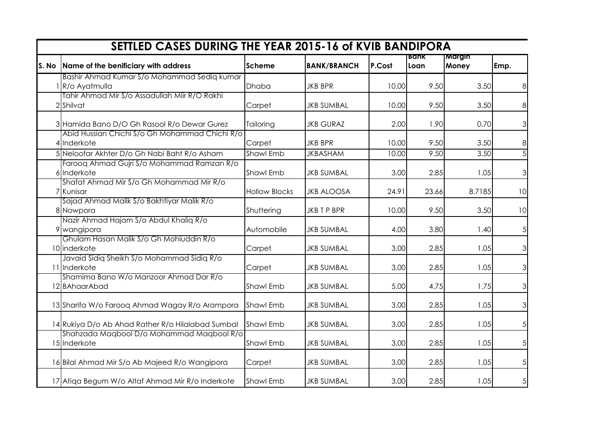|       | <b>SETTLED CASES DURING THE YEAR 2015-16 of KVIB BANDIPORA</b> |                      |                    |        | Bank  | Margin |      |
|-------|----------------------------------------------------------------|----------------------|--------------------|--------|-------|--------|------|
| S. No | Name of the benificiary with address                           | <b>Scheme</b>        | <b>BANK/BRANCH</b> | P.Cost | Loan  | Money  | Emp. |
|       | Bashir Ahmad Kumar S/o Mohammad Sedig kumar                    |                      |                    |        |       |        |      |
|       | R/o Ayatmulla                                                  | Dhaba                | <b>JKB BPR</b>     | 10.00  | 9.50  | 3.50   |      |
|       | Tahir Ahmad Mir S/o Assadullah Miir R/O Rakhi<br>2 Shilvat     | Carpet               | <b>JKB SUMBAL</b>  | 10.00  | 9.50  | 3.50   | 8    |
|       | 3 Hamida Bano D/O Gh Rasool R/o Dewar Gurez                    | Tailoring            | <b>JKB GURAZ</b>   | 2.00   | 1.90  | 0.70   | 3    |
|       | Abid Hussian Chichi S/o Gh Mohammad Chichi R/o<br>4 Inderkote  | Carpet               | <b>JKB BPR</b>     | 10.00  | 9.50  | 3.50   | 8    |
|       | 5 Neloofar Akhter D/o Gh Nabi Baht R/o Asham                   | <b>Shawl Emb</b>     | <b>JKBASHAM</b>    | 10.00  | 9.50  | 3.50   |      |
|       | Farooq Ahmad Gujri S/o Mohammad Ramzan R/o<br>6 Inderkote      | <b>Shawl Emb</b>     | <b>JKB SUMBAL</b>  | 3.00   | 2.85  | 1.05   |      |
|       | Shafat Ahmad Mir S/o Gh Mohammad Mir R/o<br>7 Kunisar          | <b>Hollow Blocks</b> | <b>JKB ALOOSA</b>  | 24.91  | 23.66 | 8.7185 | 10   |
|       | Sajad Ahmad Malik S/o Bakhtiyar Malik R/o<br>8 Nowpora         | Shuttering           | JKB T P BPR        | 10.00  | 9.50  | 3.50   | 10   |
|       | Nazir Ahmad Hajam S/o Abdul Khaliq R/o<br>9 wangipora          | Automobile           | <b>JKB SUMBAL</b>  | 4.00   | 3.80  | 1.40   |      |
|       | Ghulam Hasan Malik S/o Gh Mohiuddin R/o<br>10 inderkote        | Carpet               | <b>JKB SUMBAL</b>  | 3.00   | 2.85  | 1.05   |      |
|       | Javaid Sidig Sheikh S/o Mohammad Sidig R/o<br>11 Inderkote     | Carpet               | <b>JKB SUMBAL</b>  | 3.00   | 2.85  | 1.05   |      |
|       | Shamima Bano W/o Manzoor Ahmad Dar R/o<br>12 BAhaarAbad        | <b>Shawl Emb</b>     | <b>JKB SUMBAL</b>  | 5.00   | 4.75  | 1.75   |      |
|       | 13 Sharifa W/o Farooq Ahmad Wagay R/o Arampora                 | Shawl Emb            | <b>JKB SUMBAL</b>  | 3.00   | 2.85  | 1.05   |      |
|       | 14 Rukiya D/o Ab Ahad Rather R/o Hilalabad Sumbal              | <b>Shawl Emb</b>     | <b>JKB SUMBAL</b>  | 3.00   | 2.85  | 1.05   |      |
|       | Shahzada Magbool D/o Mohammad Magbool R/o<br>15 Inderkote      | <b>Shawl Emb</b>     | <b>JKB SUMBAL</b>  | 3.00   | 2.85  | 1.05   |      |
|       | 16 Bilal Ahmad Mir S/o Ab Majeed R/o Wangipora                 | Carpet               | <b>JKB SUMBAL</b>  | 3.00   | 2.85  | 1.05   |      |
|       | 17 Atiqa Begum W/o Altaf Ahmad Mir R/o Inderkote               | <b>Shawl Emb</b>     | <b>JKB SUMBAL</b>  | 3.00   | 2.85  | 1.05   |      |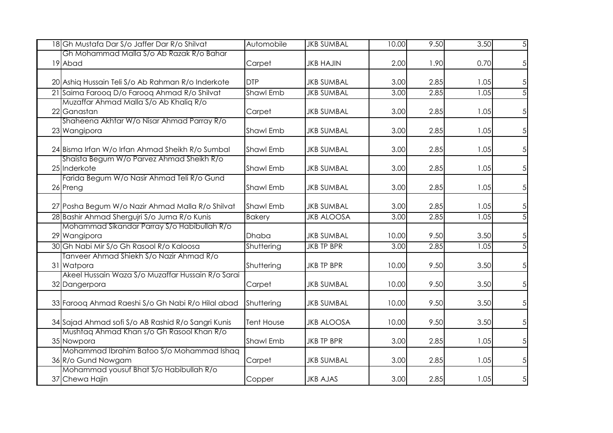| 18 Gh Mustafa Dar S/o Jaffer Dar R/o Shilvat       | Automobile       | <b>JKB SUMBAL</b> | 10.00 | 9.50 | 3.50 | 5              |
|----------------------------------------------------|------------------|-------------------|-------|------|------|----------------|
| Gh Mohammad Malla S/o Ab Razak R/o Bahar           |                  |                   |       |      |      |                |
| 19 Abad                                            | Carpet           | <b>JKB HAJIN</b>  | 2.00  | 1.90 | 0.70 | 5              |
|                                                    |                  |                   |       |      |      |                |
| 20 Ashiq Hussain Teli S/o Ab Rahman R/o Inderkote  | <b>DTP</b>       | <b>JKB SUMBAL</b> | 3.00  | 2.85 | 1.05 | 5              |
| 21 Saima Farooq D/o Farooq Ahmad R/o Shilvat       | <b>Shawl Emb</b> | <b>JKB SUMBAL</b> | 3.00  | 2.85 | 1.05 | $\overline{5}$ |
| Muzaffar Ahmad Malla S/o Ab Khalig R/o             |                  |                   |       |      |      |                |
| 22 Ganastan                                        | Carpet           | <b>JKB SUMBAL</b> | 3.00  | 2.85 | 1.05 | 5              |
| Shaheena Akhtar W/o Nisar Ahmad Parray R/o         | <b>Shawl Emb</b> | <b>JKB SUMBAL</b> | 3.00  | 2.85 |      |                |
| 23 Wangipora                                       |                  |                   |       |      | 1.05 | 5              |
| 24 Bisma Irfan W/o Irfan Ahmad Sheikh R/o Sumbal   | <b>Shawl Emb</b> | <b>JKB SUMBAL</b> | 3.00  | 2.85 | 1.05 | 5              |
| Shaista Begum W/o Parvez Ahmad Sheikh R/o          |                  |                   |       |      |      |                |
| 25 Inderkote                                       | <b>Shawl Emb</b> | <b>JKB SUMBAL</b> | 3.00  | 2.85 | 1.05 | 5              |
| Farida Begum W/o Nasir Ahmad Teli R/o Gund         |                  |                   |       |      |      |                |
| 26 Preng                                           | <b>Shawl Emb</b> | <b>JKB SUMBAL</b> | 3.00  | 2.85 | 1.05 | 5              |
|                                                    |                  |                   |       |      |      |                |
| 27 Posha Begum W/o Nazir Ahmad Malla R/o Shilvat   | <b>Shawl Emb</b> | <b>JKB SUMBAL</b> | 3.00  | 2.85 | 1.05 | 5              |
| 28 Bashir Ahmad Shergujri S/o Juma R/o Kunis       | <b>Bakery</b>    | <b>JKB ALOOSA</b> | 3.00  | 2.85 | 1.05 | $\overline{5}$ |
| Mohammad Sikandar Parray S/o Habibullah R/o        |                  |                   |       |      |      |                |
| 29 Wangipora                                       | <b>Dhaba</b>     | <b>JKB SUMBAL</b> | 10.00 | 9.50 | 3.50 | 5              |
| 30 Gh Nabi Mir S/o Gh Rasool R/o Kaloosa           | Shuttering       | <b>JKB TP BPR</b> | 3.00  | 2.85 | 1.05 | $\overline{5}$ |
| Tanveer Ahmad Shiekh S/o Nazir Ahmad R/o           |                  |                   |       |      |      |                |
| 31 Watpora                                         | Shuttering       | <b>JKB TP BPR</b> | 10.00 | 9.50 | 3.50 | 5              |
| Akeel Hussain Waza S/o Muzaffar Hussain R/o Sarai  |                  |                   |       |      |      |                |
| 32 Dangerpora                                      | Carpet           | <b>JKB SUMBAL</b> | 10.00 | 9.50 | 3.50 | 5              |
|                                                    |                  |                   |       |      |      |                |
| 33 Farooq Ahmad Raeshi S/o Gh Nabi R/o Hilal abad  | Shuttering       | <b>JKB SUMBAL</b> | 10.00 | 9.50 | 3.50 | $\overline{5}$ |
| 34 Sajad Ahmad sofi S/o AB Rashid R/o Sangri Kunis | Tent House       | <b>JKB ALOOSA</b> | 10.00 | 9.50 | 3.50 | 5 <sup>1</sup> |
| Mushtaq Ahmad Khan s/o Gh Rasool Khan R/o          |                  |                   |       |      |      |                |
| 35 Nowpora                                         | <b>Shawl Emb</b> | <b>JKB TP BPR</b> | 3.00  | 2.85 | 1.05 | 5              |
| Mohammad Ibrahim Batoo S/o Mohammad Ishaq          |                  |                   |       |      |      |                |
| 36 R/o Gund Nowgam                                 | Carpet           | <b>JKB SUMBAL</b> | 3.00  | 2.85 | 1.05 | 5              |
| Mohammad yousuf Bhat S/o Habibullah R/o            |                  |                   |       |      |      |                |
| 37 Chewa Hajin                                     | Copper           | <b>JKB AJAS</b>   | 3.00  | 2.85 | 1.05 | 5              |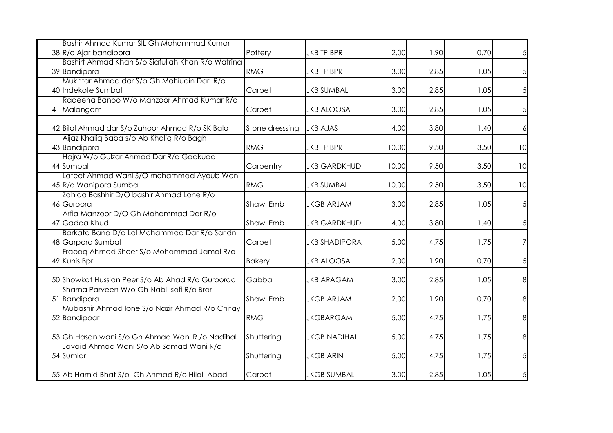| Bashir Ahmad Kumar SIL Gh Mohammad Kumar<br>38 R/o Ajar bandipora                          | Pottery          | <b>JKB TP BPR</b>    | 2.00  | 1.90 | 0.70 | 5 <sup>1</sup> |
|--------------------------------------------------------------------------------------------|------------------|----------------------|-------|------|------|----------------|
| Bashirt Ahmad Khan S/o Siafullah Khan R/o Watrina                                          |                  |                      |       |      |      |                |
| 39 Bandipora                                                                               | <b>RMG</b>       | <b>JKB TP BPR</b>    | 3.00  | 2.85 | 1.05 | 5 <sub>l</sub> |
| Mukhtar Ahmad dar S/o Gh Mohiudin Dar R/o                                                  |                  |                      |       |      |      |                |
| 40 Indekote Sumbal                                                                         | Carpet           | <b>JKB SUMBAL</b>    | 3.00  | 2.85 | 1.05 | 5 <sup>1</sup> |
| Rageena Banoo W/o Manzoor Ahmad Kumar R/o                                                  |                  |                      |       |      |      |                |
| 41 Malangam                                                                                | Carpet           | <b>JKB ALOOSA</b>    | 3.00  | 2.85 | 1.05 | 5 <sup>1</sup> |
| 42 Bilal Ahmad dar S/o Zahoor Ahmad R/o SK Bala                                            | Stone dresssing  | <b>JKB AJAS</b>      | 4.00  | 3.80 | 1.40 | $\frac{1}{2}$  |
| Aijaz Khaliq Baba s/o Ab Khaliq R/o Bagh                                                   |                  |                      |       |      |      |                |
| 43 Bandipora                                                                               | <b>RMG</b>       | <b>JKB TP BPR</b>    | 10.00 | 9.50 | 3.50 | 10             |
| Hajra W/o Gulzar Ahmad Dar R/o Gadkuad                                                     |                  | <b>JKB GARDKHUD</b>  | 10.00 | 9.50 | 3.50 |                |
| 44 Sumbal<br>Lateef Ahmad Wani S/O mohammad Ayoub Wani                                     | Carpentry        |                      |       |      |      | 10             |
| 45 R/o Wanipora Sumbal                                                                     | <b>RMG</b>       | <b>JKB SUMBAL</b>    | 10.00 | 9.50 | 3.50 | 10             |
| Zahida Bashhir D/O bashir Ahmad Lone R/o                                                   |                  |                      |       |      |      |                |
| 46 Guroora                                                                                 | <b>Shawl Emb</b> | <b>JKGB ARJAM</b>    | 3.00  | 2.85 | 1.05 | 5 <sub>l</sub> |
| Arfia Manzoor D/O Gh Mohammad Dar R/o                                                      |                  |                      |       |      |      |                |
| 47 Gadda Khud                                                                              | Shawl Emb        | <b>JKB GARDKHUD</b>  | 4.00  | 3.80 | 1.40 | 5 <sup>1</sup> |
| Barkata Bano D/o Lal Mohammad Dar R/o Saridn                                               |                  |                      |       |      |      |                |
| 48 Garpora Sumbal                                                                          | Carpet           | <b>JKB SHADIPORA</b> | 5.00  | 4.75 | 1.75 | 7              |
| Fraoog Ahmad Sheer S/o Mohammad Jamal R/o                                                  |                  |                      |       |      |      |                |
| 49 Kunis Bpr                                                                               | <b>Bakery</b>    | <b>JKB ALOOSA</b>    | 2.00  | 1.90 | 0.70 | 5 <sup>1</sup> |
| 50 Showkat Hussian Peer S/o Ab Ahad R/o Gurooraa                                           | Gabba            | <b>JKB ARAGAM</b>    | 3.00  | 2.85 | 1.05 | 8 <sup>1</sup> |
| Shama Parveen W/o Gh Nabi sofi R/o Brar                                                    |                  |                      |       |      |      |                |
| 51 Bandipora<br>Mubashir Ahmad Ione S/o Nazir Ahmad R/o Chitay                             | Shawl Emb        | <b>JKGB ARJAM</b>    | 2.00  | 1.90 | 0.70 | 8 <sup>1</sup> |
| 52 Bandipoar                                                                               | <b>RMG</b>       | <b>JKGBARGAM</b>     | 5.00  | 4.75 | 1.75 | 8 <sup>1</sup> |
|                                                                                            |                  |                      |       |      |      |                |
| 53 Gh Hasan wani S/o Gh Ahmad Wani R./o Nadihal<br>Javaid Ahmad Wani S/o Ab Samad Wani R/o | Shuttering       | <b>JKGB NADIHAL</b>  | 5.00  | 4.75 | 1.75 | 8 <sup>1</sup> |
| 54 Sumlar                                                                                  | Shuttering       | <b>JKGB ARIN</b>     | 5.00  | 4.75 | 1.75 | 5 <sup>1</sup> |
| 55 Ab Hamid Bhat S/o Gh Ahmad R/o Hilal Abad                                               | Carpet           | <b>JKGB SUMBAL</b>   | 3.00  | 2.85 | 1.05 | 5 <sup>1</sup> |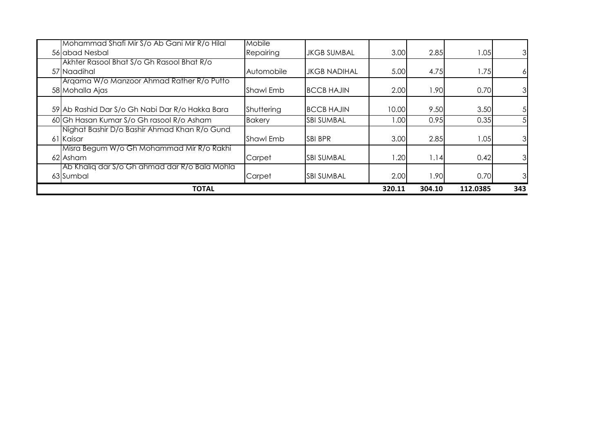| <b>TOTAL</b>                                                   |                     |                     | 320.11 | 304.10 | 112.0385 | 343                     |
|----------------------------------------------------------------|---------------------|---------------------|--------|--------|----------|-------------------------|
| Ab Khalig dar S/o Gh ahmad dar R/o Bala Mohla<br>63 Sumbal     | Carpet              | <b>SBI SUMBAL</b>   | 2.00   | 1.90   | 0.70     | $\overline{3}$          |
| Misra Begum W/o Gh Mohammad Mir R/o Rakhi<br>62 Asham          | Carpet              | <b>SBI SUMBAL</b>   | .20    | 1.14   | 0.42     | $\overline{\mathbf{3}}$ |
| Nighat Bashir D/o Bashir Ahmad Khan R/o Gund<br>61 Kaisar      | <b>Shawl Emb</b>    | <b>SBI BPR</b>      | 3.00   | 2.85   | 1.05     | 3 <sup>1</sup>          |
| 60 Gh Hasan Kumar S/o Gh rasool R/o Asham                      | <b>Bakery</b>       | <b>SBI SUMBAL</b>   | 00.1   | 0.95   | 0.35     | 5 <sub>l</sub>          |
| 59 Ab Rashid Dar S/o Gh Nabi Dar R/o Hakka Bara                | Shuttering          | <b>BCCB HAJIN</b>   | 10.00  | 9.50   | 3.50     | 5 <sub>l</sub>          |
| Argama W/o Manzoor Ahmad Rather R/o Putto<br>58 Mohalla Ajas   | <b>Shawl Emb</b>    | <b>BCCB HAJIN</b>   | 2.00   | 1.90   | 0.70     | $\overline{\mathbf{3}}$ |
| Akhter Rasool Bhat S/o Gh Rasool Bhat R/o<br>57 Naadihal       | Automobile          | <b>JKGB NADIHAL</b> | 5.00   | 4.75   | 1.75     | 6I                      |
| Mohammad Shafi Mir S/o Ab Gani Mir R/o Hilal<br>56 abad Nesbal | Mobile<br>Repairing | <b>JKGB SUMBAL</b>  | 3.00   | 2.85   | .05      | $\overline{\mathbf{3}}$ |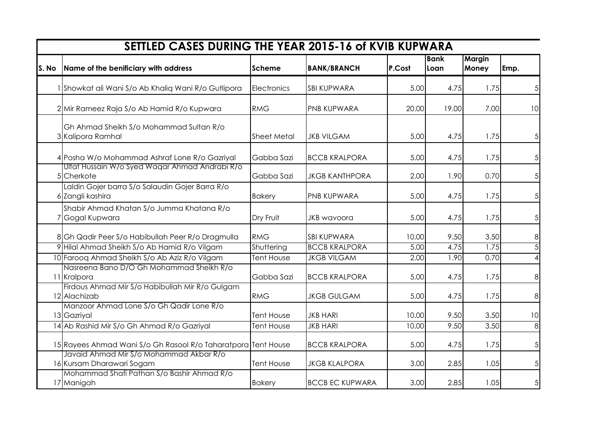|       | SETTLED CASES DURING THE YEAR 2015-16 of KVIB KUPWARA                |                    |                        |        |                     |                        |                 |
|-------|----------------------------------------------------------------------|--------------------|------------------------|--------|---------------------|------------------------|-----------------|
| S. No | Name of the benificiary with address                                 | Scheme             | <b>BANK/BRANCH</b>     | P.Cost | <b>Bank</b><br>Loan | <b>Margin</b><br>Money | Emp.            |
|       | 1 Showkat ali Wani S/o Ab Khaliq Wani R/o Gutlipora                  | Electronics        | <b>SBI KUPWARA</b>     | 5.00   | 4.75                | 1.75                   | 5 <sub>l</sub>  |
|       | 2 Mir Rameez Raja S/o Ab Hamid R/o Kupwara                           | <b>RMG</b>         | <b>PNB KUPWARA</b>     | 20.00  | 19.00               | 7.00                   | 10 <sup>1</sup> |
|       | Gh Ahmad Sheikh S/o Mohammad Sultan R/o<br>3 Kalipora Ramhal         | <b>Sheet Metal</b> | <b>JKB VILGAM</b>      | 5.00   | 4.75                | 1.75                   | 5 <sub>l</sub>  |
|       | 4 Posha W/o Mohammad Ashraf Lone R/o Gazriyal                        | Gabba Sazi         | <b>BCCB KRALPORA</b>   | 5.00   | 4.75                | 1.75                   | 5 <sup>1</sup>  |
|       | Ulfat Hussain W/o Syed Waqar Ahmad Andrabi R/o<br>5 Cherkote         | Gabba Sazi         | <b>JKGB KANTHPORA</b>  | 2.00   | 1.90                | 0.70                   | 5 <sup>1</sup>  |
|       | Laldin Gojer barra S/o Salaudin Gojer Barra R/o<br>6 Zangli kashira  | <b>Bakery</b>      | <b>PNB KUPWARA</b>     | 5.00   | 4.75                | 1.75                   | 5 <sup>1</sup>  |
|       | Shabir Ahmad Khatan S/o Jumma Khatana R/o<br>7 Gogal Kupwara         | Dry Fruit          | <b>JKB</b> wavoora     | 5.00   | 4.75                | 1.75                   | 5 <sub>l</sub>  |
|       | 8 Gh Qadir Peer S/o Habibullah Peer R/o Dragmulla                    | <b>RMG</b>         | <b>SBI KUPWARA</b>     | 10.00  | 9.50                | 3.50                   | 8 <sup>1</sup>  |
|       | 9 Hilal Ahmad Sheikh S/o Ab Hamid R/o Vilgam                         | Shuttering         | <b>BCCB KRALPORA</b>   | 5.00   | 4.75                | 1.75                   | $\overline{5}$  |
|       | 10 Farooq Ahmad Sheikh S/o Ab Aziz R/o Vilgam                        | <b>Tent House</b>  | <b>JKGB VILGAM</b>     | 2.00   | 1.90                | 0.70                   | $\vert$         |
|       | Nasreena Bano D/O Gh Mohammad Sheikh R/o<br>11 Kralpora              | Gabba Sazi         | <b>BCCB KRALPORA</b>   | 5.00   | 4.75                | 1.75                   | 8 <sup>1</sup>  |
|       | Firdous Ahmad Mir S/o Habibullah Mir R/o Gulgam<br>12 Alachizab      | <b>RMG</b>         | <b>JKGB GULGAM</b>     | 5.00   | 4.75                | 1.75                   | 8 <sup>1</sup>  |
|       | Manzoor Ahmad Lone S/o Gh Qadir Lone R/o<br>13 Gazriyal              | <b>Tent House</b>  | <b>JKB HARI</b>        | 10.00  | 9.50                | 3.50                   | 10 <sup>1</sup> |
|       | 14 Ab Rashid Mir S/o Gh Ahmad R/o Gazriyal                           | Tent House         | <b>JKB HARI</b>        | 10.00  | 9.50                | 3.50                   | 8 <sup>1</sup>  |
|       | 15 Rayees Ahmad Wani S/o Gh Rasool R/o Taharatpora Tent House        |                    | <b>BCCB KRALPORA</b>   | 5.00   | 4.75                | 1.75                   | 5 <sup>1</sup>  |
|       | Javaid Ahmad Mir S/o Mohammad Akbar R/o<br>16 Kursam Dharawari Sogam | <b>Tent House</b>  | <b>JKGB KLALPORA</b>   | 3.00   | 2.85                | 1.05                   | 5 <sup>1</sup>  |
|       | Mohammad Shafi Pathan S/o Bashir Ahmad R/o<br>17 Manigah             | <b>Bakery</b>      | <b>BCCB EC KUPWARA</b> | 3.00   | 2.85                | 1.05                   | $5\overline{)}$ |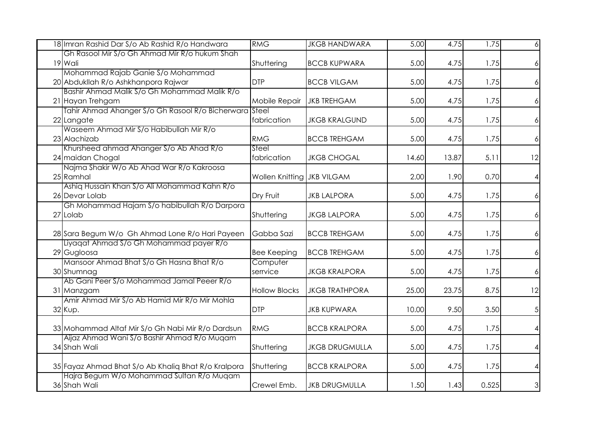| 18 Imran Rashid Dar S/o Ab Rashid R/o Handwara                                                   | RMG                        | <b>JKGB HANDWARA</b>  | 5.00  | 4.75  | 1.75  | 6                      |
|--------------------------------------------------------------------------------------------------|----------------------------|-----------------------|-------|-------|-------|------------------------|
| Gh Rasool Mir S/o Gh Ahmad Mir R/o hukum Shah                                                    |                            |                       |       |       |       |                        |
| 19 Wali                                                                                          | Shuttering                 | <b>BCCB KUPWARA</b>   | 5.00  | 4.75  | 1.75  | 6                      |
| Mohammad Rajab Ganie S/o Mohammad                                                                |                            |                       |       |       |       |                        |
| 20 Abdukllah R/o Ashkhanpora Rajwar                                                              | <b>DTP</b>                 | <b>BCCB VILGAM</b>    | 5.00  | 4.75  | 1.75  | 6                      |
| Bashir Ahmad Malik S/o Gh Mohammad Malik R/o                                                     |                            |                       |       |       |       |                        |
| 21 Hayan Trehgam                                                                                 | Mobile Repair              | <b>JKB TREHGAM</b>    | 5.00  | 4.75  | 1.75  | $\frac{1}{2}$          |
| Tahir Ahmad Ahanger S/o Gh Rasool R/o Bicherwara Steel                                           | fabrication                |                       |       |       |       |                        |
| 22 Langate                                                                                       |                            | <b>JKGB KRALGUND</b>  | 5.00  | 4.75  | 1.75  | $\frac{1}{2}$          |
| Waseem Ahmad Mir S/o Habibullah Mir R/o<br>23 Alachizab                                          | <b>RMG</b>                 |                       |       |       |       |                        |
|                                                                                                  | Steel                      | <b>BCCB TREHGAM</b>   | 5.00  | 4.75  | 1.75  | $\frac{1}{2}$          |
| Khursheed ahmad Ahanger S/o Ab Ahad R/o<br>24 maidan Chogal                                      | fabrication                | <b>JKGB CHOGAL</b>    | 14.60 | 13.87 | 5.11  | 12                     |
| Najma Shakir W/o Ab Ahad War R/o Kakroosa                                                        |                            |                       |       |       |       |                        |
| 25 Ramhal                                                                                        | Wollen Knitting JKB VILGAM |                       | 2.00  | 1.90  | 0.70  | 4                      |
| Ashiq Hussain Khan S/o Ali Mohammad Kahn R/o                                                     |                            |                       |       |       |       |                        |
| 26 Devar Lolab                                                                                   | Dry Fruit                  | <b>JKB LALPORA</b>    | 5.00  | 4.75  | 1.75  | $\frac{1}{2}$          |
| Gh Mohammad Hajam S/o habibullah R/o Darpora                                                     |                            |                       |       |       |       |                        |
| 27 Lolab                                                                                         | Shuttering                 | <b>JKGB LALPORA</b>   | 5.00  | 4.75  | 1.75  | $\frac{1}{2}$          |
|                                                                                                  |                            |                       |       |       |       |                        |
| 28 Sara Begum W/o Gh Ahmad Lone R/o Hari Payeen                                                  | <b>G</b> abba Sazi         | <b>BCCB TREHGAM</b>   | 5.00  | 4.75  | 1.75  | $\frac{1}{2}$          |
| Liyagat Ahmad S/o Gh Mohammad payer R/o                                                          |                            |                       |       |       |       |                        |
| 29 Gugloosa                                                                                      | <b>Bee Keeping</b>         | <b>BCCB TREHGAM</b>   | 5.00  | 4.75  | 1.75  | $\frac{1}{2}$          |
| Mansoor Ahmad Bhat S/o Gh Hasna Bhat R/o                                                         | Computer                   |                       |       |       |       |                        |
| 30 Shumnag                                                                                       | serrvice                   | <b>JKGB KRALPORA</b>  | 5.00  | 4.75  | 1.75  | $\left  \right\rangle$ |
| Ab Gani Peer S/o Mohammad Jamal Peeer R/o                                                        |                            |                       |       |       |       |                        |
| 31 Manzgam                                                                                       | <b>Hollow Blocks</b>       | <b>JKGB TRATHPORA</b> | 25.00 | 23.75 | 8.75  | 12                     |
| Amir Ahmad Mir S/o Ab Hamid Mir R/o Mir Mohla                                                    |                            |                       |       |       |       |                        |
| 32 Kup.                                                                                          | <b>I</b> DTP               | <b>JKB KUPWARA</b>    | 10.00 | 9.50  | 3.50  | $\overline{5}$         |
|                                                                                                  |                            |                       |       |       |       |                        |
| 33 Mohammad Altaf Mir S/o Gh Nabi Mir R/o Dardsun                                                | <b>RMG</b>                 | <b>BCCB KRALPORA</b>  | 5.00  | 4.75  | 1.75  | 4                      |
| Aijaz Ahmad Wani S/o Bashir Ahmad R/o Muqam                                                      |                            |                       |       |       |       |                        |
| 34 Shah Wali                                                                                     | Shuttering                 | <b>JKGB DRUGMULLA</b> | 5.00  | 4.75  | 1.75  | 4                      |
|                                                                                                  |                            |                       |       |       |       |                        |
| 35 Fayaz Ahmad Bhat S/o Ab Khaliq Bhat R/o Kralpora<br>Hajra Begum W/o Mohammad Sultan R/o Muqam | Shuttering                 | <b>BCCB KRALPORA</b>  | 5.00  | 4.75  | 1.75  | 4                      |
| 36 Shah Wali                                                                                     | Crewel Emb.                | <b>JKB DRUGMULLA</b>  | 1.50  | 1.43  | 0.525 |                        |
|                                                                                                  |                            |                       |       |       |       | $\mathbf{3}$           |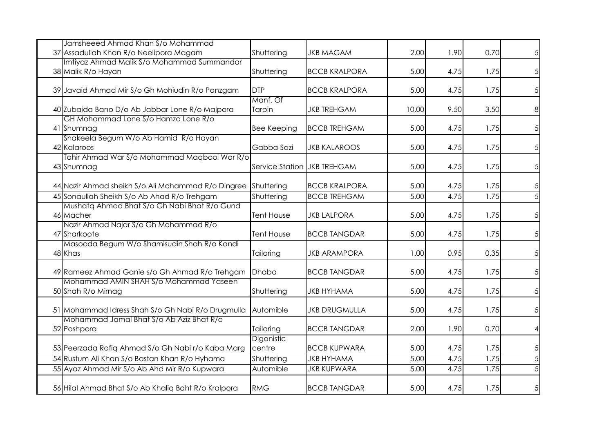| Jamsheeed Ahmad Khan S/o Mohammad                             |                             |                      |       |      |      |                 |
|---------------------------------------------------------------|-----------------------------|----------------------|-------|------|------|-----------------|
| 37 Assadullah Khan R/o Neelipora Magam                        | Shuttering                  | <b>JKB MAGAM</b>     | 2.00  | 1.90 | 0.70 | 5 <sup>1</sup>  |
| Imtiyaz Ahmad Malik S/o Mohammad Summandar                    |                             |                      |       |      |      |                 |
| 38 Malik R/o Hayan                                            | Shuttering                  | <b>BCCB KRALPORA</b> | 5.00  | 4.75 | 1.75 | 5 <sup>1</sup>  |
| 39 Javaid Ahmad Mir S/o Gh Mohiudin R/o Panzgam               | <b>DTP</b>                  | <b>BCCB KRALPORA</b> | 5.00  | 4.75 | 1.75 | 5 <sup>1</sup>  |
| 40 Zubaida Bano D/o Ab Jabbar Lone R/o Malpora                | Manf. Of<br>Tarpin          | <b>JKB TREHGAM</b>   | 10.00 | 9.50 | 3.50 | 8 <sup>1</sup>  |
| GH Mohammad Lone S/o Hamza Lone R/o<br>41 Shumnag             | <b>Bee Keeping</b>          | <b>BCCB TREHGAM</b>  | 5.00  | 4.75 | 1.75 | 5 <sub>l</sub>  |
| Shakeela Begum W/o Ab Hamid R/o Hayan<br>42 Kalaroos          | Gabba Sazi                  | <b>JKB KALAROOS</b>  | 5.00  | 4.75 | 1.75 | 5 <sub>l</sub>  |
| Tahir Ahmad War S/o Mohammad Maqbool War R/o<br>43 Shumnag    | Service Station JKB TREHGAM |                      | 5.00  | 4.75 | 1.75 | 5 <sup>1</sup>  |
| 44 Nazir Ahmad sheikh S/o Ali Mohammad R/o Dingree Shuttering |                             | <b>BCCB KRALPORA</b> | 5.00  | 4.75 | 1.75 | 5 <sup>1</sup>  |
| 45 Sonaullah Sheikh S/o Ab Ahad R/o Trehgam                   | Shuttering                  | <b>BCCB TREHGAM</b>  | 5.00  | 4.75 | 1.75 | $\overline{5}$  |
| Mushata Ahmad Bhat S/o Gh Nabi Bhat R/o Gund<br>46 Macher     | <b>Tent House</b>           | <b>JKB LALPORA</b>   | 5.00  | 4.75 | 1.75 | 5 <sub>l</sub>  |
| Nazir Ahmad Najar S/o Gh Mohammad R/o<br>47 Sharkoote         | <b>Tent House</b>           | <b>BCCB TANGDAR</b>  | 5.00  | 4.75 | 1.75 | 5 <sub>l</sub>  |
| Masooda Begum W/o Shamisudin Shah R/o Kandi<br>48 Khas        | Tailoring                   | <b>JKB ARAMPORA</b>  | 1.00  | 0.95 | 0.35 | 5 <sub>l</sub>  |
| 49 Rameez Ahmad Ganie s/o Gh Ahmad R/o Trehgam                | Dhaba                       | <b>BCCB TANGDAR</b>  | 5.00  | 4.75 | 1.75 | 5 <sub>l</sub>  |
| Mohammad AMIN SHAH S/o Mohammad Yaseen<br>50 Shah R/o Mirnag  | Shuttering                  | <b>JKB HYHAMA</b>    | 5.00  | 4.75 | 1.75 | 5 <sup>1</sup>  |
| 51 Mohammad Idress Shah S/o Gh Nabi R/o Drugmulla             | Automible                   | <b>JKB DRUGMULLA</b> | 5.00  | 4.75 | 1.75 | 5 <sup>1</sup>  |
| Mohammad Jamal Bhat S/o Ab Aziz Bhat R/o<br>52 Poshpora       | Tailoring                   | <b>BCCB TANGDAR</b>  | 2.00  | 1.90 | 0.70 | 41              |
| 53 Peerzada Rafiq Ahmad S/o Gh Nabi r/o Kaba Marg             | Digonistic<br>centre        | <b>BCCB KUPWARA</b>  | 5.00  | 4.75 | 1.75 | 5 <sup>1</sup>  |
| 54 Rustum Ali Khan S/o Bastan Khan R/o Hyhama                 | Shuttering                  | <b>JKB HYHAMA</b>    | 5.00  | 4.75 | 1.75 | $\overline{5}$  |
| 55 Ayaz Ahmad Mir S/o Ab Ahd Mir R/o Kupwara                  | Automible                   | <b>JKB KUPWARA</b>   | 5.00  | 4.75 | 1.75 | $\overline{5}$  |
| 56 Hilal Ahmad Bhat S/o Ab Khaliq Baht R/o Kralpora           | <b>RMG</b>                  | <b>BCCB TANGDAR</b>  | 5.00  | 4.75 | 1.75 | $5\overline{)}$ |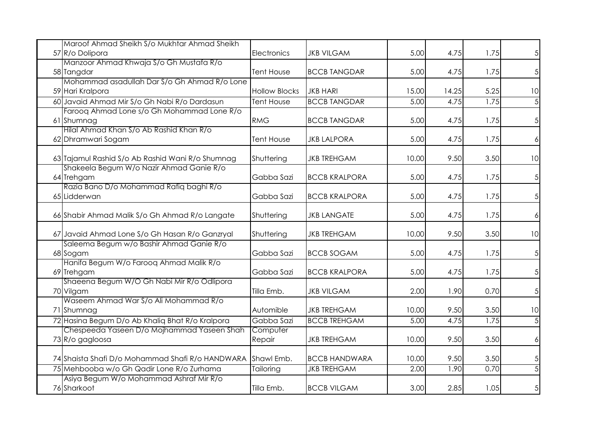| Maroof Ahmad Sheikh S/o Mukhtar Ahmad Sheikh            |                      |                      |       |       |      |                        |
|---------------------------------------------------------|----------------------|----------------------|-------|-------|------|------------------------|
| 57 R/o Dolipora                                         | <b>Electronics</b>   | <b>JKB VILGAM</b>    | 5.00  | 4.75  | 1.75 | 5 <sup>1</sup>         |
| Manzoor Ahmad Khwaja S/o Gh Mustafa R/o                 |                      |                      |       |       |      |                        |
| 58 Tangdar                                              | <b>Tent House</b>    | <b>BCCB TANGDAR</b>  | 5.00  | 4.75  | 1.75 | 5 <sup>1</sup>         |
| Mohammad asadullah Dar S/o Gh Ahmad R/o Lone            |                      |                      |       |       |      |                        |
| 59 Hari Kralpora                                        | <b>Hollow Blocks</b> | <b>JKB HARI</b>      | 15.00 | 14.25 | 5.25 | 10                     |
| 60 Javaid Ahmad Mir S/o Gh Nabi R/o Dardasun            | <b>Tent House</b>    | <b>BCCB TANGDAR</b>  | 5.00  | 4.75  | 1.75 | $\overline{5}$         |
| Faroog Ahmad Lone s/o Gh Mohammad Lone R/o              |                      |                      |       |       |      |                        |
| 61 Shumnag                                              | <b>RMG</b>           | <b>BCCB TANGDAR</b>  | 5.00  | 4.75  | 1.75 | 5 <sup>1</sup>         |
| Hilal Ahmad Khan S/o Ab Rashid Khan R/o                 |                      |                      |       |       |      |                        |
| 62 Dhramwari Sogam                                      | <b>Tent House</b>    | <b>JKB LALPORA</b>   | 5.00  | 4.75  | 1.75 | $\left  \right\rangle$ |
| 63 Tajamul Rashid S/o Ab Rashid Wani R/o Shumnag        | Shuttering           | <b>JKB TREHGAM</b>   | 10.00 | 9.50  | 3.50 | 10                     |
| Shakeela Begum W/o Nazir Ahmad Ganie R/o                |                      |                      |       |       |      |                        |
| 64 Trehgam                                              | Gabba Sazi           | <b>BCCB KRALPORA</b> | 5.00  | 4.75  | 1.75 | 5 <sup>1</sup>         |
| Razia Bano D/o Mohammad Rafiq baghi R/o<br>65 Lidderwan | Gabba Sazi           | <b>BCCB KRALPORA</b> | 5.00  | 4.75  | 1.75 |                        |
|                                                         |                      |                      |       |       |      | 5 <sup>1</sup>         |
| 66 Shabir Ahmad Malik S/o Gh Ahmad R/o Langate          | Shuttering           | <b>JKB LANGATE</b>   | 5.00  | 4.75  | 1.75 | $\left  \right\rangle$ |
| 67 Javaid Ahmad Lone S/o Gh Hasan R/o Ganzryal          | Shuttering           | <b>JKB TREHGAM</b>   | 10.00 | 9.50  | 3.50 | 10                     |
| Saleema Begum w/o Bashir Ahmad Ganie R/o                |                      |                      |       |       |      |                        |
| 68 Sogam                                                | Gabba Sazi           | <b>BCCB SOGAM</b>    | 5.00  | 4.75  | 1.75 | 5 <sup>1</sup>         |
| Hanifa Begum W/o Farooq Ahmad Malik R/o                 |                      |                      |       |       |      |                        |
| 69 Trehgam                                              | Gabba Sazi           | <b>BCCB KRALPORA</b> | 5.00  | 4.75  | 1.75 | 5 <sup>1</sup>         |
| Shaeena Begum W/O Gh Nabi Mir R/o Odlipora              |                      |                      |       |       |      |                        |
| 70 Vilgam                                               | Tilla Emb.           | <b>JKB VILGAM</b>    | 2.00  | 1.90  | 0.70 | $\overline{5}$         |
| Waseem Ahmad War S/o Ali Mohammad R/o                   |                      |                      |       |       |      |                        |
| 71 Shumnag                                              | Automible            | <b>JKB TREHGAM</b>   | 10.00 | 9.50  | 3.50 | 10                     |
| 72 Hasina Begum D/o Ab Khaliq Bhat R/o Kralpora         | Gabba Sazi           | <b>BCCB TREHGAM</b>  | 5.00  | 4.75  | 1.75 | $\overline{5}$         |
| Chespeeda Yaseen D/o Mojhammad Yaseen Shah              | Computer             |                      |       |       |      |                        |
| 73 R/o gagloosa                                         | Repair               | <b>JKB TREHGAM</b>   | 10.00 | 9.50  | 3.50 | $\frac{1}{2}$          |
| 74 Shaista Shafi D/o Mohammad Shafi R/o HANDWARA        | Shawl Emb.           | <b>BCCB HANDWARA</b> | 10.00 | 9.50  | 3.50 | $\overline{5}$         |
| 75 Mehbooba w/o Gh Qadir Lone R/o Zurhama               | Tailoring            | <b>JKB TREHGAM</b>   | 2.00  | 1.90  | 0.70 | $\overline{5}$         |
| Asiya Begum W/o Mohammad Ashraf Mir R/o<br>76 Sharkoot  | Tilla Emb.           | <b>BCCB VILGAM</b>   | 3.00  | 2.85  | 1.05 | 5                      |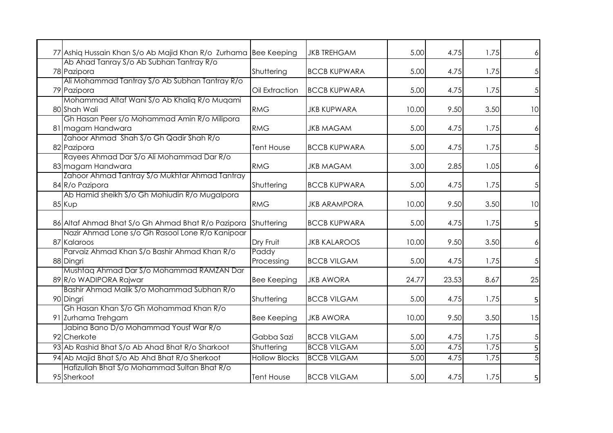| 77 Ashiq Hussain Khan S/o Ab Majid Khan R/o Zurhama Bee Keeping     |                      | <b>JKB TREHGAM</b>  | 5.00  | 4.75  | 1.75 | 6                      |
|---------------------------------------------------------------------|----------------------|---------------------|-------|-------|------|------------------------|
| Ab Ahad Tanray S/o Ab Subhan Tantray R/o                            |                      |                     |       |       |      |                        |
| 78 Pazipora                                                         | Shuttering           | <b>BCCB KUPWARA</b> | 5.00  | 4.75  | 1.75 | 5 <sup>1</sup>         |
| Ali Mohammad Tantray S/o Ab Subhan Tantray R/o                      |                      |                     |       |       |      |                        |
| 79 Pazipora                                                         | Oil Extraction       | <b>BCCB KUPWARA</b> | 5.00  | 4.75  | 1.75 | $\overline{5}$         |
| Mohammad Altaf Wani S/o Ab Khaliq R/o Muqami                        |                      |                     |       |       |      |                        |
| 80 Shah Wali                                                        | <b>RMG</b>           | <b>JKB KUPWARA</b>  | 10.00 | 9.50  | 3.50 | 10                     |
| Gh Hasan Peer s/o Mohammad Amin R/o Milipora                        |                      |                     |       |       |      |                        |
| 81 magam Handwara                                                   | <b>RMG</b>           | <b>JKB MAGAM</b>    | 5.00  | 4.75  | 1.75 | $\left  \right\rangle$ |
| Zahoor Ahmad Shah S/o Gh Qadir Shah R/o                             |                      |                     |       |       |      |                        |
| 82 Pazipora                                                         | <b>Tent House</b>    | <b>BCCB KUPWARA</b> | 5.00  | 4.75  | 1.75 | $\overline{5}$         |
| Rayees Ahmad Dar S/o Ali Mohammad Dar R/o                           | <b>RMG</b>           | <b>JKB MAGAM</b>    | 3.00  | 2.85  | 1.05 |                        |
| 83 magam Handwara<br>Zahoor Ahmad Tantray S/o Mukhtar Ahmad Tantray |                      |                     |       |       |      | $\left  \right\rangle$ |
| 84 R/o Pazipora                                                     | Shuttering           | <b>BCCB KUPWARA</b> | 5.00  | 4.75  | 1.75 | $\overline{5}$         |
| Ab Hamid sheikh S/o Gh Mohiudin R/o Mugalpora                       |                      |                     |       |       |      |                        |
| 85 Kup                                                              | <b>RMG</b>           | <b>JKB ARAMPORA</b> | 10.00 | 9.50  | 3.50 | 10                     |
|                                                                     |                      |                     |       |       |      |                        |
| 86 Altaf Ahmad Bhat S/o Gh Ahmad Bhat R/o Pazipora                  | Shuttering           | <b>BCCB KUPWARA</b> | 5.00  | 4.75  | 1.75 | 5                      |
| Nazir Ahmad Lone s/o Gh Rasool Lone R/o Kanipoar                    |                      |                     |       |       |      |                        |
| 87 Kalaroos                                                         | Dry Fruit            | <b>JKB KALAROOS</b> | 10.00 | 9.50  | 3.50 | $\left  \right\rangle$ |
| Parvaiz Ahmad Khan S/o Bashir Ahmad Khan R/o                        | Paddy                |                     |       |       |      |                        |
| 88 Dingri                                                           | Processing           | <b>BCCB VILGAM</b>  | 5.00  | 4.75  | 1.75 | 5 <sup>1</sup>         |
| Mushtag Ahmad Dar S/o Mohammad RAMZAN Dar                           |                      |                     |       |       |      |                        |
| 89 R/o WADIPORA Rajwar                                              | <b>Bee Keeping</b>   | <b>JKB AWORA</b>    | 24.77 | 23.53 | 8.67 | 25                     |
| Bashir Ahmad Malik S/o Mohammad Subhan R/o                          |                      |                     |       |       |      |                        |
| 90 Dingri                                                           | Shuttering           | <b>BCCB VILGAM</b>  | 5.00  | 4.75  | 1.75 | 5                      |
| Gh Hasan Khan S/o Gh Mohammad Khan R/o                              |                      |                     |       |       |      |                        |
| 91 Zurhama Trehgam                                                  | <b>Bee Keeping</b>   | <b>JKB AWORA</b>    | 10.00 | 9.50  | 3.50 | 15                     |
| Jabina Bano D/o Mohammad Yousf War R/o                              |                      |                     |       |       |      |                        |
| 92 Cherkote                                                         | Gabba Sazi           | <b>BCCB VILGAM</b>  | 5.00  | 4.75  | 1.75 | $\overline{5}$         |
| 93 Ab Rashid Bhat S/o Ab Ahad Bhat R/o Sharkoot                     | Shuttering           | <b>BCCB VILGAM</b>  | 5.00  | 4.75  | 1.75 | 5                      |
| 94 Ab Majid Bhat S/o Ab Ahd Bhat R/o Sherkoot                       | <b>Hollow Blocks</b> | <b>BCCB VILGAM</b>  | 5.00  | 4.75  | 1.75 | $\overline{5}$         |
| Hafizullah Bhat S/o Mohammad Sultan Bhat R/o<br>95 Sherkoot         | <b>Tent House</b>    | <b>BCCB VILGAM</b>  | 5.00  | 4.75  | 1.75 | $\mathsf{S}\vert$      |
|                                                                     |                      |                     |       |       |      |                        |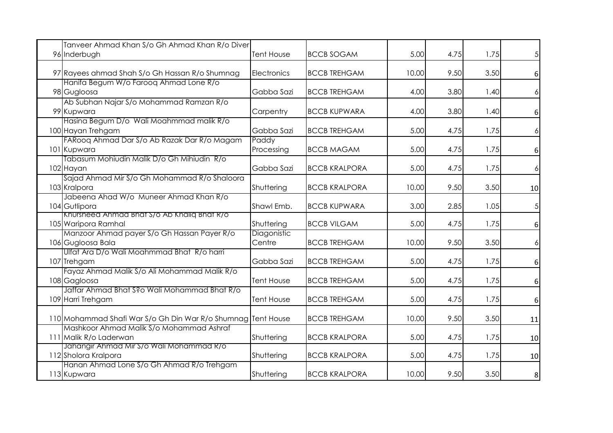| Tanveer Ahmad Khan S/o Gh Ahmad Khan R/o Diver<br>96 Inderbugh | Tent House        | <b>BCCB SOGAM</b>    | 5.00  | 4.75 | 1.75 | $\overline{5}$         |
|----------------------------------------------------------------|-------------------|----------------------|-------|------|------|------------------------|
|                                                                |                   |                      |       |      |      |                        |
| 97 Rayees ahmad Shah S/o Gh Hassan R/o Shumnag                 | Electronics       | <b>BCCB TREHGAM</b>  | 10.00 | 9.50 | 3.50 | $6 \mid$               |
| Hanifa Begum W/o Farooq Ahmad Lone R/o                         |                   |                      |       |      |      |                        |
| 98 Gugloosa                                                    | Gabba Sazi        | <b>BCCB TREHGAM</b>  | 4.00  | 3.80 | 1.40 | $\left  \right\rangle$ |
| Ab Subhan Najar S/o Mohammad Ramzan R/o                        |                   |                      |       |      |      |                        |
| 99 Kupwara                                                     | Carpentry         | <b>BCCB KUPWARA</b>  | 4.00  | 3.80 | 1.40 | 6                      |
| Hasina Begum D/o Wali Moahmmad malik R/o                       |                   |                      |       |      |      |                        |
| 100 Hayan Trehgam                                              | Gabba Sazi        | <b>BCCB TREHGAM</b>  | 5.00  | 4.75 | 1.75 | $\left  \right\rangle$ |
| FARoog Ahmad Dar S/o Ab Razak Dar R/o Magam                    | Paddy             |                      |       |      |      |                        |
| 101 Kupwara                                                    | Processing        | <b>BCCB MAGAM</b>    | 5.00  | 4.75 | 1.75 | 6                      |
| Tabasum Mohiudin Malik D/o Gh Mihiudin R/o                     |                   |                      |       |      |      |                        |
| 102 Hayan                                                      | Gabba Sazi        | <b>BCCB KRALPORA</b> | 5.00  | 4.75 | 1.75 | $\left  \right\rangle$ |
| Sajad Ahmad Mir S/o Gh Mohammad R/o Shaloora                   |                   |                      |       |      |      |                        |
| 103 Kralpora                                                   | Shuttering        | <b>BCCB KRALPORA</b> | 10.00 | 9.50 | 3.50 | 10                     |
| Jabeena Ahad W/o Muneer Ahmad Khan R/o                         |                   |                      |       |      |      |                        |
| 104 Gutlipora                                                  | Shawl Emb.        | <b>BCCB KUPWARA</b>  | 3.00  | 2.85 | 1.05 | $\overline{5}$         |
| Khursheed Ahmad Bhat S/0 Ab Khaliq Bhat R/0                    |                   |                      |       |      |      |                        |
| 105 Waripora Ramhal                                            | Shuttering        | <b>BCCB VILGAM</b>   | 5.00  | 4.75 | 1.75 | 6                      |
| Manzoor Ahmad payer S/o Gh Hassan Payer R/o                    | Diagonistic       |                      |       |      |      |                        |
| 106 Gugloosa Bala                                              | Centre            | <b>BCCB TREHGAM</b>  | 10.00 | 9.50 | 3.50 | $\left  \right\rangle$ |
| Ulfat Ara D/o Wali Moahmmad Bhat R/o harri                     |                   |                      |       |      |      |                        |
| 107 Trehgam                                                    | Gabba Sazi        | <b>BCCB TREHGAM</b>  | 5.00  | 4.75 | 1.75 | 6                      |
| Fayaz Ahmad Malik S/o Ali Mohammad Malik R/o                   |                   |                      |       |      |      |                        |
| 108 Gagloosa                                                   | <b>Tent House</b> | <b>BCCB TREHGAM</b>  | 5.00  | 4.75 | 1.75 | 6                      |
| Jaffar Ahmad Bhat S?o Wali Mohammad Bhat R/o                   |                   |                      |       |      |      |                        |
| 109 Harri Trehgam                                              | <b>Tent House</b> | <b>BCCB TREHGAM</b>  | 5.00  | 4.75 | 1.75 | 6                      |
|                                                                |                   |                      |       |      |      |                        |
| 110 Mohammad Shafi War S/o Gh Din War R/o Shumnag Tent House   |                   | <b>BCCB TREHGAM</b>  | 10.00 | 9.50 | 3.50 | 11                     |
| Mashkoor Ahmad Malik S/o Mohammad Ashraf                       |                   |                      |       |      |      |                        |
| 111 Malik R/o Laderwan                                         | Shuttering        | <b>BCCB KRALPORA</b> | 5.00  | 4.75 | 1.75 | 10                     |
| Jahangir Ahmad Mir S/o Wali Mohammad R/o                       |                   |                      |       |      |      |                        |
| 112 Sholora Kralpora                                           | Shuttering        | <b>BCCB KRALPORA</b> | 5.00  | 4.75 | 1.75 | 10                     |
| Hanan Ahmad Lone S/o Gh Ahmad R/o Trehgam                      |                   |                      |       |      |      |                        |
| 113 Kupwara                                                    | Shuttering        | <b>BCCB KRALPORA</b> | 10.00 | 9.50 | 3.50 | 8                      |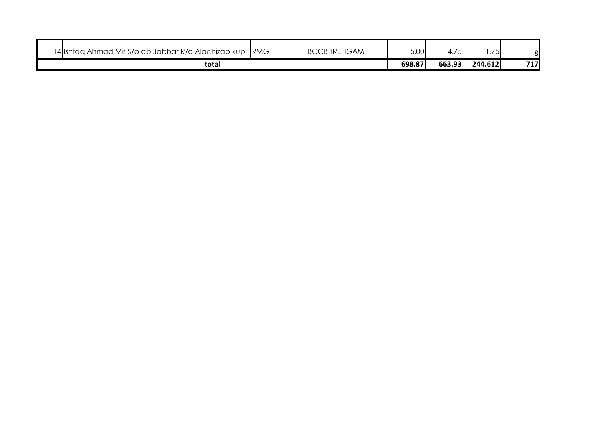| 14 Ishfaq Ahmad Mir S/o ab Jabbar R/o Alachizab kup | <b>IRMG</b> | <b>BCCB TREHGAM</b> | 5.00   | $\overline{\phantom{a}}$ | .75     |     |
|-----------------------------------------------------|-------------|---------------------|--------|--------------------------|---------|-----|
| total                                               |             |                     | 698.87 | 663.93                   | 244.612 | 717 |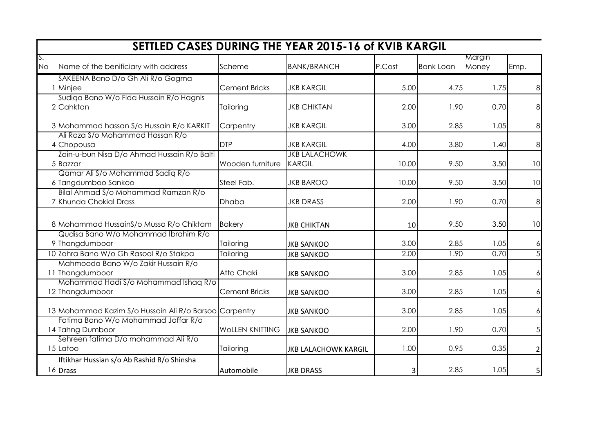|                 | <b>SETTLED CASES DURING THE YEAR 2015-16 of KVIB KARGIL</b>                     |                        |                                       |        |                  |                 |                |  |  |  |  |  |  |  |
|-----------------|---------------------------------------------------------------------------------|------------------------|---------------------------------------|--------|------------------|-----------------|----------------|--|--|--|--|--|--|--|
| S.<br><b>No</b> | Name of the benificiary with address                                            | Scheme                 | <b>BANK/BRANCH</b>                    | P.Cost | <b>Bank Loan</b> | Margin<br>Money | Emp.           |  |  |  |  |  |  |  |
|                 |                                                                                 |                        |                                       |        |                  |                 |                |  |  |  |  |  |  |  |
|                 | SAKEENA Bano D/o Gh Ali R/o Gogma<br>I Minjee                                   | <b>Cement Bricks</b>   | <b>JKB KARGIL</b>                     | 5.00   | 4.75             | 1.75            | 8              |  |  |  |  |  |  |  |
|                 | Sudiqa Bano W/o Fida Hussain R/o Hagnis<br>2 Cahktan                            | Tailoring              | <b>JKB CHIKTAN</b>                    | 2.00   | 1.90             | 0.70            | 8              |  |  |  |  |  |  |  |
|                 | 3 Mohammad hassan S/o Hussain R/o KARKIT                                        | Carpentry              | <b>JKB KARGIL</b>                     | 3.00   | 2.85             | 1.05            | 8              |  |  |  |  |  |  |  |
|                 | Ali Raza S/o Mohammad Hassan R/o<br>4 Chopousa                                  | <b>DTP</b>             | <b>JKB KARGIL</b>                     | 4.00   | 3.80             | 1.40            | 8              |  |  |  |  |  |  |  |
|                 | Zain-u-bun Nisa D/o Ahmad Hussain R/o Balti<br>5 Bazzar                         | Wooden furniture       | <b>JKB LALACHOWK</b><br><b>KARGIL</b> | 10.00  | 9.50             | 3.50            | 10             |  |  |  |  |  |  |  |
|                 | Qamar Ali S/o Mohammad Sadiq R/o<br>6 Tangdumboo Sankoo                         | Steel Fab.             | <b>JKB BAROO</b>                      | 10.00  | 9.50             | 3.50            | 10             |  |  |  |  |  |  |  |
|                 | Bilal Ahmad S/o Mohammad Ramzan R/o<br>7 Khunda Chokial Drass                   | <b>Dhaba</b>           | <b>JKB DRASS</b>                      | 2.00   | 1.90             | 0.70            | 8              |  |  |  |  |  |  |  |
|                 | 8 Mohammad HussainS/o Mussa R/o Chiktam<br>Qudisa Bano W/o Mohammad Ibrahim R/o | <b>Bakery</b>          | <b>JKB CHIKTAN</b>                    | 10     | 9.50             | 3.50            | 10             |  |  |  |  |  |  |  |
|                 | 9 Thangdumboor                                                                  | Tailoring              | <b>JKB SANKOO</b>                     | 3.00   | 2.85             | 1.05            | 6              |  |  |  |  |  |  |  |
|                 | 10 Zohra Bano W/o Gh Rasool R/o Stakpa                                          | Tailoring              | <b>JKB SANKOO</b>                     | 2.00   | 1.90             | 0.70            | $\overline{5}$ |  |  |  |  |  |  |  |
|                 | Mahmooda Bano W/o Zakir Hussain R/o<br>11 Thangdumboor                          | Atta Chaki             | <b>JKB SANKOO</b>                     | 3.00   | 2.85             | 1.05            | 6              |  |  |  |  |  |  |  |
|                 | Mohammad Hadi S/o Mohammad Ishaq R/o<br>12 Thangdumboor                         | <b>Cement Bricks</b>   | <b>JKB SANKOO</b>                     | 3.00   | 2.85             | 1.05            | $\epsilon$     |  |  |  |  |  |  |  |
|                 | 13 Mohammad Kazim S/o Hussain Ali R/o Barsoo Carpentry                          |                        | <b>JKB SANKOO</b>                     | 3.00   | 2.85             | 1.05            | 6              |  |  |  |  |  |  |  |
|                 | Fatima Bano W/o Mohammad Jaffar R/o<br>14 Tahng Dumboor                         | <b>WOLLEN KNITTING</b> | <b>JKB SANKOO</b>                     | 2.00   | 1.90             | 0.70            | 5 <sub>l</sub> |  |  |  |  |  |  |  |
|                 | Sehreen fatima D/o mohammad Ali R/o<br>15 Latoo                                 | Tailoring              | <b>JKB LALACHOWK KARGIL</b>           | 1.00   | 0.95             | 0.35            | $\overline{2}$ |  |  |  |  |  |  |  |
|                 | Iftikhar Hussian s/o Ab Rashid R/o Shinsha<br>16 Drass                          | Automobile             | <b>JKB DRASS</b>                      | 3      | 2.85             | 1.05            | $\mathsf{5}$   |  |  |  |  |  |  |  |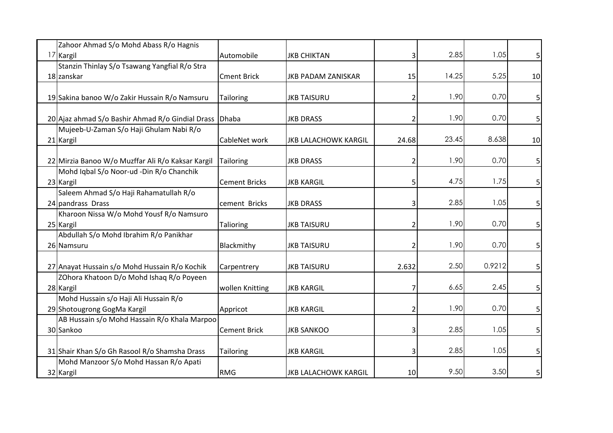| Zahoor Ahmad S/o Mohd Abass R/o Hagnis                 |                      |                             |       |       |        |                |
|--------------------------------------------------------|----------------------|-----------------------------|-------|-------|--------|----------------|
| 17 Kargil                                              | Automobile           | <b>JKB CHIKTAN</b>          |       | 2.85  | 1.05   | $\mathsf{5}$   |
| Stanzin Thinlay S/o Tsawang Yangfial R/o Stra          |                      |                             |       |       |        |                |
| 18 zanskar                                             | <b>Cment Brick</b>   | <b>JKB PADAM ZANISKAR</b>   | 15    | 14.25 | 5.25   | 10             |
|                                                        |                      |                             |       |       |        |                |
| 19 Sakina banoo W/o Zakir Hussain R/o Namsuru          | <b>Tailoring</b>     | <b>JKB TAISURU</b>          |       | 1.90  | 0.70   | 5              |
| 20 Ajaz ahmad S/o Bashir Ahmad R/o Gindial Drass Dhaba |                      | <b>JKB DRASS</b>            |       | 1.90  | 0.70   | 5              |
| Mujeeb-U-Zaman S/o Haji Ghulam Nabi R/o                |                      |                             |       |       |        |                |
| 21 Kargil                                              | CableNet work        | <b>JKB LALACHOWK KARGIL</b> | 24.68 | 23.45 | 8.638  | 10             |
|                                                        |                      |                             |       |       |        |                |
| 22 Mirzia Banoo W/o Muzffar Ali R/o Kaksar Kargil      | <b>Tailoring</b>     | <b>JKB DRASS</b>            |       | 1.90  | 0.70   | 5              |
| Mohd Iqbal S/o Noor-ud -Din R/o Chanchik               |                      |                             |       |       |        |                |
| 23 Kargil                                              | <b>Cement Bricks</b> | <b>JKB KARGIL</b>           |       | 4.75  | 1.75   | 5              |
| Saleem Ahmad S/o Haji Rahamatullah R/o                 |                      |                             |       |       |        |                |
| 24 pandrass Drass                                      | cement Bricks        | <b>JKB DRASS</b>            |       | 2.85  | 1.05   | 5              |
| Kharoon Nissa W/o Mohd Yousf R/o Namsuro               |                      |                             |       |       |        |                |
| 25 Kargil                                              | Talioring            | <b>JKB TAISURU</b>          |       | 1.90  | 0.70   | 5              |
| Abdullah S/o Mohd Ibrahim R/o Panikhar                 |                      |                             |       |       |        |                |
| 26 Namsuru                                             | Blackmithy           | <b>JKB TAISURU</b>          |       | 1.90  | 0.70   | 5              |
| 27 Anayat Hussain s/o Mohd Hussain R/o Kochik          | Carpentrery          | <b>JKB TAISURU</b>          | 2.632 | 2.50  | 0.9212 | 5              |
| ZOhora Khatoon D/o Mohd Ishaq R/o Poyeen               |                      |                             |       |       |        |                |
| 28 Kargil                                              | wollen Knitting      | <b>JKB KARGIL</b>           |       | 6.65  | 2.45   | 5              |
| Mohd Hussain s/o Haji Ali Hussain R/o                  |                      |                             |       |       |        |                |
| 29 Shotougrong GogMa Kargil                            | Appricot             | <b>JKB KARGIL</b>           |       | 1.90  | 0.70   | 5              |
| AB Hussain s/o Mohd Hassain R/o Khala Marpoo           |                      |                             |       |       |        |                |
| 30 Sankoo                                              | <b>Cement Brick</b>  | <b>JKB SANKOO</b>           |       | 2.85  | 1.05   | 5 <sup>1</sup> |
| 31 Shair Khan S/o Gh Rasool R/o Shamsha Drass          | Tailoring            | <b>JKB KARGIL</b>           |       | 2.85  | 1.05   | 5              |
| Mohd Manzoor S/o Mohd Hassan R/o Apati                 |                      |                             |       |       |        |                |
| 32 Kargil                                              | <b>RMG</b>           | <b>JKB LALACHOWK KARGIL</b> | 10    | 9.50  | 3.50   | 5              |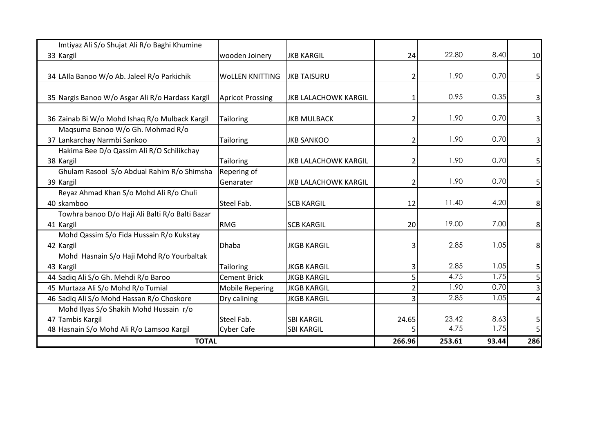| Imtiyaz Ali S/o Shujat Ali R/o Baghi Khumine                    |                          |                             |        |        |       |                |
|-----------------------------------------------------------------|--------------------------|-----------------------------|--------|--------|-------|----------------|
| 33 Kargil                                                       | wooden Joinery           | IJKB KARGIL                 | 24     | 22.80  | 8.40  | 10             |
| 34 LAIIa Banoo W/o Ab. Jaleel R/o Parkichik                     | <b>WOLLEN KNITTING</b>   | <b>JKB TAISURU</b>          |        | 1.90   | 0.70  | 5              |
| 35 Nargis Banoo W/o Asgar Ali R/o Hardass Kargil                | <b>Apricot Prossing</b>  | <b>JKB LALACHOWK KARGIL</b> |        | 0.95   | 0.35  | 3              |
| 36 Zainab Bi W/o Mohd Ishaq R/o Mulback Kargil                  | <b>Tailoring</b>         | <b>JKB MULBACK</b>          |        | 1.90   | 0.70  | 3              |
| Magsuma Banoo W/o Gh. Mohmad R/o<br>37 Lankarchay Narmbi Sankoo | Tailoring                | <b>JKB SANKOO</b>           |        | 1.90   | 0.70  | 3              |
| Hakima Bee D/o Qassim Ali R/O Schilikchay<br>38 Kargil          | Tailoring                | <b>JKB LALACHOWK KARGIL</b> |        | 1.90   | 0.70  | 5              |
| Ghulam Rasool S/o Abdual Rahim R/o Shimsha<br>39 Kargil         | Repering of<br>Genarater | <b>JKB LALACHOWK KARGIL</b> |        | 1.90   | 0.70  | 5              |
| Reyaz Ahmad Khan S/o Mohd Ali R/o Chuli<br>40 skamboo           | Steel Fab.               | <b>SCB KARGIL</b>           | 12     | 11.40  | 4.20  | 8              |
| Towhra banoo D/o Haji Ali Balti R/o Balti Bazar<br>41 Kargil    | <b>RMG</b>               | <b>SCB KARGIL</b>           | 20     | 19.00  | 7.00  | 8              |
| Mohd Qassim S/o Fida Hussain R/o Kukstay<br>42 Kargil           | <b>Dhaba</b>             | <b>JKGB KARGIL</b>          |        | 2.85   | 1.05  | 8              |
| Mohd Hasnain S/o Haji Mohd R/o Yourbaltak<br>43 Kargil          | Tailoring                | <b>JKGB KARGIL</b>          |        | 2.85   | 1.05  | 5              |
| 44 Sadiq Ali S/o Gh. Mehdi R/o Baroo                            | <b>Cement Brick</b>      | <b>JKGB KARGIL</b>          |        | 4.75   | 1.75  | 5              |
| 45 Murtaza Ali S/o Mohd R/o Tumial                              | <b>Mobile Repering</b>   | <b>JKGB KARGIL</b>          |        | 1.90   | 0.70  | $\overline{3}$ |
| 46 Sadiq Ali S/o Mohd Hassan R/o Choskore                       | Dry calining             | <b>JKGB KARGIL</b>          |        | 2.85   | 1.05  | $\overline{a}$ |
| Mohd Ilyas S/o Shakih Mohd Hussain r/o                          |                          |                             |        |        |       |                |
| 47 Tambis Kargil                                                | Steel Fab.               | <b>SBI KARGIL</b>           | 24.65  | 23.42  | 8.63  | 5              |
| 48 Hasnain S/o Mohd Ali R/o Lamsoo Kargil                       | <b>Cyber Cafe</b>        | <b>SBI KARGIL</b>           |        | 4.75   | 1.75  | $\overline{5}$ |
| <b>TOTAL</b>                                                    |                          |                             | 266.96 | 253.61 | 93.44 | 286            |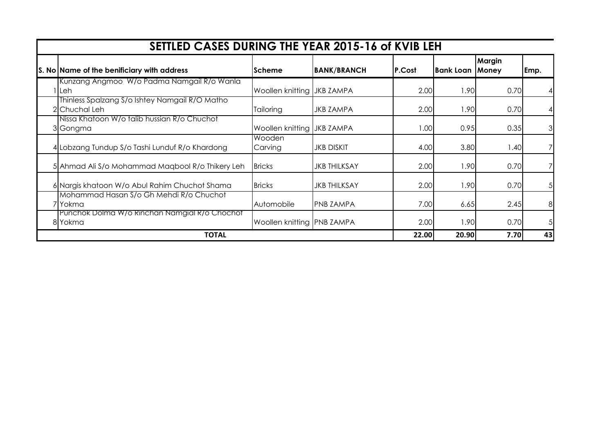| SETTLED CASES DURING THE YEAR 2015-16 of KVIB LEH               |                            |                     |        |           |                 |                |
|-----------------------------------------------------------------|----------------------------|---------------------|--------|-----------|-----------------|----------------|
| S. No Name of the benificiary with address                      | <b>Scheme</b>              | <b>BANK/BRANCH</b>  | P.Cost | Bank Loan | Margin<br>Money | Emp.           |
| Kunzang Angmoo W/o Padma Namgail R/o Wanla<br>Leh               | Woollen knitting JKB ZAMPA |                     | 2.00   | 1.90      | 0.70            | 41             |
| Thinless Spalzang S/o Ishtey Namgail R/O Matho<br>2 Chuchal Leh | Tailoring                  | <b>JKB ZAMPA</b>    | 2.00   | 1.90      | 0.70            | $\vert$        |
| Nissa Khatoon W/o talib hussian R/o Chuchot<br>3 Gongma         | Woollen knitting JKB ZAMPA |                     | 1.00   | 0.95      | 0.35            | $\overline{3}$ |
| 4 Lobzang Tundup S/o Tashi Lunduf R/o Khardong                  | Wooden<br>Carving          | <b>JKB DISKIT</b>   | 4.00   | 3.80      | 1.40            | $\overline{7}$ |
| 5 Ahmad Ali S/o Mohammad Maqbool R/o Thikery Leh                | <b>Bricks</b>              | <b>JKB THILKSAY</b> | 2.00   | 1.90      | 0.70            | $\overline{7}$ |
| 6 Nargis khatoon W/o Abul Rahim Chuchot Shama                   | <b>Bricks</b>              | <b>JKB THILKSAY</b> | 2.00   | 1.90      | 0.70            | 5 <sup>1</sup> |
| Mohammad Hasan S/o Gh Mehdi R/o Chuchot<br>'lYokma              | Automobile                 | <b>PNB ZAMPA</b>    | 7.00   | 6.65      | 2.45            | 8 <sup>1</sup> |
| Punchok Dolma W/o Rinchan Namgial R/o Chochot<br>8Yokma         | Woollen knitting PNB ZAMPA |                     | 2.00   | 1.90      | 0.70            | 5 <sup>1</sup> |
| <b>TOTAL</b>                                                    |                            |                     | 22.00  | 20.90     | 7.70            | 43             |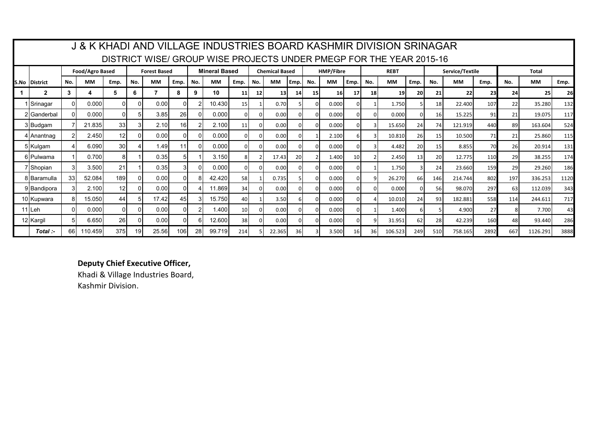|                      |                 |                 |                 |     |                     |      |     |                      |                 |              |                       |      |           |                  |      |     | J & K KHADI AND VILLAGE INDUSTRIES BOARD KASHMIR DIVISION SRINAGAR  |                 |     |                 |      |     |              |      |
|----------------------|-----------------|-----------------|-----------------|-----|---------------------|------|-----|----------------------|-----------------|--------------|-----------------------|------|-----------|------------------|------|-----|---------------------------------------------------------------------|-----------------|-----|-----------------|------|-----|--------------|------|
|                      |                 |                 |                 |     |                     |      |     |                      |                 |              |                       |      |           |                  |      |     | DISTRICT WISE/ GROUP WISE PROJECTS UNDER PMEGP FOR THE YEAR 2015-16 |                 |     |                 |      |     |              |      |
|                      |                 | Food/Agro Based |                 |     | <b>Forest Based</b> |      |     | <b>Mineral Based</b> |                 |              | <b>Chemical Based</b> |      |           | <b>HMP/Fibre</b> |      |     | <b>REBT</b>                                                         |                 |     | Service/Textile |      |     | <b>Total</b> |      |
| <b>S.No District</b> | No.             | <b>MM</b>       | Emp.            | No. | <b>MM</b>           | Emp. | No. | <b>MM</b>            | Emp.            | No.          | MМ                    | Emp. | No.       | MМ               | Emp. | No. | <b>MM</b>                                                           | Emp.            | No. | <b>MM</b>       | Emp. | No. | MМ           | Emp. |
| $\mathbf{2}$         | 3               | 4               | 5.              | 6   |                     | 8    | 9   | 10                   | 11              | $12 \square$ | 13                    | 14   | <b>15</b> | 16               | 17   | 18  | 19 <sup>l</sup>                                                     | <b>20</b>       | 21  | 22              | 23   | 24  | 25           | 26   |
| Srinagar             | $\Omega$        | 0.000           | ΩI              |     | 0.00                |      |     | 10.430               | 15 <sub>l</sub> |              | 0.70                  |      | ŋ         | 0.000            |      |     | 1.750                                                               |                 | 18  | 22,400          | 107  | 22  | 35.280       | 132  |
| 2lGanderbal          | $\Omega$        | 0.0001          | ΩI              |     | 3.85                | 26   |     | 0.000                |                 | U            | 0.00                  |      |           | 0.000            |      |     | 0.000                                                               |                 | 16  | 15.225          | 91   | 21  | 19.075       | 117  |
| 3 Budgam             |                 | 21.835          | 33 <sup>1</sup> |     | 2.10                | 16   |     | 2.100                | 11              | $\Omega$     | 0.00                  |      |           | 0.000            |      |     | 15.650                                                              | 24              | 74  | 121.919         | 440  | 89  | 163.604      | 524  |
| 4 I Anantnag         | っ               | 2.450           | 12 <sup>1</sup> |     | 0.00                |      |     | 0.000                |                 | $\Omega$     | 0.00                  |      |           | 2.100            |      |     | 10.810                                                              | 26              | 15  | 10.500          | 71   | 21  | 25.860       | 115  |
| 5 Kulgam             |                 | 6.090           | 30 <sup>1</sup> |     | 1.49                |      |     | 0.000                |                 | $\Omega$     | 0.00                  |      |           | 0.000            |      |     | 4.482                                                               | 20              | 15  | 8.855           | 70   | 26  | 20.914       | 131  |
| 6lPulwama            |                 | 0.700           | 81              |     | 0.35                |      |     | 3.150                |                 |              | 17.43                 | 20   |           | 1.400            | 10   |     | 2.450                                                               | 13 <sup>1</sup> | 20  | 12.775          | 110  | 29  | 38.255       | 174  |
| 7 Shopian            | 3               | 3.500           | 21              |     | 0.35                |      |     | 0.000                | <sup>n</sup>    | n            | 0.00                  |      |           | 0.000            |      |     | 1.750                                                               |                 | 24  | 23.660          | 159  | 29  | 29.260       | 186  |
| 8 Baramulla          | 33 <sup>1</sup> | 52.084          | 189             |     | 0.00                |      |     | 42.420               | <b>58</b>       |              | 0.735                 |      |           | 0.000            |      |     | 26.270                                                              | 66              | 146 | 214.744         | 802  | 197 | 336.253      | 1120 |
| 9 Bandipora          | $\mathbf{3}$    | 2.100           | 12              |     | 0.00                |      |     | 11.869               | 34              |              | 0.00                  |      |           | 0.000            |      |     | 0.000                                                               |                 | 56  | 98.070          | 297  | 63  | 112.039      | 343  |
| 10 Kupwara           | 81              | 15.050          | 44              |     | 17.42               | 45   |     | 15.750               | 40I             |              | 3.50                  |      |           | 0.000            |      |     | 10.010                                                              | 24              | 93  | 182.881         | 558  | 114 | 244.611      | 717  |
| l 1   Leh            | $\Omega$        | 0.000           | $\Omega$        |     | 0.00                |      |     | 1.400                | 10 <sup>1</sup> |              | 0.00                  |      |           | 0.000            |      |     | 1.400                                                               |                 |     | 4.900           | 27   |     | 7.700        | 43   |
| 12 Kargil            | 51              | 6.650           | 26              |     | 0.00                |      |     | 12.600               | 38 <sup>l</sup> | O.           | 0.00                  |      |           | 0.000            |      | q   | 31.951                                                              | 62              | 281 | 42.239          | 160  | 48  | 93.440       | 286  |
| Total :-             | 66I             | 110.459         | 375             | 19  | 25.56               | 106  | 28  | 99.719               | 214             |              | 22.365                | 36I  |           | 3.500            | 16   | 361 | 106.523                                                             | 249             | 510 | 758.165         | 2892 | 667 | 1126.291     | 3888 |

## **Deputy Chief Executive Officer,**

Khadi & Village Industries Board, Kashmir Division.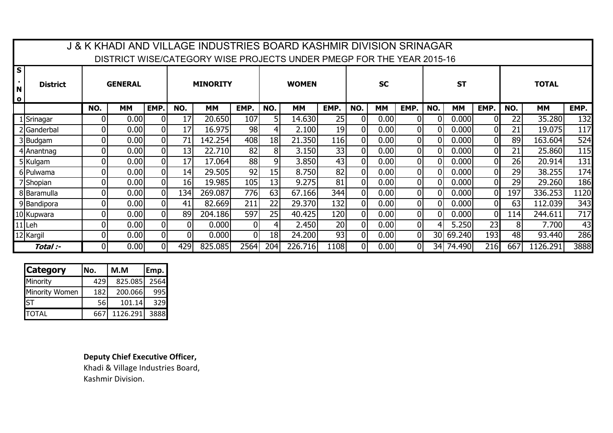|                                                         |                 |                |                |                |                 | J & K KHADI AND VILLAGE INDUSTRIES BOARD KASHMIR DIVISION SRINAGAR<br>DISTRICT WISE/CATEGORY WISE PROJECTS UNDER PMEGP FOR THE YEAR 2015-16 |      |                |              |                 |                |           |                |          |           |                |     |              |      |
|---------------------------------------------------------|-----------------|----------------|----------------|----------------|-----------------|---------------------------------------------------------------------------------------------------------------------------------------------|------|----------------|--------------|-----------------|----------------|-----------|----------------|----------|-----------|----------------|-----|--------------|------|
| S<br><b>A</b> 1<br>$\overline{\mathsf{N}}$<br>$\bullet$ | <b>District</b> |                | <b>GENERAL</b> |                |                 | <b>MINORITY</b>                                                                                                                             |      |                | <b>WOMEN</b> |                 | <b>SC</b>      |           |                |          | <b>ST</b> |                |     | <b>TOTAL</b> |      |
|                                                         |                 | NO.            | <b>MM</b>      | EMP.           | NO.             | МM                                                                                                                                          | EMP. | NO.            | MМ           | EMP.            | NO.            | <b>MM</b> | EMP.           | NO.      | <b>MM</b> | EMP.           | NO. | MМ           | EMP. |
|                                                         | 1 Srinagar      | 0              | 0.00           | 01             | 17              | 20.650                                                                                                                                      | 107  | 51             | 14.630       | 25              | 0I             | 0.00      | 01             | 0        | 0.000     |                | 22  | 35.280       | 132  |
|                                                         | 2 Ganderbal     | $\Omega$       | 0.00           | $\overline{0}$ | 17              | 16.975                                                                                                                                      | 98   | 41             | 2.100        | 19              | $\Omega$       | 0.00      | $\overline{0}$ | 0        | 0.000     |                | 21  | 19.075       | 117  |
|                                                         | 3Budgam         | $\overline{0}$ | 0.00           | 0              | 71              | 142.254                                                                                                                                     | 408  | 18             | 21.350       | 116             | $\Omega$       | 0.00      | 0              | 0        | 0.000     | $\Omega$       | 89  | 163.604      | 524  |
|                                                         | 4 Anantnag      | $\overline{0}$ | 0.00           | 0              | 13              | 22.710                                                                                                                                      | 82   | 81             | 3.150        | 33              | $\Omega$       | 0.00      | $\overline{0}$ | $\Omega$ | 0.000     | $\overline{0}$ | 21  | 25.860       | 115  |
|                                                         | 5 Kulgam        | $\Omega$       | 0.00           | 0              | 17              | 17.064                                                                                                                                      | 88   | 9 <sub>l</sub> | 3.850        | 43              | $\Omega$       | 0.00      | $\overline{0}$ | 0        | 0.000     | $\Omega$       | 26  | 20.914       | 131  |
|                                                         | 6 Pulwama       | $\overline{0}$ | 0.00           | $\overline{0}$ | 14              | 29.505                                                                                                                                      | 92   | 15             | 8.750        | 82              | $\overline{0}$ | 0.00      | 0              | 0        | 0.000     | $\overline{0}$ | 29  | 38.255       | 174  |
|                                                         | 7 Shopian       | $\overline{0}$ | 0.00           | 0              | 16 <sup>1</sup> | 19.985                                                                                                                                      | 105  | 13             | 9.275        | 81              | $\overline{0}$ | 0.00      | $\overline{0}$ | $\Omega$ | 0.000     |                | 29  | 29.260       | 186  |
|                                                         | 8 Baramulla     | $\overline{0}$ | 0.00           | 0              | 134             | 269.087                                                                                                                                     | 776  | 63             | 67.166       | 344             | $\Omega$       | 0.00      | 0              |          | 0.000     | $\Omega$       | 197 | 336.253      | 1120 |
|                                                         | 9Bandipora      | $\mathbf{0}$   | 0.00           | $\overline{0}$ | 41              | 82.669                                                                                                                                      | 211  | 22             | 29.370       | 132             | 0I             | 0.00      | 0              | 0        | 0.000     | $\Omega$       | 63  | 112.039      | 343  |
|                                                         | 10 Kupwara      | $\Omega$       | 0.00           | 01             | 89              | 204.186                                                                                                                                     | 597  | 25             | 40.425       | 120             | $\Omega$       | 0.00      | $\overline{0}$ | $\Omega$ | 0.000     | $\Omega$       | 114 | 244.611      | 717  |
|                                                         | 11 Leh          | $\mathbf{0}$   | 0.00           | $\overline{0}$ | $\overline{0}$  | 0.000                                                                                                                                       | 01   | 4              | 2.450        | 20 <sub>l</sub> | $\overline{0}$ | 0.00      | 0              |          | 5.250     | 23             | 8   | 7.700        | 43   |
|                                                         | 12 Kargil       | $\mathbf{0}$   | 0.00           | 0              | 01              | 0.000                                                                                                                                       | ΩI   | 18             | 24.200       | 93              | $\overline{0}$ | 0.00      | 0              | 30l      | 69.240    | 193            | 48  | 93.440       | 286  |
|                                                         | Total :-        |                | 0.00           | 0              | 429             | 825.085                                                                                                                                     | 2564 | 204            | 226.716      | 1108            | $\Omega$       | 0.00      | ΩI             | 34I      | 74.490    | 216            | 667 | 1126.291     | 3888 |

| <b>Category</b>       | No. | M.M      | Emp. |
|-----------------------|-----|----------|------|
| Minority              | 429 | 825.085  | 2564 |
| <b>Minority Women</b> | 182 | 200.066  | 995  |
| <b>ST</b>             | 56  | 101.14   | 329  |
| TOTAL                 | 667 | 1126.291 | 3888 |

**Deputy Chief Executive Officer,**

Khadi & Village Industries Board, Kashmir Division.